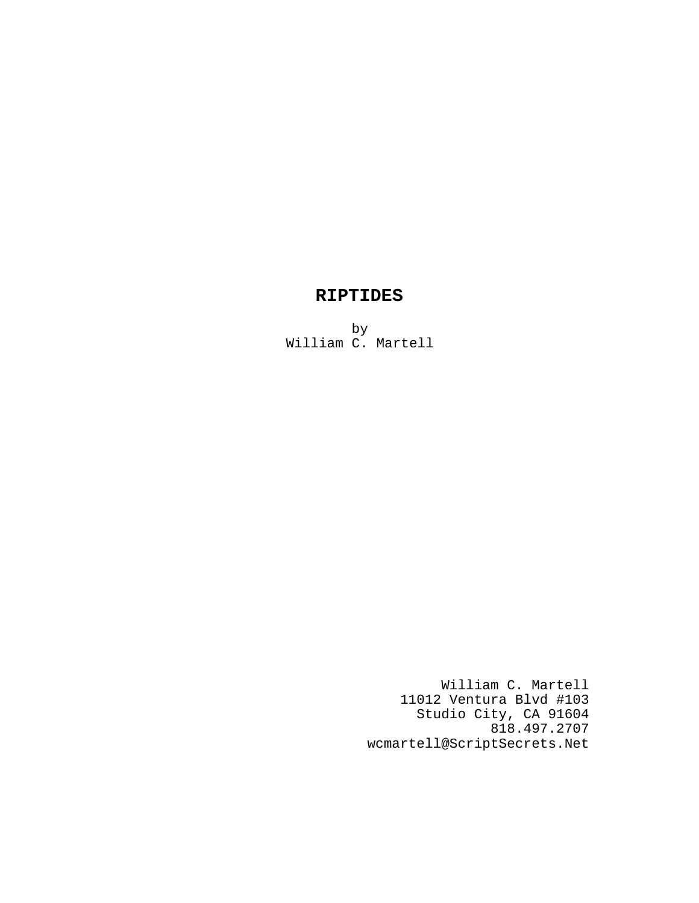# **RIPTIDES**

by William C. Martell

> William C. Martell 11012 Ventura Blvd #103 Studio City, CA 91604 818.497.2707 wcmartell@ScriptSecrets.Net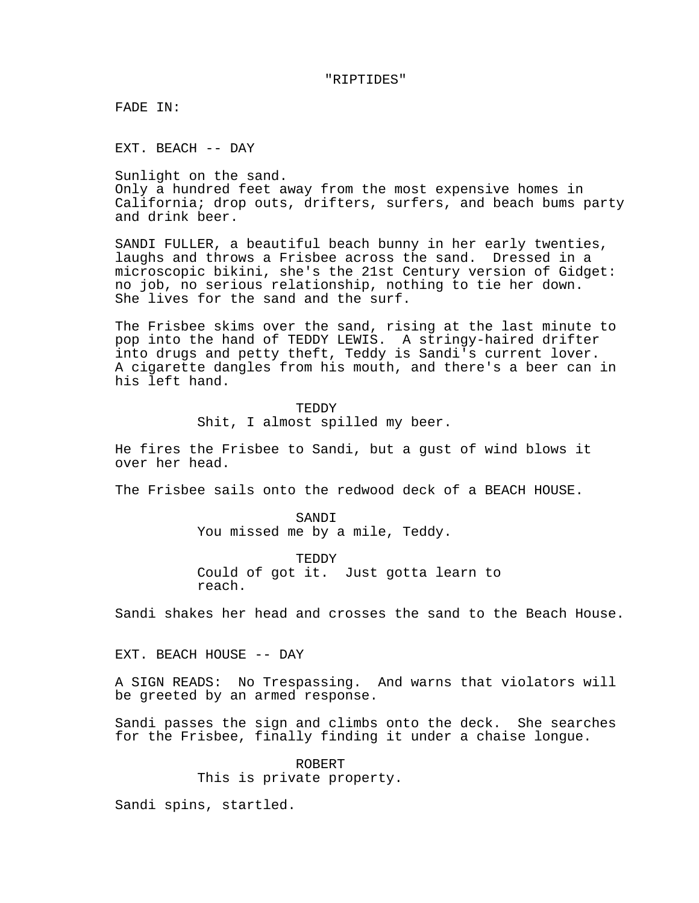#### "RIPTIDES"

FADE IN:

EXT. BEACH -- DAY

Sunlight on the sand. Only a hundred feet away from the most expensive homes in California; drop outs, drifters, surfers, and beach bums party and drink beer.

SANDI FULLER, a beautiful beach bunny in her early twenties, laughs and throws a Frisbee across the sand. Dressed in a microscopic bikini, she's the 21st Century version of Gidget: no job, no serious relationship, nothing to tie her down. She lives for the sand and the surf.

The Frisbee skims over the sand, rising at the last minute to pop into the hand of TEDDY LEWIS. A stringy-haired drifter into drugs and petty theft, Teddy is Sandi's current lover. A cigarette dangles from his mouth, and there's a beer can in his left hand.

> TEDDY Shit, I almost spilled my beer.

He fires the Frisbee to Sandi, but a gust of wind blows it over her head.

The Frisbee sails onto the redwood deck of a BEACH HOUSE.

SANDI You missed me by a mile, Teddy.

TEDDY Could of got it. Just gotta learn to reach.

Sandi shakes her head and crosses the sand to the Beach House.

EXT. BEACH HOUSE -- DAY

A SIGN READS: No Trespassing. And warns that violators will be greeted by an armed response.

Sandi passes the sign and climbs onto the deck. She searches for the Frisbee, finally finding it under a chaise longue.

> ROBERT This is private property.

Sandi spins, startled.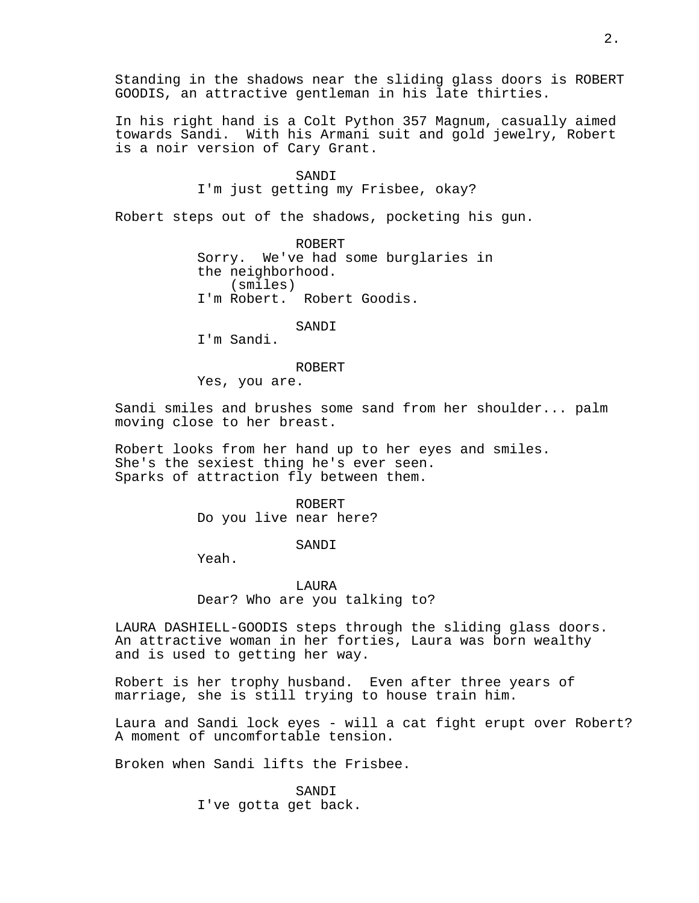Standing in the shadows near the sliding glass doors is ROBERT GOODIS, an attractive gentleman in his late thirties.

In his right hand is a Colt Python 357 Magnum, casually aimed towards Sandi. With his Armani suit and gold jewelry, Robert is a noir version of Cary Grant.

## SANDI

I'm just getting my Frisbee, okay?

Robert steps out of the shadows, pocketing his gun.

ROBERT Sorry. We've had some burglaries in the neighborhood. (smiles) I'm Robert. Robert Goodis.

SANDI

I'm Sandi.

ROBERT

Yes, you are.

Sandi smiles and brushes some sand from her shoulder... palm moving close to her breast.

Robert looks from her hand up to her eyes and smiles. She's the sexiest thing he's ever seen. Sparks of attraction fly between them.

> ROBERT Do you live near here?

> > SANDI

Yeah.

# LAURA Dear? Who are you talking to?

LAURA DASHIELL-GOODIS steps through the sliding glass doors. An attractive woman in her forties, Laura was born wealthy and is used to getting her way.

Robert is her trophy husband. Even after three years of marriage, she is still trying to house train him.

Laura and Sandi lock eyes - will a cat fight erupt over Robert? A moment of uncomfortable tension.

Broken when Sandi lifts the Frisbee.

SANDI I've gotta get back.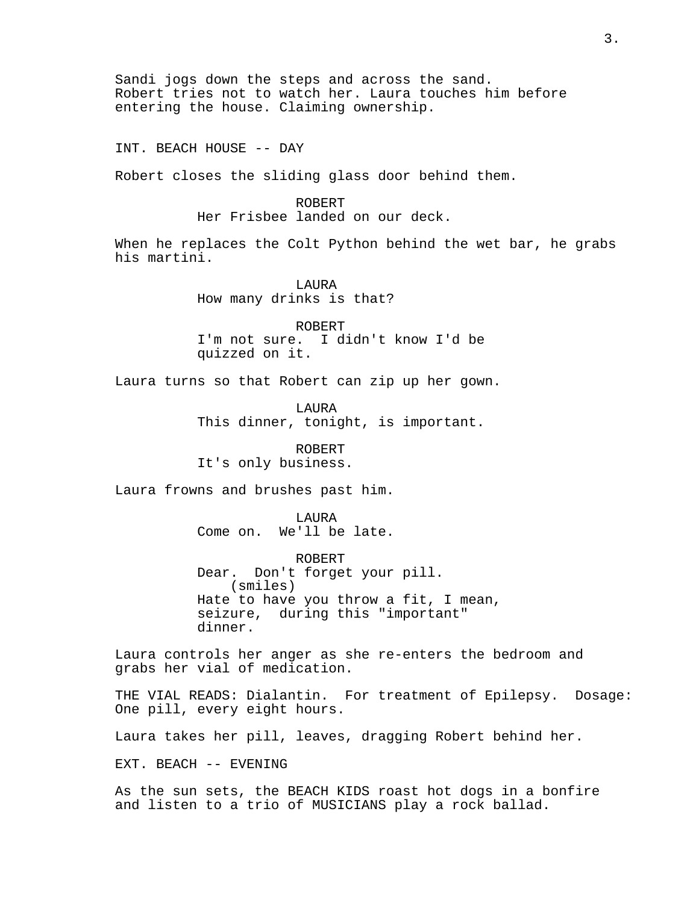Sandi jogs down the steps and across the sand. Robert tries not to watch her. Laura touches him before entering the house. Claiming ownership.

INT. BEACH HOUSE -- DAY

Robert closes the sliding glass door behind them.

ROBERT

Her Frisbee landed on our deck.

When he replaces the Colt Python behind the wet bar, he grabs his martini.

> LAURA How many drinks is that?

ROBERT I'm not sure. I didn't know I'd be quizzed on it.

Laura turns so that Robert can zip up her gown.

LAURA This dinner, tonight, is important.

ROBERT It's only business.

Laura frowns and brushes past him.

LAURA Come on. We'll be late.

ROBERT Dear. Don't forget your pill. (smiles) Hate to have you throw a fit, I mean, seizure, during this "important" dinner.

Laura controls her anger as she re-enters the bedroom and grabs her vial of medication.

THE VIAL READS: Dialantin. For treatment of Epilepsy. Dosage: One pill, every eight hours.

Laura takes her pill, leaves, dragging Robert behind her.

EXT. BEACH -- EVENING

As the sun sets, the BEACH KIDS roast hot dogs in a bonfire and listen to a trio of MUSICIANS play a rock ballad.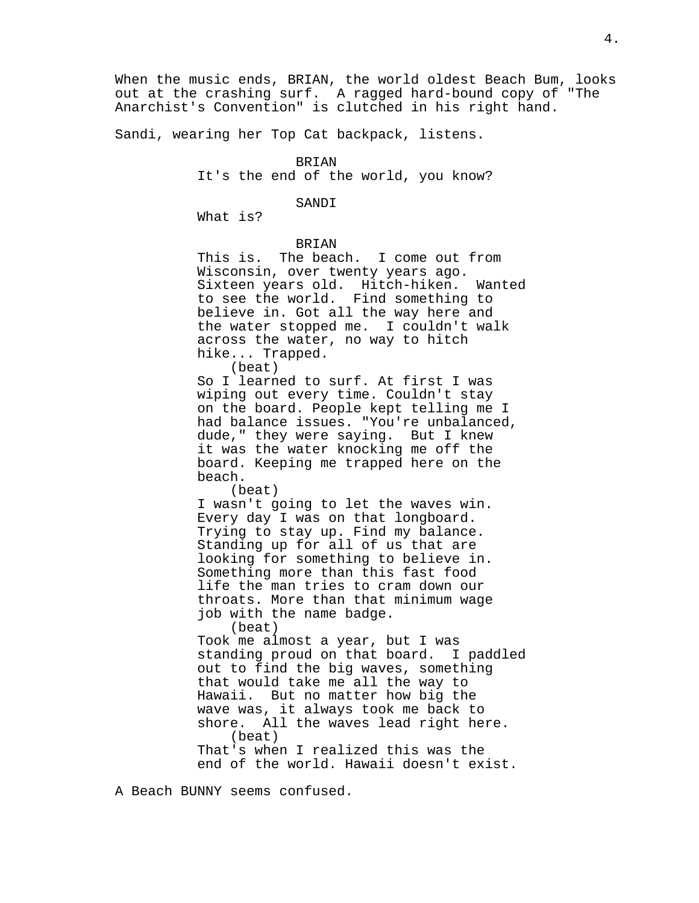When the music ends, BRIAN, the world oldest Beach Bum, looks out at the crashing surf. A ragged hard-bound copy of "The Anarchist's Convention" is clutched in his right hand.

Sandi, wearing her Top Cat backpack, listens.

#### BRIAN

It's the end of the world, you know?

## SANDI

What is?

## BRIAN

This is. The beach. I come out from Wisconsin, over twenty years ago. Sixteen years old. Hitch-hiken. Wanted to see the world. Find something to believe in. Got all the way here and the water stopped me. I couldn't walk across the water, no way to hitch hike... Trapped. (beat)

So I learned to surf. At first I was wiping out every time. Couldn't stay on the board. People kept telling me I had balance issues. "You're unbalanced, dude," they were saying. But I knew it was the water knocking me off the board. Keeping me trapped here on the beach.

(beat)

I wasn't going to let the waves win. Every day I was on that longboard. Trying to stay up. Find my balance. Standing up for all of us that are looking for something to believe in. Something more than this fast food life the man tries to cram down our throats. More than that minimum wage job with the name badge.

(beat)

Took me almost a year, but I was standing proud on that board. I paddled out to find the big waves, something that would take me all the way to Hawaii. But no matter how big the wave was, it always took me back to shore. All the waves lead right here. (beat) That's when I realized this was the

end of the world. Hawaii doesn't exist.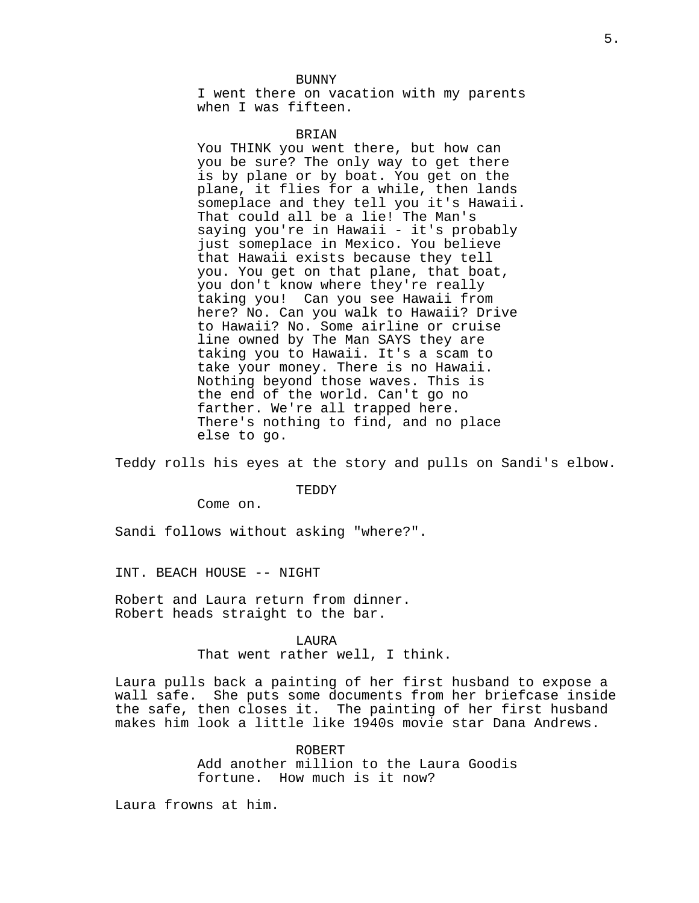BUNNY

I went there on vacation with my parents when I was fifteen.

## BRIAN

You THINK you went there, but how can you be sure? The only way to get there is by plane or by boat. You get on the plane, it flies for a while, then lands someplace and they tell you it's Hawaii. That could all be a lie! The Man's saying you're in Hawaii - it's probably just someplace in Mexico. You believe that Hawaii exists because they tell you. You get on that plane, that boat, you don't know where they're really taking you! Can you see Hawaii from here? No. Can you walk to Hawaii? Drive to Hawaii? No. Some airline or cruise line owned by The Man SAYS they are taking you to Hawaii. It's a scam to take your money. There is no Hawaii. Nothing beyond those waves. This is the end of the world. Can't go no farther. We're all trapped here. There's nothing to find, and no place else to go.

Teddy rolls his eyes at the story and pulls on Sandi's elbow.

TEDDY

Come on.

Sandi follows without asking "where?".

INT. BEACH HOUSE -- NIGHT

Robert and Laura return from dinner. Robert heads straight to the bar.

> LAURA That went rather well, I think.

Laura pulls back a painting of her first husband to expose a wall safe. She puts some documents from her briefcase inside the safe, then closes it. The painting of her first husband makes him look a little like 1940s movie star Dana Andrews.

> ROBERT Add another million to the Laura Goodis fortune. How much is it now?

Laura frowns at him.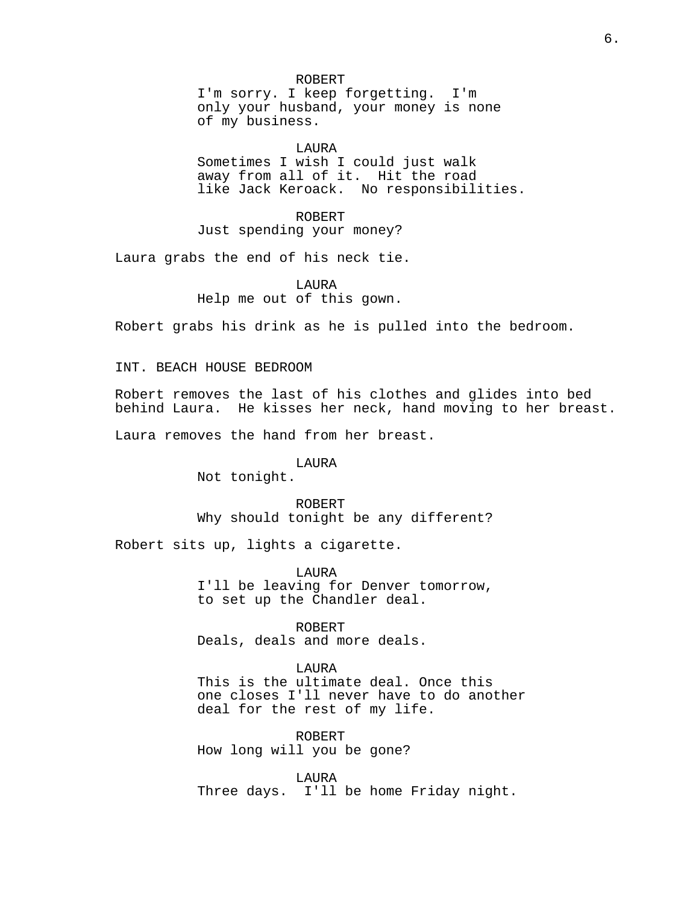ROBERT I'm sorry. I keep forgetting. I'm only your husband, your money is none of my business.

## LAURA

Sometimes I wish I could just walk away from all of it. Hit the road like Jack Keroack. No responsibilities.

ROBERT Just spending your money?

Laura grabs the end of his neck tie.

LAURA Help me out of this gown.

Robert grabs his drink as he is pulled into the bedroom.

INT. BEACH HOUSE BEDROOM

Robert removes the last of his clothes and glides into bed behind Laura. He kisses her neck, hand moving to her breast.

Laura removes the hand from her breast.

LAURA

Not tonight.

ROBERT Why should tonight be any different?

Robert sits up, lights a cigarette.

LAURA I'll be leaving for Denver tomorrow, to set up the Chandler deal.

ROBERT Deals, deals and more deals.

LAURA This is the ultimate deal. Once this one closes I'll never have to do another

ROBERT How long will you be gone?

deal for the rest of my life.

LAURA Three days. I'll be home Friday night.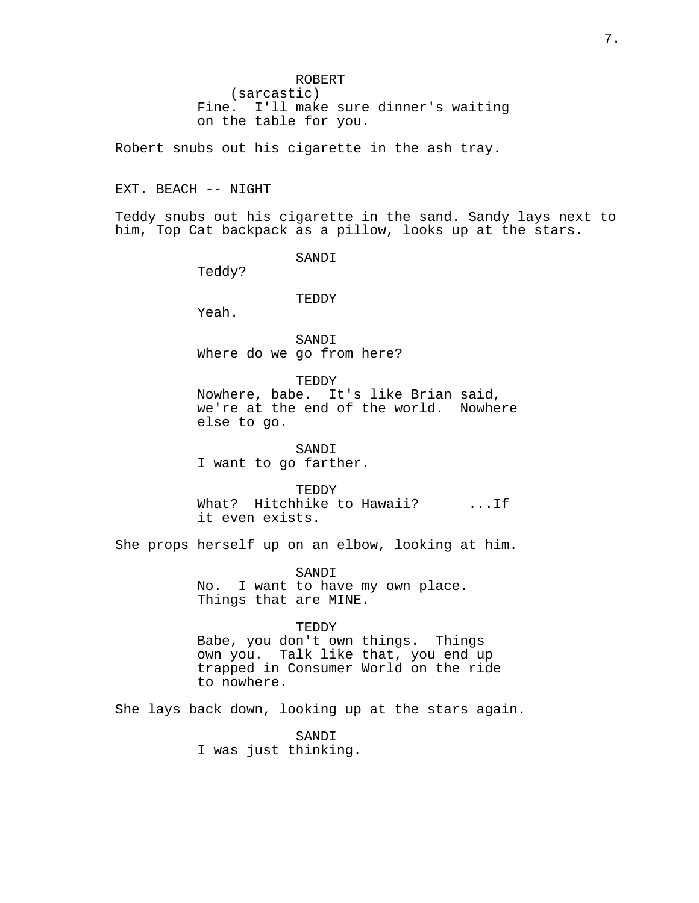Robert snubs out his cigarette in the ash tray.

EXT. BEACH -- NIGHT

Teddy snubs out his cigarette in the sand. Sandy lays next to him, Top Cat backpack as a pillow, looks up at the stars.

SANDI

Teddy?

TEDDY

Yeah.

SANDI Where do we go from here?

TEDDY Nowhere, babe. It's like Brian said, we're at the end of the world. Nowhere else to go.

SANDI I want to go farther.

TEDDY What? Hitchhike to Hawaii? ... If it even exists.

She props herself up on an elbow, looking at him.

SANDI No. I want to have my own place. Things that are MINE.

TEDDY Babe, you don't own things. Things own you. Talk like that, you end up trapped in Consumer World on the ride to nowhere.

She lays back down, looking up at the stars again.

SANDI I was just thinking.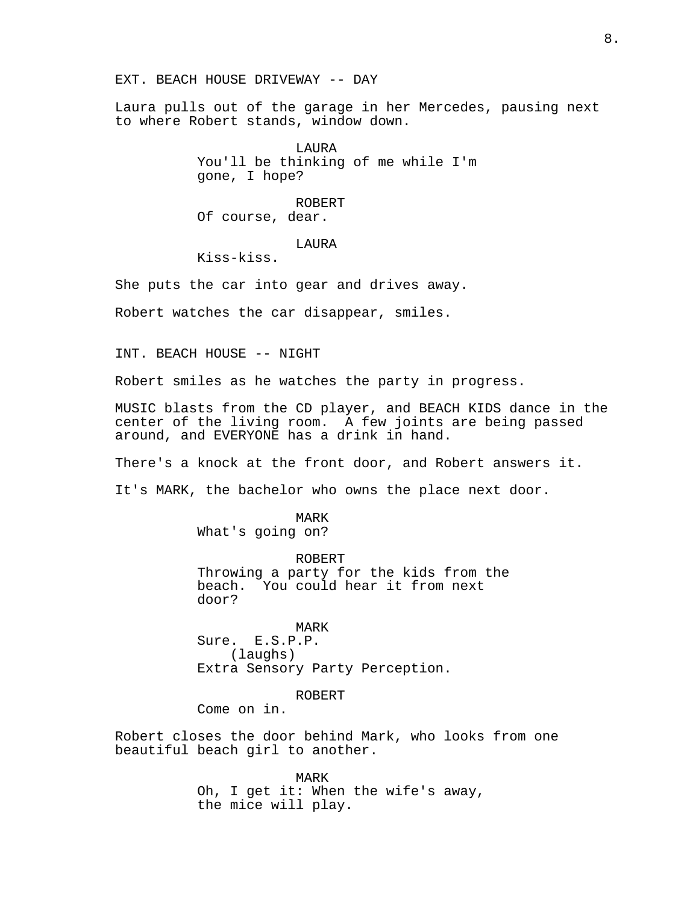EXT. BEACH HOUSE DRIVEWAY -- DAY

Laura pulls out of the garage in her Mercedes, pausing next to where Robert stands, window down.

> LAURA You'll be thinking of me while I'm gone, I hope?

ROBERT Of course, dear.

LAURA

Kiss-kiss.

She puts the car into gear and drives away.

Robert watches the car disappear, smiles.

INT. BEACH HOUSE -- NIGHT

Robert smiles as he watches the party in progress.

MUSIC blasts from the CD player, and BEACH KIDS dance in the center of the living room. A few joints are being passed around, and EVERYONE has a drink in hand.

There's a knock at the front door, and Robert answers it.

It's MARK, the bachelor who owns the place next door.

MARK What's going on?

ROBERT Throwing a party for the kids from the beach. You could hear it from next door?

MARK Sure. E.S.P.P. (laughs) Extra Sensory Party Perception.

ROBERT

Come on in.

Robert closes the door behind Mark, who looks from one beautiful beach girl to another.

> MARK Oh, I get it: When the wife's away, the mice will play.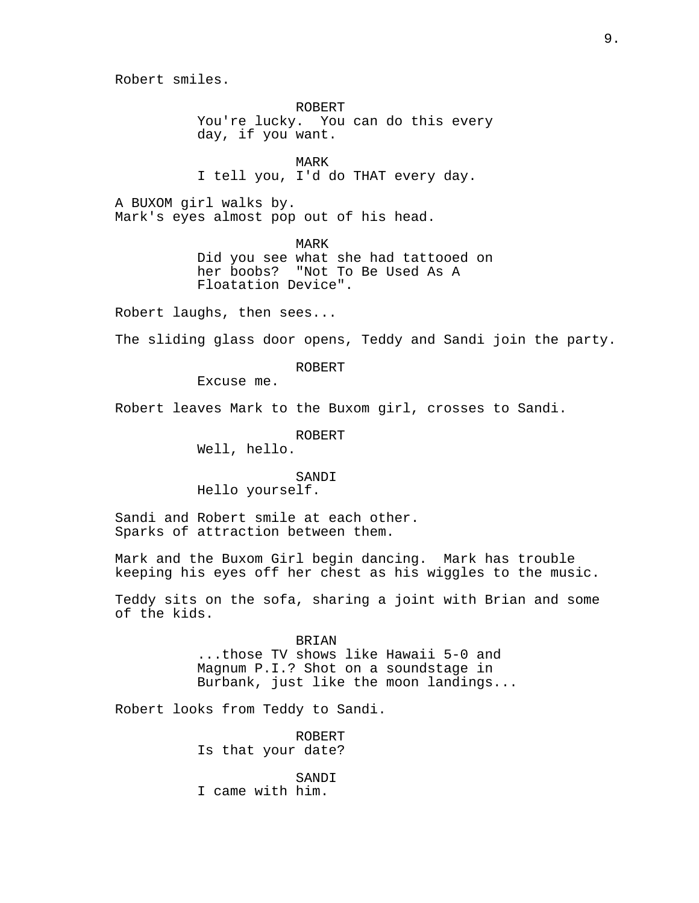Robert smiles.

ROBERT You're lucky. You can do this every day, if you want.

MARK I tell you, I'd do THAT every day.

A BUXOM girl walks by. Mark's eyes almost pop out of his head.

> MARK Did you see what she had tattooed on her boobs? "Not To Be Used As A Floatation Device".

Robert laughs, then sees...

The sliding glass door opens, Teddy and Sandi join the party.

ROBERT

Excuse me.

Robert leaves Mark to the Buxom girl, crosses to Sandi.

ROBERT Well, hello.

#### SANDI

Hello yourself.

Sandi and Robert smile at each other. Sparks of attraction between them.

Mark and the Buxom Girl begin dancing. Mark has trouble keeping his eyes off her chest as his wiggles to the music.

Teddy sits on the sofa, sharing a joint with Brian and some of the kids.

> BRIAN ...those TV shows like Hawaii 5-0 and Magnum P.I.? Shot on a soundstage in Burbank, just like the moon landings...

Robert looks from Teddy to Sandi.

ROBERT Is that your date?

SANDI I came with him.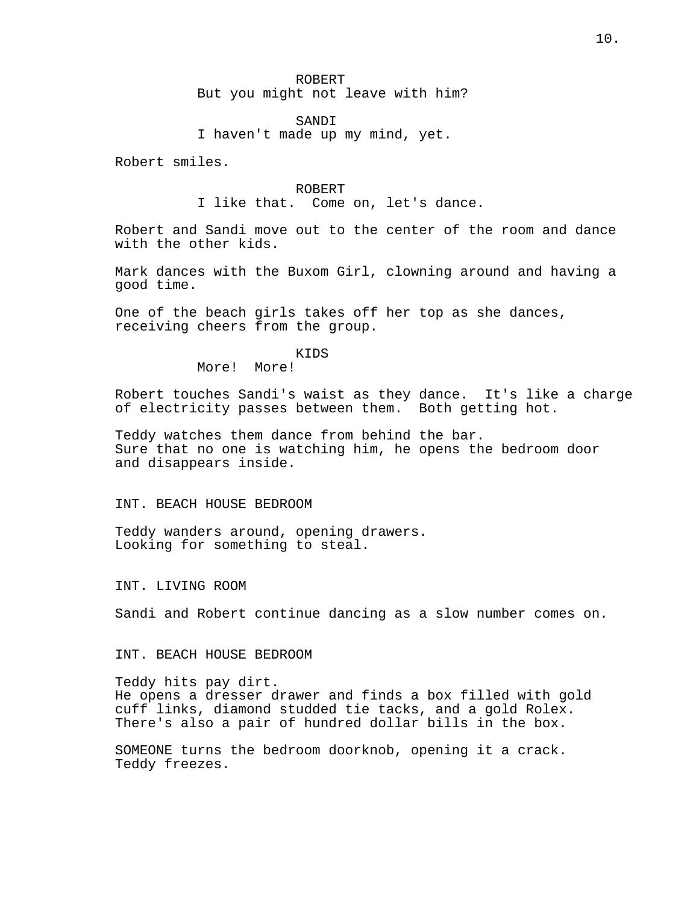SANDI

I haven't made up my mind, yet.

Robert smiles.

#### ROBERT

I like that. Come on, let's dance.

Robert and Sandi move out to the center of the room and dance with the other kids.

Mark dances with the Buxom Girl, clowning around and having a good time.

One of the beach girls takes off her top as she dances, receiving cheers from the group.

KIDS

More! More!

Robert touches Sandi's waist as they dance. It's like a charge of electricity passes between them. Both getting hot.

Teddy watches them dance from behind the bar. Sure that no one is watching him, he opens the bedroom door and disappears inside.

INT. BEACH HOUSE BEDROOM

Teddy wanders around, opening drawers. Looking for something to steal.

INT. LIVING ROOM

Sandi and Robert continue dancing as a slow number comes on.

INT. BEACH HOUSE BEDROOM

Teddy hits pay dirt. He opens a dresser drawer and finds a box filled with gold cuff links, diamond studded tie tacks, and a gold Rolex. There's also a pair of hundred dollar bills in the box.

SOMEONE turns the bedroom doorknob, opening it a crack. Teddy freezes.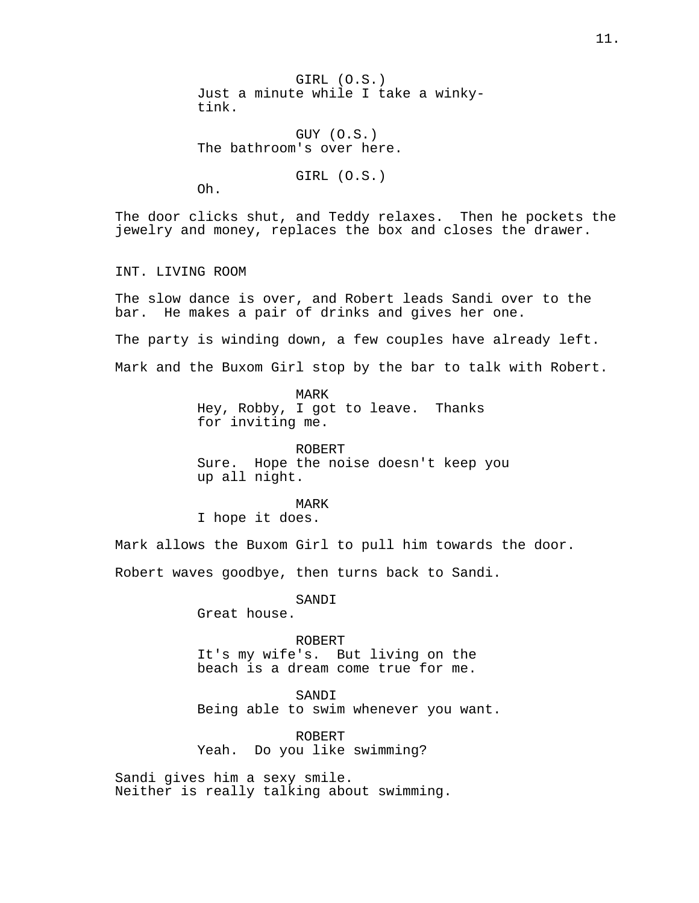GIRL (O.S.) Just a minute while I take a winkytink.

GUY (O.S.) The bathroom's over here.

GIRL (O.S.)

Oh.

The door clicks shut, and Teddy relaxes. Then he pockets the jewelry and money, replaces the box and closes the drawer.

INT. LIVING ROOM

The slow dance is over, and Robert leads Sandi over to the bar. He makes a pair of drinks and gives her one.

The party is winding down, a few couples have already left.

Mark and the Buxom Girl stop by the bar to talk with Robert.

MARK

Hey, Robby, I got to leave. Thanks for inviting me.

ROBERT Sure. Hope the noise doesn't keep you up all night.

MARK I hope it does.

Mark allows the Buxom Girl to pull him towards the door.

Robert waves goodbye, then turns back to Sandi.

SANDI

Great house.

ROBERT It's my wife's. But living on the beach is a dream come true for me.

SANDI Being able to swim whenever you want.

ROBERT Yeah. Do you like swimming?

Sandi gives him a sexy smile. Neither is really talking about swimming.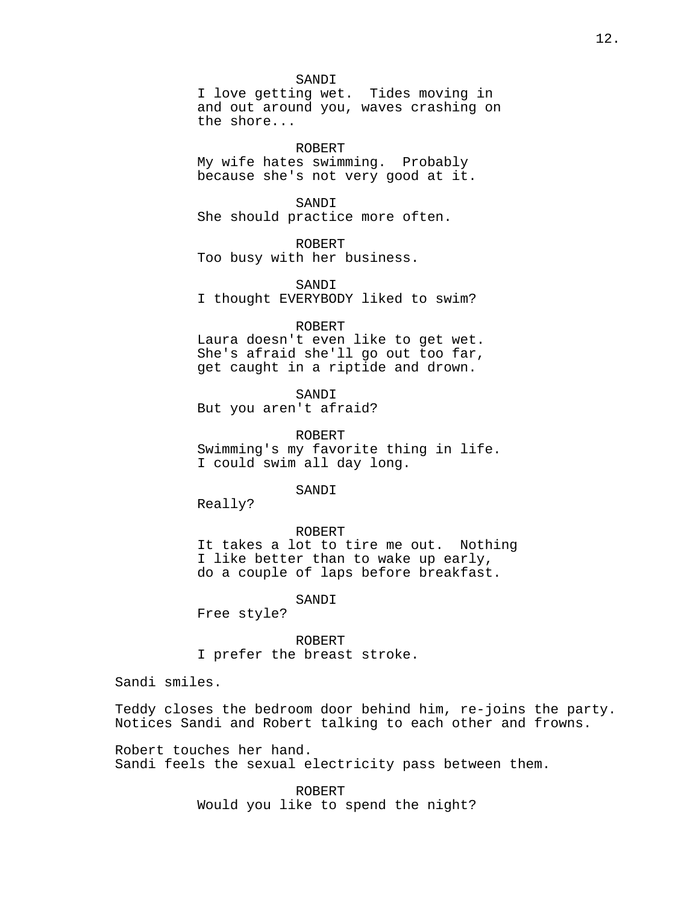## SANDI

I love getting wet. Tides moving in and out around you, waves crashing on the shore...

ROBERT

My wife hates swimming. Probably because she's not very good at it.

SANDI

She should practice more often.

ROBERT

Too busy with her business.

SANDI I thought EVERYBODY liked to swim?

#### ROBERT

Laura doesn't even like to get wet. She's afraid she'll go out too far, get caught in a riptide and drown.

SANDI But you aren't afraid?

ROBERT Swimming's my favorite thing in life. I could swim all day long.

SANDI

Really?

#### ROBERT

It takes a lot to tire me out. Nothing I like better than to wake up early, do a couple of laps before breakfast.

SANDI

Free style?

ROBERT I prefer the breast stroke.

Sandi smiles.

Teddy closes the bedroom door behind him, re-joins the party. Notices Sandi and Robert talking to each other and frowns.

Robert touches her hand. Sandi feels the sexual electricity pass between them.

> ROBERT Would you like to spend the night?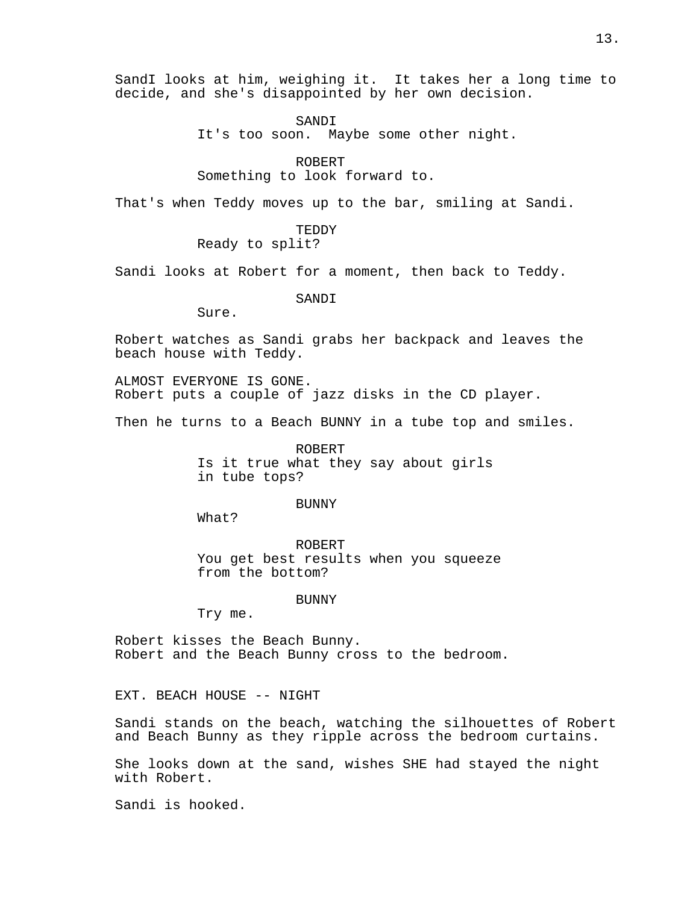SandI looks at him, weighing it. It takes her a long time to decide, and she's disappointed by her own decision.

> SANDI It's too soon. Maybe some other night.

ROBERT Something to look forward to.

That's when Teddy moves up to the bar, smiling at Sandi.

TEDDY

Ready to split?

Sandi looks at Robert for a moment, then back to Teddy.

SANDI

Sure.

Robert watches as Sandi grabs her backpack and leaves the beach house with Teddy.

ALMOST EVERYONE IS GONE. Robert puts a couple of jazz disks in the CD player.

Then he turns to a Beach BUNNY in a tube top and smiles.

ROBERT Is it true what they say about girls in tube tops?

## BUNNY

What?

ROBERT You get best results when you squeeze from the bottom?

BUNNY

Try me.

Robert kisses the Beach Bunny. Robert and the Beach Bunny cross to the bedroom.

EXT. BEACH HOUSE -- NIGHT

Sandi stands on the beach, watching the silhouettes of Robert and Beach Bunny as they ripple across the bedroom curtains.

She looks down at the sand, wishes SHE had stayed the night with Robert.

Sandi is hooked.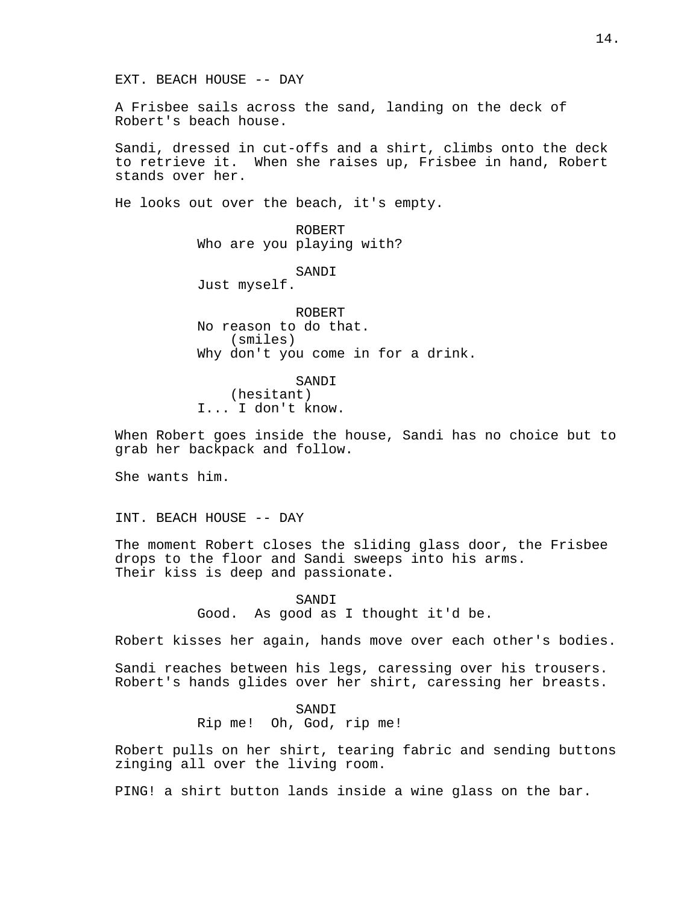EXT. BEACH HOUSE -- DAY

A Frisbee sails across the sand, landing on the deck of Robert's beach house.

Sandi, dressed in cut-offs and a shirt, climbs onto the deck to retrieve it. When she raises up, Frisbee in hand, Robert stands over her.

He looks out over the beach, it's empty.

ROBERT Who are you playing with?

SANDI

Just myself.

ROBERT No reason to do that. (smiles) Why don't you come in for a drink.

SANDI (hesitant) I... I don't know.

When Robert goes inside the house, Sandi has no choice but to grab her backpack and follow.

She wants him.

INT. BEACH HOUSE -- DAY

The moment Robert closes the sliding glass door, the Frisbee drops to the floor and Sandi sweeps into his arms. Their kiss is deep and passionate.

> SANDI Good. As good as I thought it'd be.

Robert kisses her again, hands move over each other's bodies.

Sandi reaches between his legs, caressing over his trousers. Robert's hands glides over her shirt, caressing her breasts.

> SANDI Rip me! Oh, God, rip me!

Robert pulls on her shirt, tearing fabric and sending buttons zinging all over the living room.

PING! a shirt button lands inside a wine glass on the bar.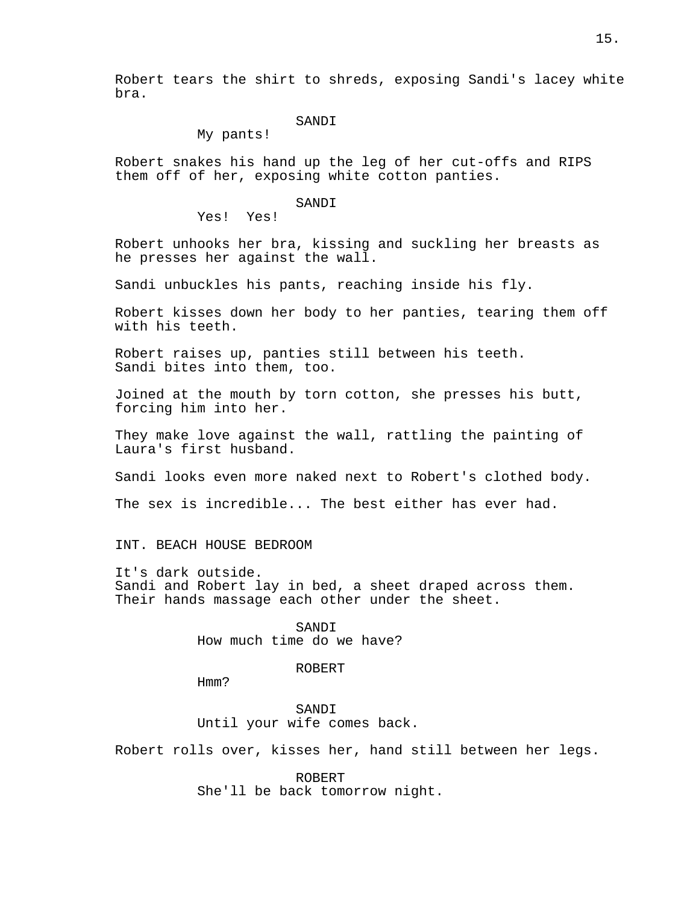Robert tears the shirt to shreds, exposing Sandi's lacey white bra.

# SANDI

My pants!

Robert snakes his hand up the leg of her cut-offs and RIPS them off of her, exposing white cotton panties.

## SANDI

Yes! Yes!

Robert unhooks her bra, kissing and suckling her breasts as he presses her against the wall.

Sandi unbuckles his pants, reaching inside his fly.

Robert kisses down her body to her panties, tearing them off with his teeth.

Robert raises up, panties still between his teeth. Sandi bites into them, too.

Joined at the mouth by torn cotton, she presses his butt, forcing him into her.

They make love against the wall, rattling the painting of Laura's first husband.

Sandi looks even more naked next to Robert's clothed body.

The sex is incredible... The best either has ever had.

INT. BEACH HOUSE BEDROOM

It's dark outside. Sandi and Robert lay in bed, a sheet draped across them. Their hands massage each other under the sheet.

> SANDI How much time do we have?

#### ROBERT

Hmm?

SANDI Until your wife comes back.

Robert rolls over, kisses her, hand still between her legs.

ROBERT She'll be back tomorrow night.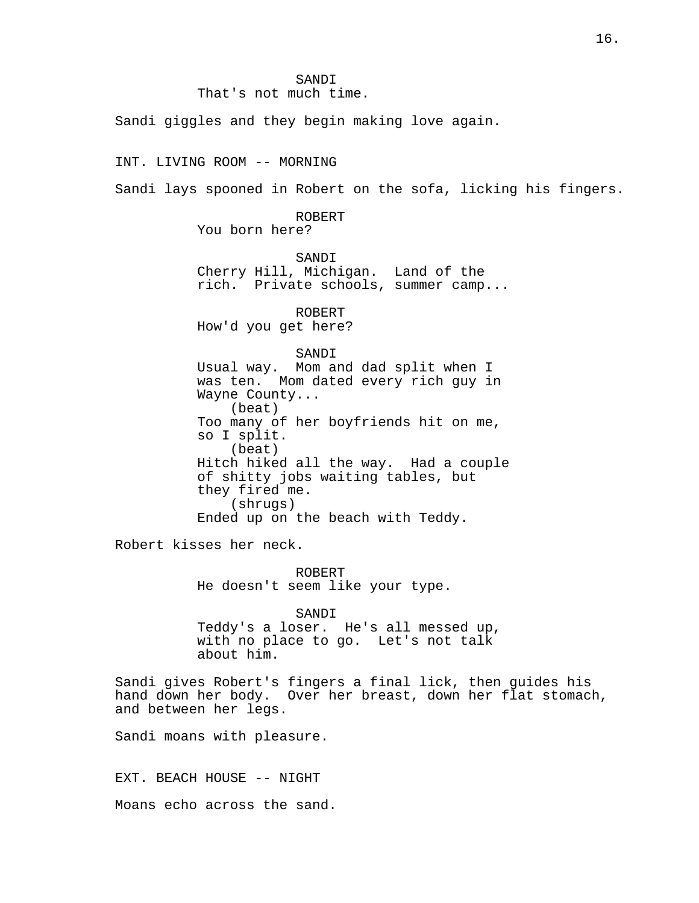SANDI That's not much time.

Sandi giggles and they begin making love again.

INT. LIVING ROOM -- MORNING

Sandi lays spooned in Robert on the sofa, licking his fingers.

ROBERT

You born here?

SANDI Cherry Hill, Michigan. Land of the rich. Private schools, summer camp...

ROBERT How'd you get here?

SANDI

Usual way. Mom and dad split when I was ten. Mom dated every rich guy in Wayne County... (beat) Too many of her boyfriends hit on me, so I split. (beat) Hitch hiked all the way. Had a couple of shitty jobs waiting tables, but they fired me. (shrugs) Ended up on the beach with Teddy.

Robert kisses her neck.

ROBERT He doesn't seem like your type.

SANDI Teddy's a loser. He's all messed up, with no place to go. Let's not talk about him.

Sandi gives Robert's fingers a final lick, then guides his hand down her body. Over her breast, down her flat stomach, and between her legs.

Sandi moans with pleasure.

EXT. BEACH HOUSE -- NIGHT

Moans echo across the sand.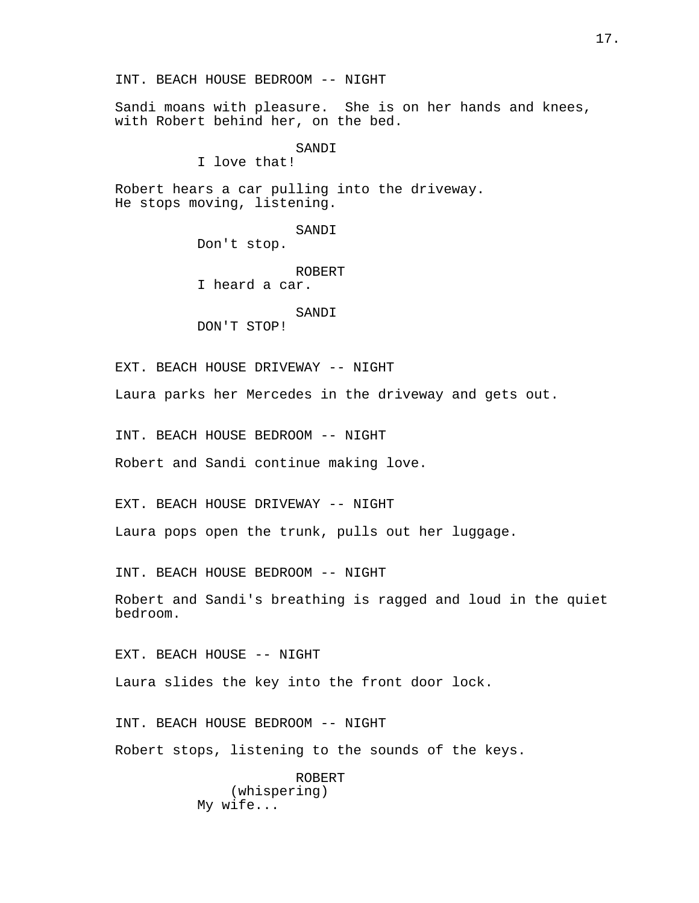Sandi moans with pleasure. She is on her hands and knees, with Robert behind her, on the bed.

SANDI

I love that!

Robert hears a car pulling into the driveway. He stops moving, listening.

> SANDI Don't stop.

> > ROBERT

I heard a car.

SANDI

DON'T STOP!

EXT. BEACH HOUSE DRIVEWAY -- NIGHT

Laura parks her Mercedes in the driveway and gets out.

INT. BEACH HOUSE BEDROOM -- NIGHT

Robert and Sandi continue making love.

EXT. BEACH HOUSE DRIVEWAY -- NIGHT

Laura pops open the trunk, pulls out her luggage.

INT. BEACH HOUSE BEDROOM -- NIGHT

Robert and Sandi's breathing is ragged and loud in the quiet bedroom.

EXT. BEACH HOUSE -- NIGHT

Laura slides the key into the front door lock.

INT. BEACH HOUSE BEDROOM -- NIGHT Robert stops, listening to the sounds of the keys.

> ROBERT (whispering) My wife...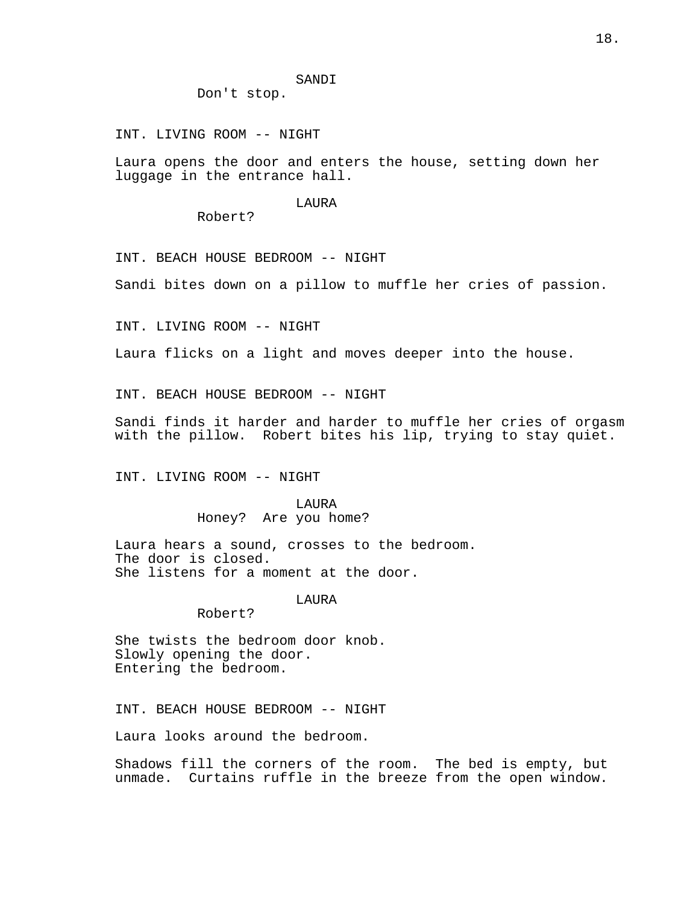SANDI

Don't stop.

INT. LIVING ROOM -- NIGHT

Laura opens the door and enters the house, setting down her luggage in the entrance hall.

LAURA

Robert?

INT. BEACH HOUSE BEDROOM -- NIGHT

Sandi bites down on a pillow to muffle her cries of passion.

INT. LIVING ROOM -- NIGHT

Laura flicks on a light and moves deeper into the house.

INT. BEACH HOUSE BEDROOM -- NIGHT

Sandi finds it harder and harder to muffle her cries of orgasm with the pillow. Robert bites his lip, trying to stay quiet.

INT. LIVING ROOM -- NIGHT

LAURA Honey? Are you home?

Laura hears a sound, crosses to the bedroom. The door is closed. She listens for a moment at the door.

LAURA

Robert?

She twists the bedroom door knob. Slowly opening the door. Entering the bedroom.

INT. BEACH HOUSE BEDROOM -- NIGHT

Laura looks around the bedroom.

Shadows fill the corners of the room. The bed is empty, but unmade. Curtains ruffle in the breeze from the open window.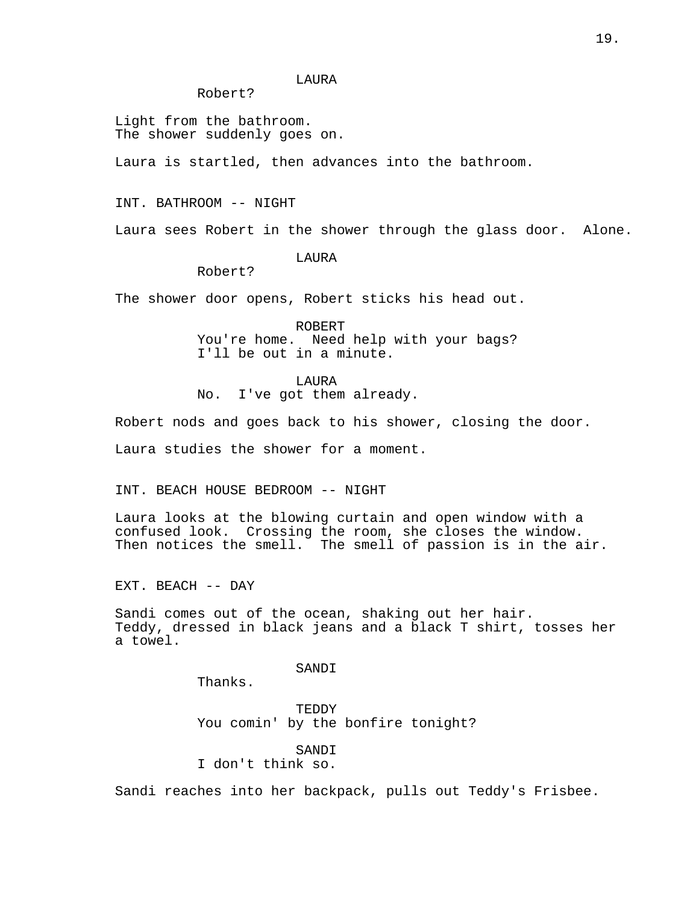## LAURA

Robert?

Light from the bathroom. The shower suddenly goes on.

Laura is startled, then advances into the bathroom.

INT. BATHROOM -- NIGHT

Laura sees Robert in the shower through the glass door. Alone.

LAURA

Robert?

The shower door opens, Robert sticks his head out.

ROBERT You're home. Need help with your bags? I'll be out in a minute.

LAURA No. I've got them already.

Robert nods and goes back to his shower, closing the door.

Laura studies the shower for a moment.

INT. BEACH HOUSE BEDROOM -- NIGHT

Laura looks at the blowing curtain and open window with a confused look. Crossing the room, she closes the window. Then notices the smell. The smell of passion is in the air.

EXT. BEACH -- DAY

Sandi comes out of the ocean, shaking out her hair. Teddy, dressed in black jeans and a black T shirt, tosses her a towel.

SANDI

Thanks.

TEDDY You comin' by the bonfire tonight?

SANDI I don't think so.

Sandi reaches into her backpack, pulls out Teddy's Frisbee.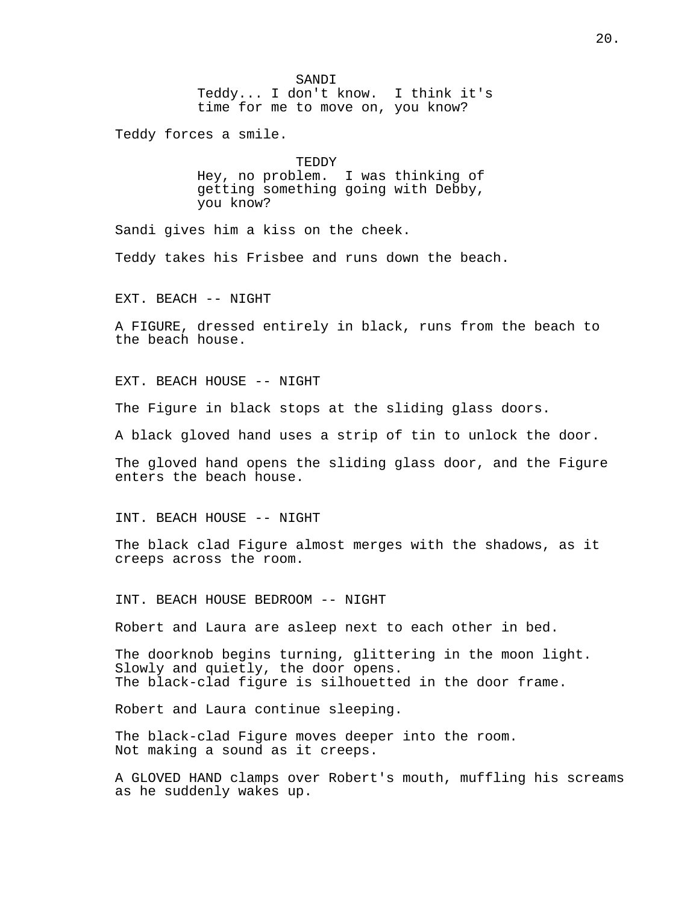SANDI Teddy... I don't know. I think it's time for me to move on, you know?

Teddy forces a smile.

TEDDY Hey, no problem. I was thinking of getting something going with Debby, you know?

Sandi gives him a kiss on the cheek.

Teddy takes his Frisbee and runs down the beach.

EXT. BEACH -- NIGHT

A FIGURE, dressed entirely in black, runs from the beach to the beach house.

EXT. BEACH HOUSE -- NIGHT

The Figure in black stops at the sliding glass doors.

A black gloved hand uses a strip of tin to unlock the door.

The gloved hand opens the sliding glass door, and the Figure enters the beach house.

INT. BEACH HOUSE -- NIGHT

The black clad Figure almost merges with the shadows, as it creeps across the room.

INT. BEACH HOUSE BEDROOM -- NIGHT

Robert and Laura are asleep next to each other in bed.

The doorknob begins turning, glittering in the moon light. Slowly and quietly, the door opens. The black-clad figure is silhouetted in the door frame.

Robert and Laura continue sleeping.

The black-clad Figure moves deeper into the room. Not making a sound as it creeps.

A GLOVED HAND clamps over Robert's mouth, muffling his screams as he suddenly wakes up.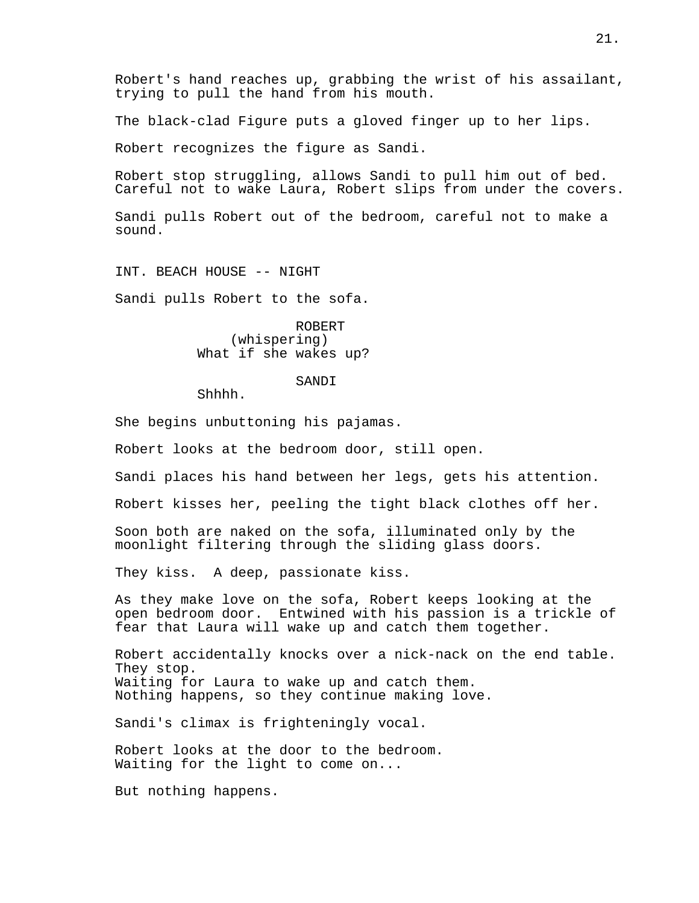Robert's hand reaches up, grabbing the wrist of his assailant, trying to pull the hand from his mouth.

The black-clad Figure puts a gloved finger up to her lips.

Robert recognizes the figure as Sandi.

Robert stop struggling, allows Sandi to pull him out of bed. Careful not to wake Laura, Robert slips from under the covers.

Sandi pulls Robert out of the bedroom, careful not to make a sound.

INT. BEACH HOUSE -- NIGHT

Sandi pulls Robert to the sofa.

ROBERT (whispering) What if she wakes up?

#### SANDI

Shhhh.

She begins unbuttoning his pajamas.

Robert looks at the bedroom door, still open.

Sandi places his hand between her legs, gets his attention.

Robert kisses her, peeling the tight black clothes off her.

Soon both are naked on the sofa, illuminated only by the moonlight filtering through the sliding glass doors.

They kiss. A deep, passionate kiss.

As they make love on the sofa, Robert keeps looking at the open bedroom door. Entwined with his passion is a trickle of fear that Laura will wake up and catch them together.

Robert accidentally knocks over a nick-nack on the end table. They stop. Waiting for Laura to wake up and catch them. Nothing happens, so they continue making love.

Sandi's climax is frighteningly vocal.

Robert looks at the door to the bedroom. Waiting for the light to come on...

But nothing happens.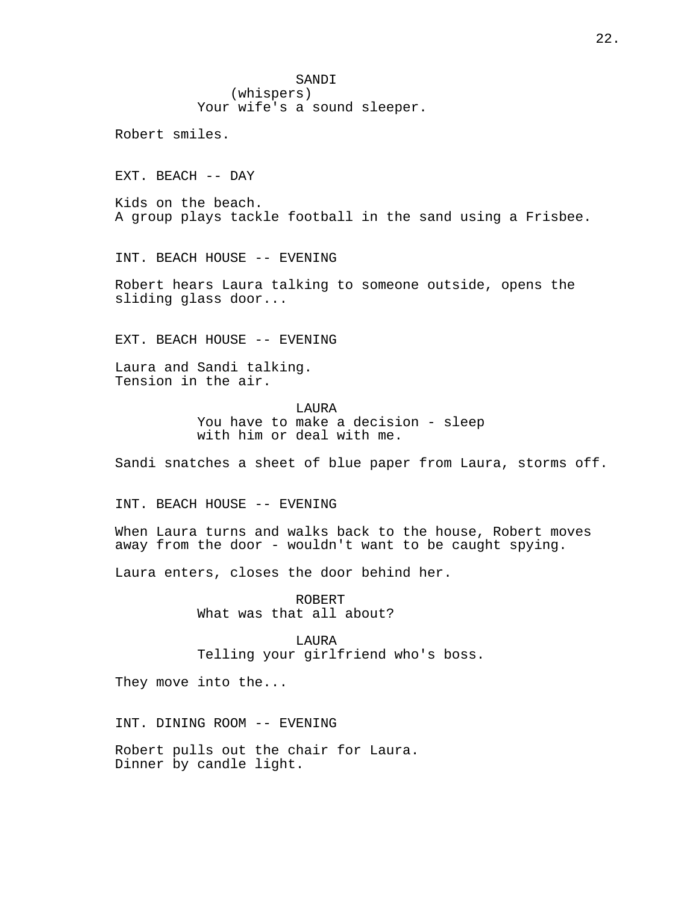SANDI (whispers) Your wife's a sound sleeper.

Robert smiles.

EXT. BEACH -- DAY

Kids on the beach. A group plays tackle football in the sand using a Frisbee.

INT. BEACH HOUSE -- EVENING

Robert hears Laura talking to someone outside, opens the sliding glass door...

EXT. BEACH HOUSE -- EVENING

Laura and Sandi talking. Tension in the air.

> LAURA You have to make a decision - sleep with him or deal with me.

Sandi snatches a sheet of blue paper from Laura, storms off.

INT. BEACH HOUSE -- EVENING

When Laura turns and walks back to the house, Robert moves away from the door - wouldn't want to be caught spying.

Laura enters, closes the door behind her.

ROBERT What was that all about?

LAURA Telling your girlfriend who's boss.

They move into the...

INT. DINING ROOM -- EVENING

Robert pulls out the chair for Laura. Dinner by candle light.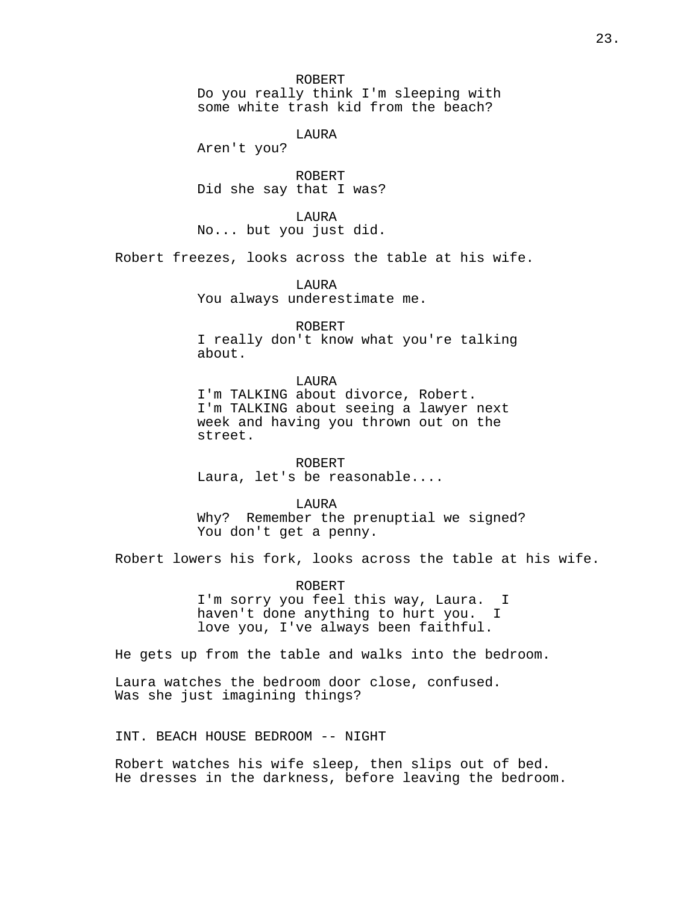#### ROBERT

Do you really think I'm sleeping with some white trash kid from the beach?

LAURA

Aren't you?

ROBERT Did she say that I was?

LAURA No... but you just did.

Robert freezes, looks across the table at his wife.

LAURA You always underestimate me.

## ROBERT

I really don't know what you're talking about.

# LAURA

I'm TALKING about divorce, Robert. I'm TALKING about seeing a lawyer next week and having you thrown out on the street.

ROBERT Laura, let's be reasonable....

LAURA

Why? Remember the prenuptial we signed? You don't get a penny.

Robert lowers his fork, looks across the table at his wife.

ROBERT I'm sorry you feel this way, Laura. I haven't done anything to hurt you. I love you, I've always been faithful.

He gets up from the table and walks into the bedroom.

Laura watches the bedroom door close, confused. Was she just imagining things?

INT. BEACH HOUSE BEDROOM -- NIGHT

Robert watches his wife sleep, then slips out of bed. He dresses in the darkness, before leaving the bedroom.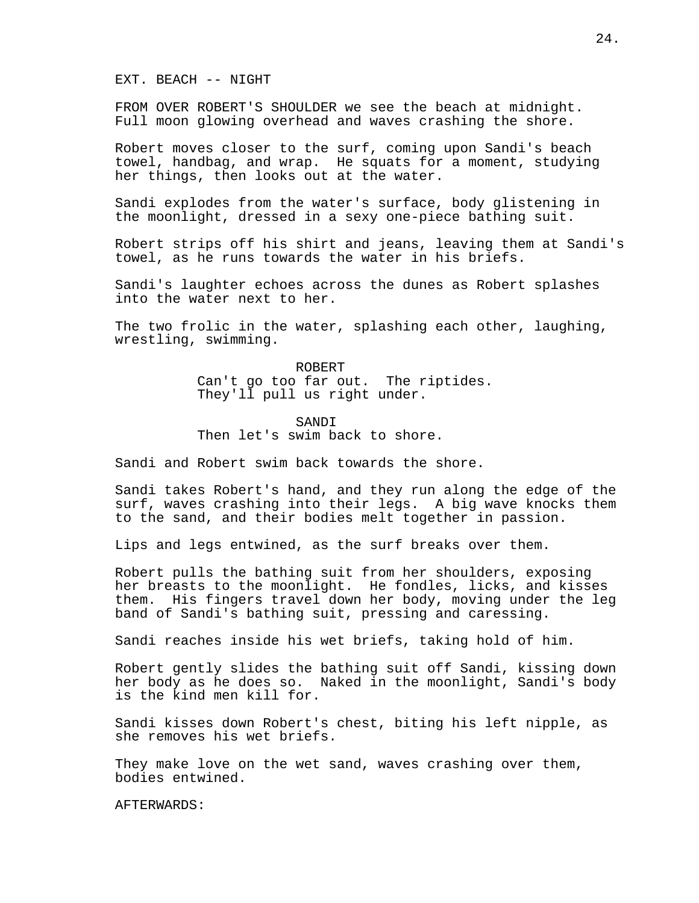EXT. BEACH -- NIGHT

FROM OVER ROBERT'S SHOULDER we see the beach at midnight. Full moon glowing overhead and waves crashing the shore.

Robert moves closer to the surf, coming upon Sandi's beach towel, handbag, and wrap. He squats for a moment, studying her things, then looks out at the water.

Sandi explodes from the water's surface, body glistening in the moonlight, dressed in a sexy one-piece bathing suit.

Robert strips off his shirt and jeans, leaving them at Sandi's towel, as he runs towards the water in his briefs.

Sandi's laughter echoes across the dunes as Robert splashes into the water next to her.

The two frolic in the water, splashing each other, laughing, wrestling, swimming.

> ROBERT Can't go too far out. The riptides. They'll pull us right under.

## SANDI

Then let's swim back to shore.

Sandi and Robert swim back towards the shore.

Sandi takes Robert's hand, and they run along the edge of the surf, waves crashing into their legs. A big wave knocks them to the sand, and their bodies melt together in passion.

Lips and legs entwined, as the surf breaks over them.

Robert pulls the bathing suit from her shoulders, exposing her breasts to the moonlight. He fondles, licks, and kisses them. His fingers travel down her body, moving under the leg band of Sandi's bathing suit, pressing and caressing.

Sandi reaches inside his wet briefs, taking hold of him.

Robert gently slides the bathing suit off Sandi, kissing down her body as he does so. Naked in the moonlight, Sandi's body is the kind men kill for.

Sandi kisses down Robert's chest, biting his left nipple, as she removes his wet briefs.

They make love on the wet sand, waves crashing over them, bodies entwined.

AFTERWARDS: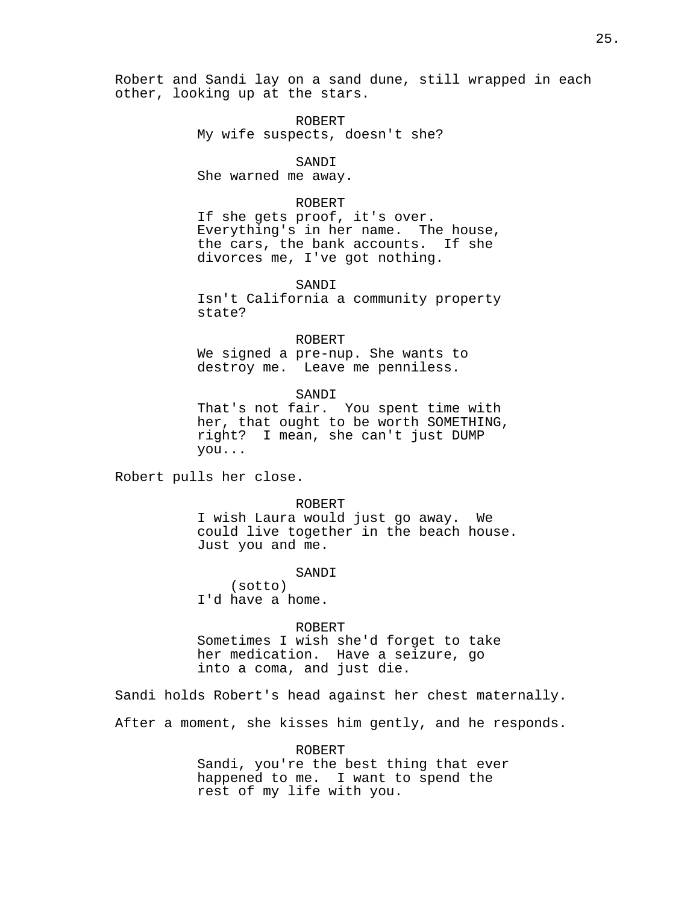Robert and Sandi lay on a sand dune, still wrapped in each other, looking up at the stars.

> ROBERT My wife suspects, doesn't she?

> > SANDI

She warned me away.

## ROBERT

If she gets proof, it's over. Everything's in her name. The house, the cars, the bank accounts. If she divorces me, I've got nothing.

SANDI

Isn't California a community property state?

ROBERT We signed a pre-nup. She wants to destroy me. Leave me penniless.

SANDI

That's not fair. You spent time with her, that ought to be worth SOMETHING, right? I mean, she can't just DUMP you...

Robert pulls her close.

ROBERT

I wish Laura would just go away. We could live together in the beach house. Just you and me.

SANDI

(sotto) I'd have a home.

ROBERT

Sometimes I wish she'd forget to take her medication. Have a seizure, go into a coma, and just die.

Sandi holds Robert's head against her chest maternally.

After a moment, she kisses him gently, and he responds.

ROBERT

Sandi, you're the best thing that ever happened to me. I want to spend the rest of my life with you.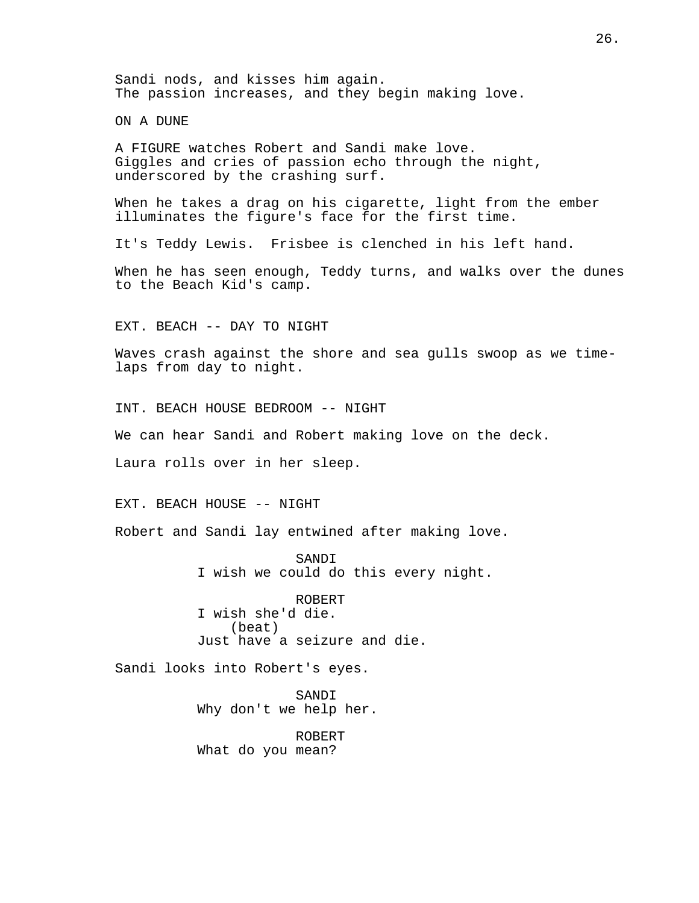Sandi nods, and kisses him again. The passion increases, and they begin making love.

ON A DUNE

A FIGURE watches Robert and Sandi make love. Giggles and cries of passion echo through the night, underscored by the crashing surf.

When he takes a drag on his cigarette, light from the ember illuminates the figure's face for the first time.

It's Teddy Lewis. Frisbee is clenched in his left hand.

When he has seen enough, Teddy turns, and walks over the dunes to the Beach Kid's camp.

EXT. BEACH -- DAY TO NIGHT

Waves crash against the shore and sea gulls swoop as we timelaps from day to night.

INT. BEACH HOUSE BEDROOM -- NIGHT

We can hear Sandi and Robert making love on the deck.

Laura rolls over in her sleep.

EXT. BEACH HOUSE -- NIGHT

Robert and Sandi lay entwined after making love.

SANDI I wish we could do this every night.

ROBERT I wish she'd die. (beat) Just have a seizure and die.

Sandi looks into Robert's eyes.

SANDI Why don't we help her.

ROBERT What do you mean?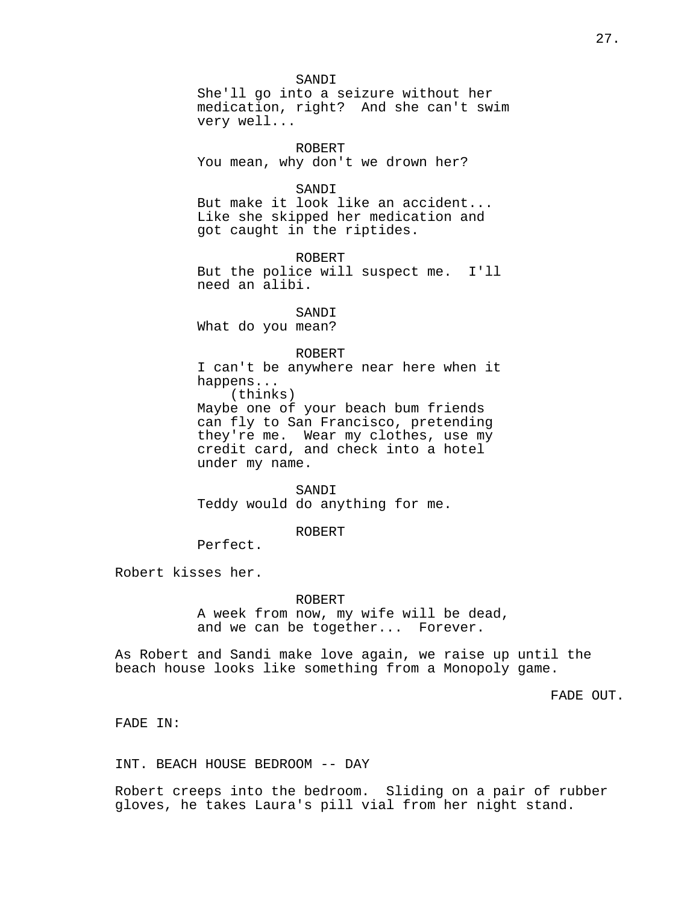SANDI She'll go into a seizure without her medication, right? And she can't swim very well...

ROBERT You mean, why don't we drown her?

SANDI

But make it look like an accident... Like she skipped her medication and got caught in the riptides.

ROBERT But the police will suspect me. I'll need an alibi.

SANDI What do you mean?

ROBERT

I can't be anywhere near here when it happens... (thinks) Maybe one of your beach bum friends can fly to San Francisco, pretending they're me. Wear my clothes, use my credit card, and check into a hotel under my name.

SANDI Teddy would do anything for me.

ROBERT

Perfect.

Robert kisses her.

ROBERT

A week from now, my wife will be dead, and we can be together... Forever.

As Robert and Sandi make love again, we raise up until the beach house looks like something from a Monopoly game.

FADE OUT.

FADE IN:

INT. BEACH HOUSE BEDROOM -- DAY

Robert creeps into the bedroom. Sliding on a pair of rubber gloves, he takes Laura's pill vial from her night stand.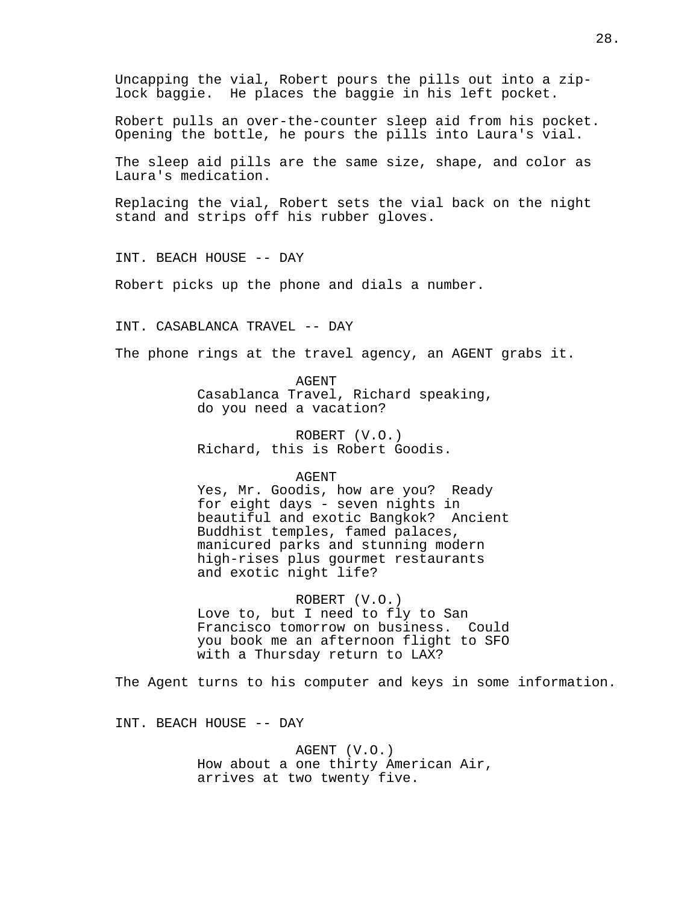Uncapping the vial, Robert pours the pills out into a ziplock baggie. He places the baggie in his left pocket.

Robert pulls an over-the-counter sleep aid from his pocket. Opening the bottle, he pours the pills into Laura's vial.

The sleep aid pills are the same size, shape, and color as Laura's medication.

Replacing the vial, Robert sets the vial back on the night stand and strips off his rubber gloves.

INT. BEACH HOUSE -- DAY

Robert picks up the phone and dials a number.

INT. CASABLANCA TRAVEL -- DAY

The phone rings at the travel agency, an AGENT grabs it.

AGENT Casablanca Travel, Richard speaking, do you need a vacation?

ROBERT (V.O.) Richard, this is Robert Goodis.

## AGENT

Yes, Mr. Goodis, how are you? Ready for eight days - seven nights in beautiful and exotic Bangkok? Ancient Buddhist temples, famed palaces, manicured parks and stunning modern high-rises plus gourmet restaurants and exotic night life?

ROBERT (V.O.)

Love to, but I need to fly to San Francisco tomorrow on business. Could you book me an afternoon flight to SFO with a Thursday return to LAX?

The Agent turns to his computer and keys in some information.

INT. BEACH HOUSE -- DAY

AGENT (V.O.) How about a one thirty American Air, arrives at two twenty five.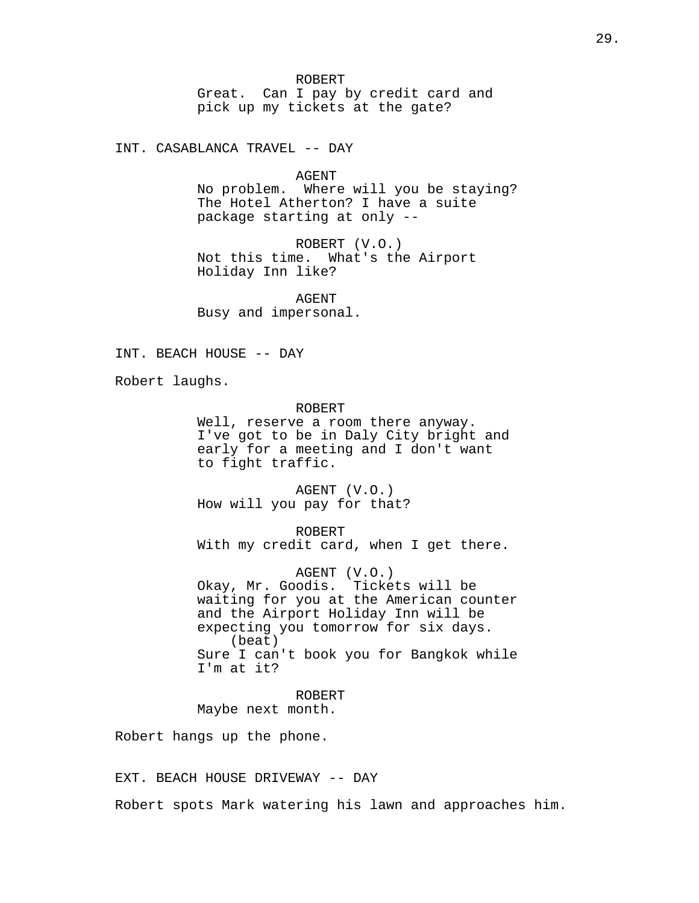ROBERT

Great. Can I pay by credit card and pick up my tickets at the gate?

INT. CASABLANCA TRAVEL -- DAY

AGENT

No problem. Where will you be staying? The Hotel Atherton? I have a suite package starting at only --

ROBERT (V.O.) Not this time. What's the Airport Holiday Inn like?

AGENT Busy and impersonal.

INT. BEACH HOUSE -- DAY

Robert laughs.

ROBERT

Well, reserve a room there anyway. I've got to be in Daly City bright and early for a meeting and I don't want to fight traffic.

AGENT (V.O.) How will you pay for that?

ROBERT With my credit card, when I get there.

AGENT (V.O.) Okay, Mr. Goodis. Tickets will be waiting for you at the American counter and the Airport Holiday Inn will be expecting you tomorrow for six days. (beat) Sure I can't book you for Bangkok while I'm at it?

ROBERT Maybe next month.

Robert hangs up the phone.

EXT. BEACH HOUSE DRIVEWAY -- DAY

Robert spots Mark watering his lawn and approaches him.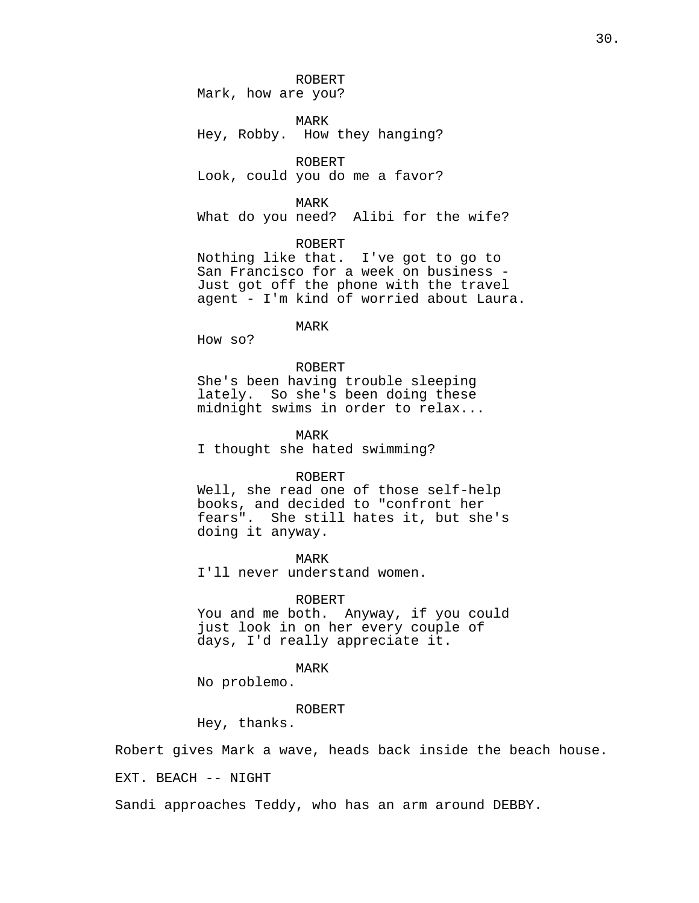ROBERT

Mark, how are you?

MARK Hey, Robby. How they hanging?

ROBERT Look, could you do me a favor?

MARK

What do you need? Alibi for the wife?

ROBERT

Nothing like that. I've got to go to San Francisco for a week on business - Just got off the phone with the travel agent - I'm kind of worried about Laura.

MARK

How so?

#### ROBERT

She's been having trouble sleeping lately. So she's been doing these midnight swims in order to relax...

MARK

I thought she hated swimming?

#### ROBERT

Well, she read one of those self-help books, and decided to "confront her fears". She still hates it, but she's doing it anyway.

MARK

I'll never understand women.

#### ROBERT

You and me both. Anyway, if you could just look in on her every couple of days, I'd really appreciate it.

## MARK

No problemo.

## ROBERT

Hey, thanks.

Robert gives Mark a wave, heads back inside the beach house.

EXT. BEACH -- NIGHT

Sandi approaches Teddy, who has an arm around DEBBY.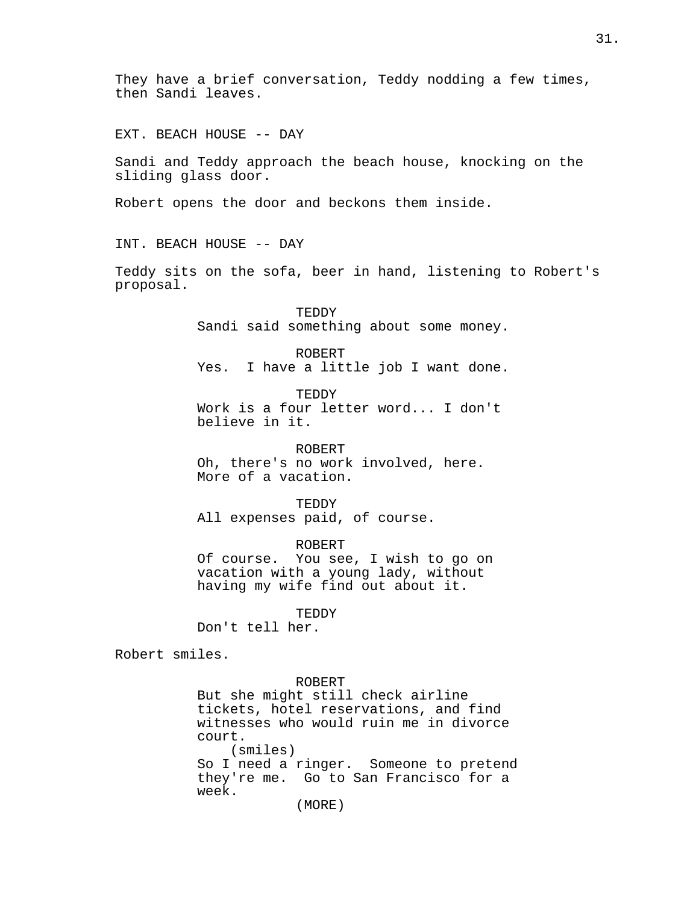They have a brief conversation, Teddy nodding a few times, then Sandi leaves.

EXT. BEACH HOUSE -- DAY

Sandi and Teddy approach the beach house, knocking on the sliding glass door.

Robert opens the door and beckons them inside.

INT. BEACH HOUSE -- DAY

Teddy sits on the sofa, beer in hand, listening to Robert's proposal.

> TEDDY Sandi said something about some money.

> ROBERT Yes. I have a little job I want done.

TEDDY Work is a four letter word... I don't believe in it.

ROBERT Oh, there's no work involved, here. More of a vacation.

TEDDY

All expenses paid, of course.

ROBERT

Of course. You see, I wish to go on vacation with a young lady, without having my wife find out about it.

TEDDY

Don't tell her.

Robert smiles.

ROBERT

But she might still check airline tickets, hotel reservations, and find witnesses who would ruin me in divorce court. (smiles) So I need a ringer. Someone to pretend they're me. Go to San Francisco for a week.

(MORE)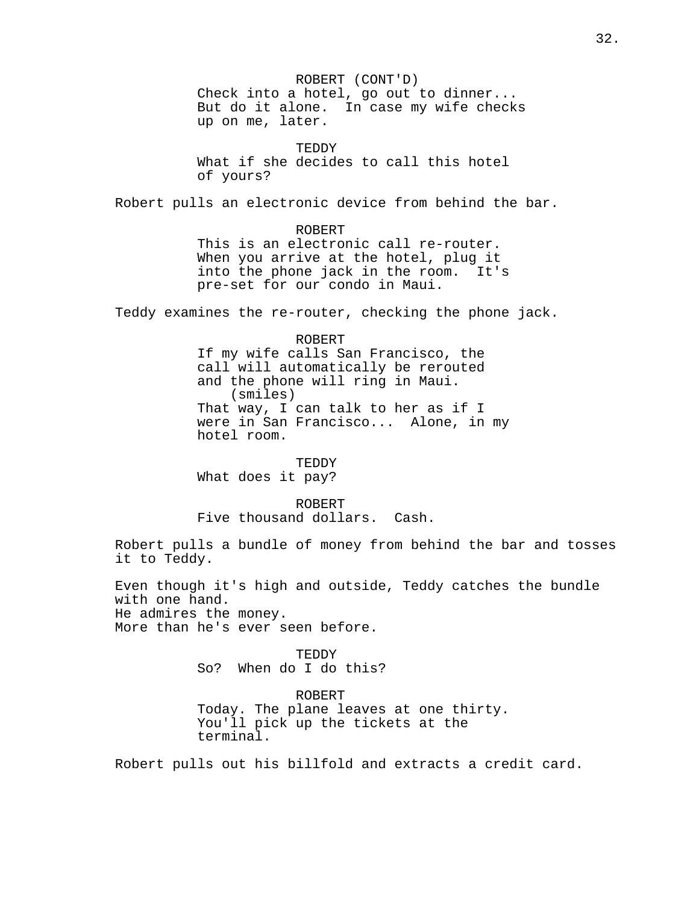ROBERT (CONT'D) Check into a hotel, go out to dinner... But do it alone. In case my wife checks up on me, later. **TEDDY** What if she decides to call this hotel of yours? Robert pulls an electronic device from behind the bar. ROBERT This is an electronic call re-router. When you arrive at the hotel, plug it into the phone jack in the room. It's pre-set for our condo in Maui. Teddy examines the re-router, checking the phone jack. ROBERT If my wife calls San Francisco, the call will automatically be rerouted and the phone will ring in Maui. (smiles) That way, I can talk to her as if I were in San Francisco... Alone, in my hotel room. TEDDY What does it pay? ROBERT Five thousand dollars. Cash. Robert pulls a bundle of money from behind the bar and tosses it to Teddy. Even though it's high and outside, Teddy catches the bundle with one hand. He admires the money. More than he's ever seen before. TEDDY So? When do I do this? ROBERT Today. The plane leaves at one thirty. You'll pick up the tickets at the terminal. Robert pulls out his billfold and extracts a credit card.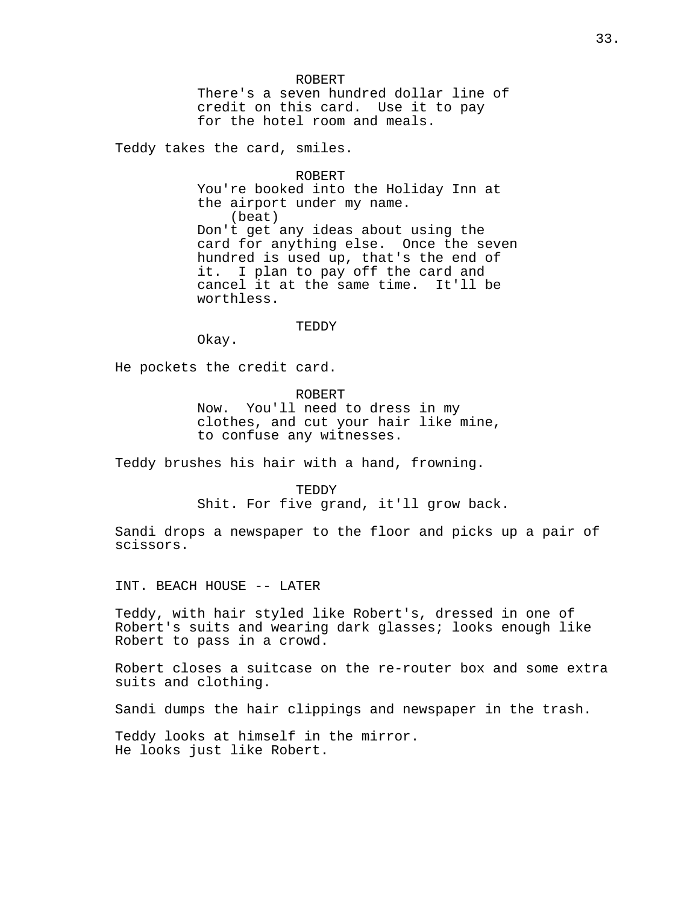#### ROBERT

There's a seven hundred dollar line of credit on this card. Use it to pay for the hotel room and meals.

Teddy takes the card, smiles.

ROBERT You're booked into the Holiday Inn at the airport under my name. (beat) Don't get any ideas about using the card for anything else. Once the seven hundred is used up, that's the end of it. I plan to pay off the card and cancel it at the same time. It'll be worthless.

#### TEDDY

Okay.

He pockets the credit card.

## ROBERT

Now. You'll need to dress in my clothes, and cut your hair like mine, to confuse any witnesses.

Teddy brushes his hair with a hand, frowning.

TEDDY Shit. For five grand, it'll grow back.

Sandi drops a newspaper to the floor and picks up a pair of scissors.

INT. BEACH HOUSE -- LATER

Teddy, with hair styled like Robert's, dressed in one of Robert's suits and wearing dark glasses; looks enough like Robert to pass in a crowd.

Robert closes a suitcase on the re-router box and some extra suits and clothing.

Sandi dumps the hair clippings and newspaper in the trash.

Teddy looks at himself in the mirror. He looks just like Robert.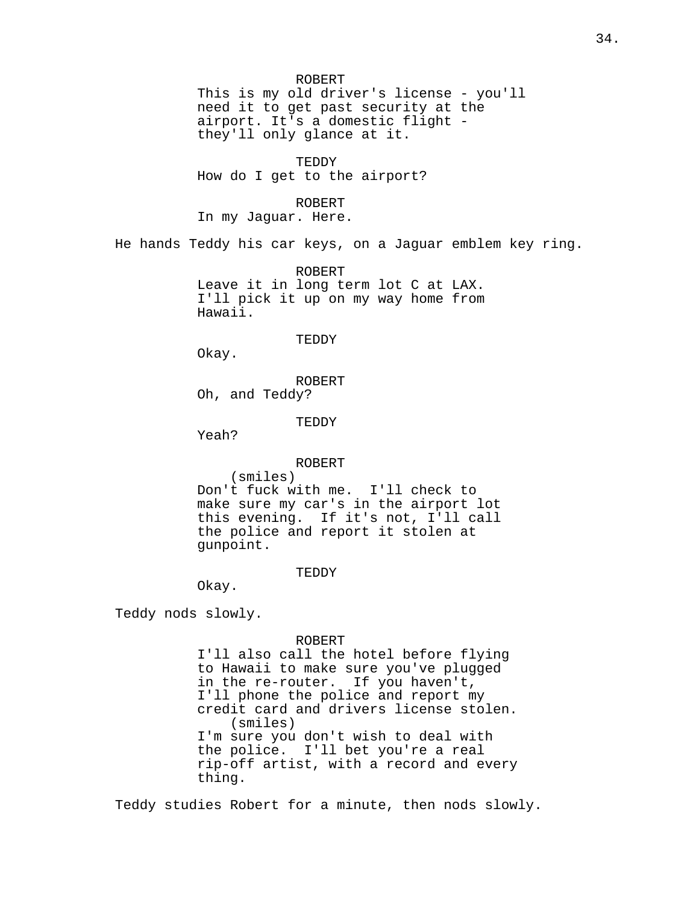ROBERT This is my old driver's license - you'll need it to get past security at the airport. It's a domestic flight they'll only glance at it. TEDDY How do I get to the airport? ROBERT In my Jaguar. Here. He hands Teddy his car keys, on a Jaguar emblem key ring. ROBERT Leave it in long term lot C at LAX. I'll pick it up on my way home from Hawaii. TEDDY Okay. ROBERT Oh, and Teddy? TEDDY Yeah? ROBERT (smiles) Don't fuck with me. I'll check to make sure my car's in the airport lot this evening. If it's not, I'll call the police and report it stolen at gunpoint. TEDDY Okay. Teddy nods slowly. ROBERT I'll also call the hotel before flying to Hawaii to make sure you've plugged in the re-router. If you haven't, I'll phone the police and report my credit card and drivers license stolen. (smiles) I'm sure you don't wish to deal with the police. I'll bet you're a real

rip-off artist, with a record and every thing.

Teddy studies Robert for a minute, then nods slowly.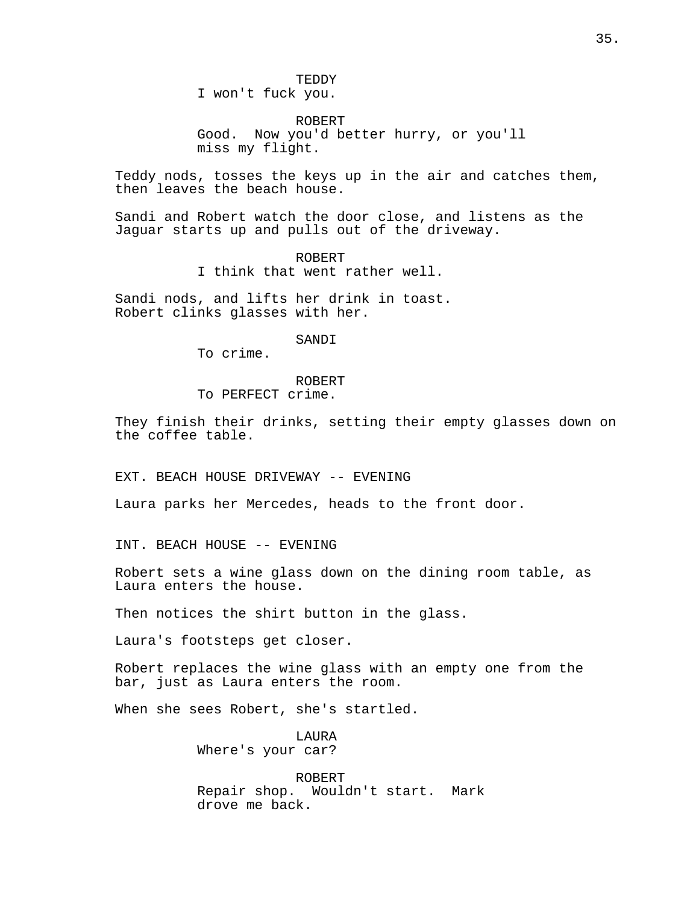TEDDY

I won't fuck you.

ROBERT Good. Now you'd better hurry, or you'll miss my flight.

Teddy nods, tosses the keys up in the air and catches them, then leaves the beach house.

Sandi and Robert watch the door close, and listens as the Jaguar starts up and pulls out of the driveway.

> ROBERT I think that went rather well.

Sandi nods, and lifts her drink in toast. Robert clinks glasses with her.

SANDI

To crime.

ROBERT To PERFECT crime.

They finish their drinks, setting their empty glasses down on the coffee table.

EXT. BEACH HOUSE DRIVEWAY -- EVENING

Laura parks her Mercedes, heads to the front door.

INT. BEACH HOUSE -- EVENING

Robert sets a wine glass down on the dining room table, as Laura enters the house.

Then notices the shirt button in the glass.

Laura's footsteps get closer.

Robert replaces the wine glass with an empty one from the bar, just as Laura enters the room.

When she sees Robert, she's startled.

LAURA Where's your car?

ROBERT Repair shop. Wouldn't start. Mark drove me back.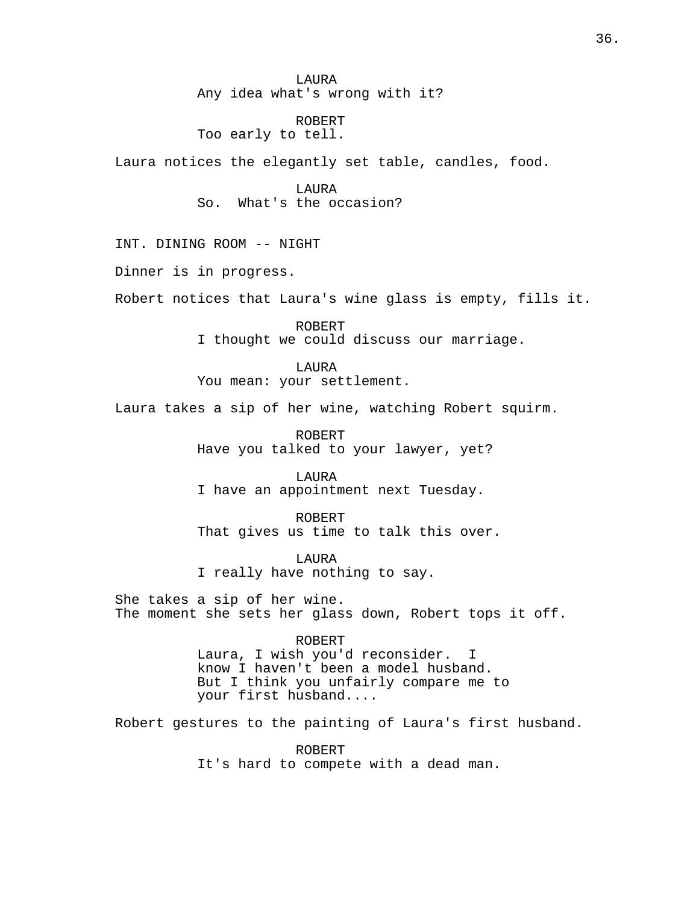LAURA Any idea what's wrong with it?

# ROBERT

Too early to tell.

Laura notices the elegantly set table, candles, food.

LAURA So. What's the occasion?

INT. DINING ROOM -- NIGHT

Dinner is in progress.

Robert notices that Laura's wine glass is empty, fills it.

ROBERT I thought we could discuss our marriage.

LAURA You mean: your settlement.

Laura takes a sip of her wine, watching Robert squirm.

ROBERT Have you talked to your lawyer, yet?

LAURA I have an appointment next Tuesday.

ROBERT That gives us time to talk this over.

LAURA I really have nothing to say.

She takes a sip of her wine. The moment she sets her glass down, Robert tops it off.

ROBERT

Laura, I wish you'd reconsider. I know I haven't been a model husband. But I think you unfairly compare me to your first husband....

Robert gestures to the painting of Laura's first husband.

ROBERT It's hard to compete with a dead man.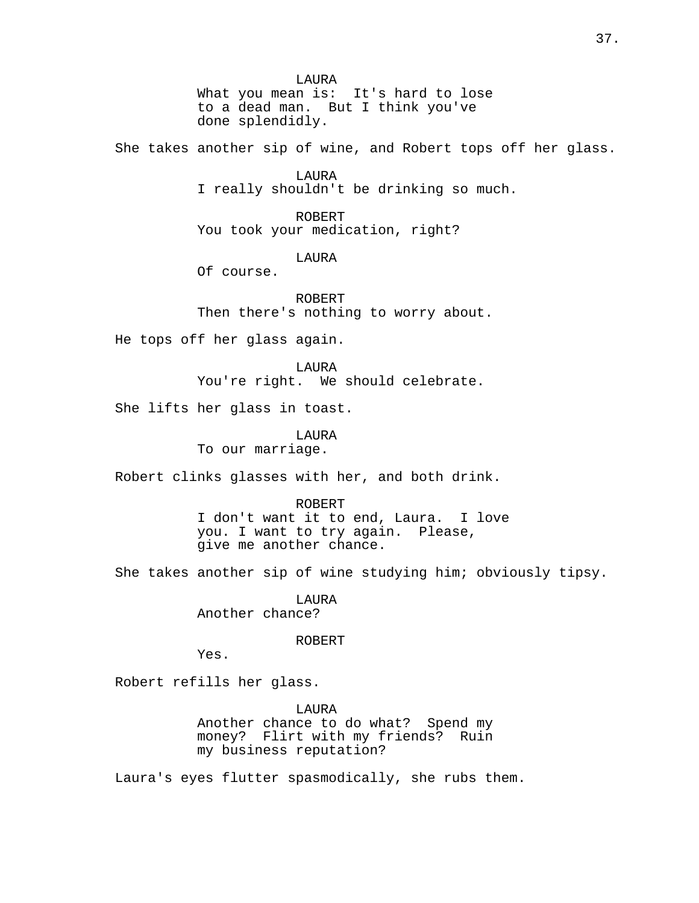LAURA What you mean is: It's hard to lose to a dead man. But I think you've done splendidly.

She takes another sip of wine, and Robert tops off her glass.

LAURA I really shouldn't be drinking so much.

ROBERT You took your medication, right?

LAURA

Of course.

ROBERT Then there's nothing to worry about.

He tops off her glass again.

LAURA You're right. We should celebrate.

She lifts her glass in toast.

LAURA To our marriage.

Robert clinks glasses with her, and both drink.

ROBERT I don't want it to end, Laura. I love you. I want to try again. Please,

give me another chance.

She takes another sip of wine studying him; obviously tipsy.

LAURA Another chance?

ROBERT

Yes.

Robert refills her glass.

LAURA Another chance to do what? Spend my money? Flirt with my friends? Ruin my business reputation?

Laura's eyes flutter spasmodically, she rubs them.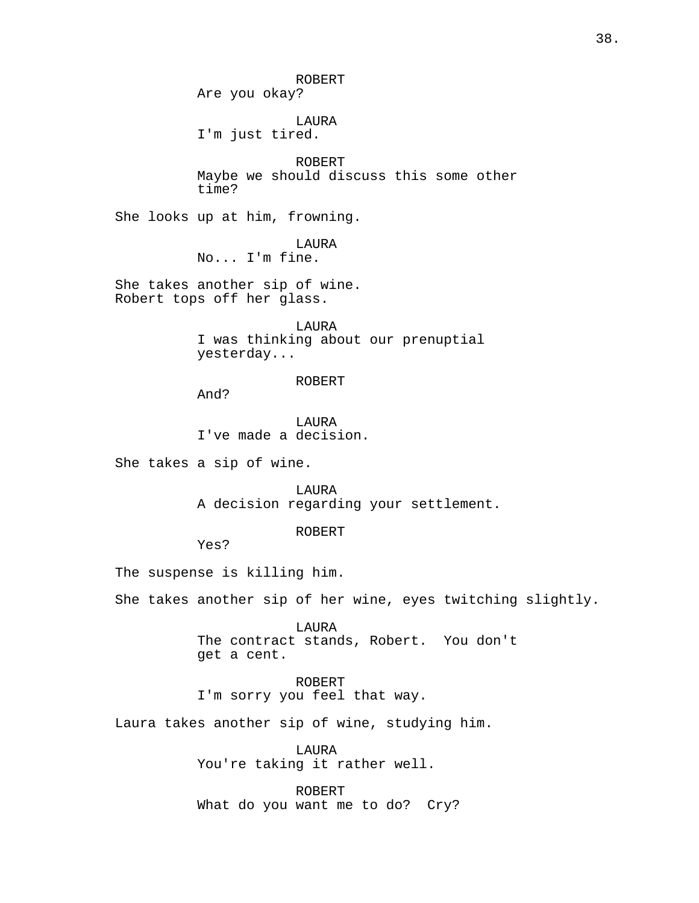ROBERT Are you okay? LAURA I'm just tired. ROBERT Maybe we should discuss this some other time? She looks up at him, frowning. LAURA No... I'm fine. She takes another sip of wine. Robert tops off her glass. LAURA I was thinking about our prenuptial yesterday... ROBERT And? LAURA I've made a decision. She takes a sip of wine. LAURA A decision regarding your settlement. ROBERT Yes? The suspense is killing him. She takes another sip of her wine, eyes twitching slightly. LAURA The contract stands, Robert. You don't get a cent. ROBERT I'm sorry you feel that way. Laura takes another sip of wine, studying him. LAURA You're taking it rather well. ROBERT What do you want me to do? Cry?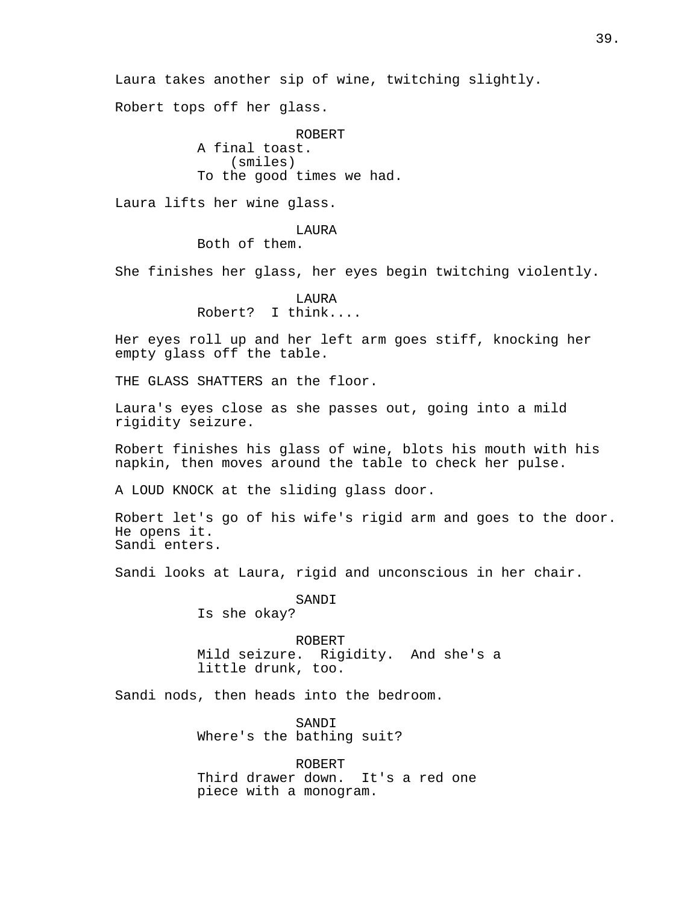Laura takes another sip of wine, twitching slightly. Robert tops off her glass. ROBERT A final toast. (smiles) To the good times we had. Laura lifts her wine glass. LAURA Both of them. She finishes her glass, her eyes begin twitching violently. LAURA Robert? I think.... Her eyes roll up and her left arm goes stiff, knocking her empty glass off the table. THE GLASS SHATTERS an the floor. Laura's eyes close as she passes out, going into a mild rigidity seizure. Robert finishes his glass of wine, blots his mouth with his napkin, then moves around the table to check her pulse. A LOUD KNOCK at the sliding glass door. Robert let's go of his wife's rigid arm and goes to the door. He opens it. Sandi enters. Sandi looks at Laura, rigid and unconscious in her chair. SANDI Is she okay? ROBERT Mild seizure. Rigidity. And she's a little drunk, too. Sandi nods, then heads into the bedroom. SANDI Where's the bathing suit? ROBERT Third drawer down. It's a red one piece with a monogram.

39.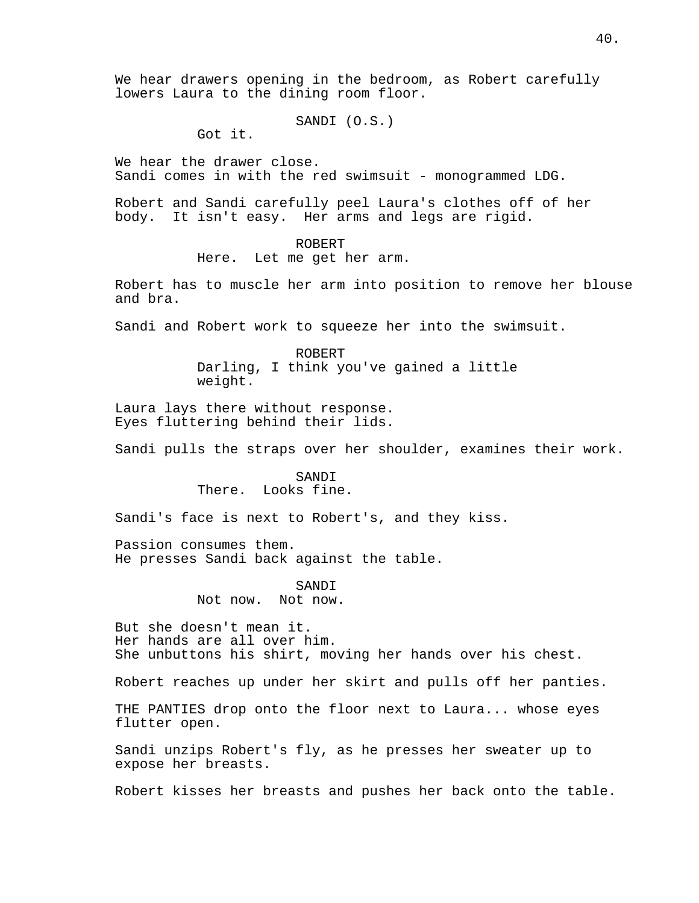We hear drawers opening in the bedroom, as Robert carefully lowers Laura to the dining room floor.

SANDI (O.S.)

Got it.

We hear the drawer close. Sandi comes in with the red swimsuit - monogrammed LDG.

Robert and Sandi carefully peel Laura's clothes off of her body. It isn't easy. Her arms and legs are rigid.

# ROBERT

Here. Let me get her arm.

Robert has to muscle her arm into position to remove her blouse and bra.

Sandi and Robert work to squeeze her into the swimsuit.

ROBERT Darling, I think you've gained a little weight.

Laura lays there without response. Eyes fluttering behind their lids.

Sandi pulls the straps over her shoulder, examines their work.

### SANDI There. Looks fine.

Sandi's face is next to Robert's, and they kiss.

Passion consumes them. He presses Sandi back against the table.

> SANDI Not now. Not now.

But she doesn't mean it. Her hands are all over him. She unbuttons his shirt, moving her hands over his chest.

Robert reaches up under her skirt and pulls off her panties.

THE PANTIES drop onto the floor next to Laura... whose eyes flutter open.

Sandi unzips Robert's fly, as he presses her sweater up to expose her breasts.

Robert kisses her breasts and pushes her back onto the table.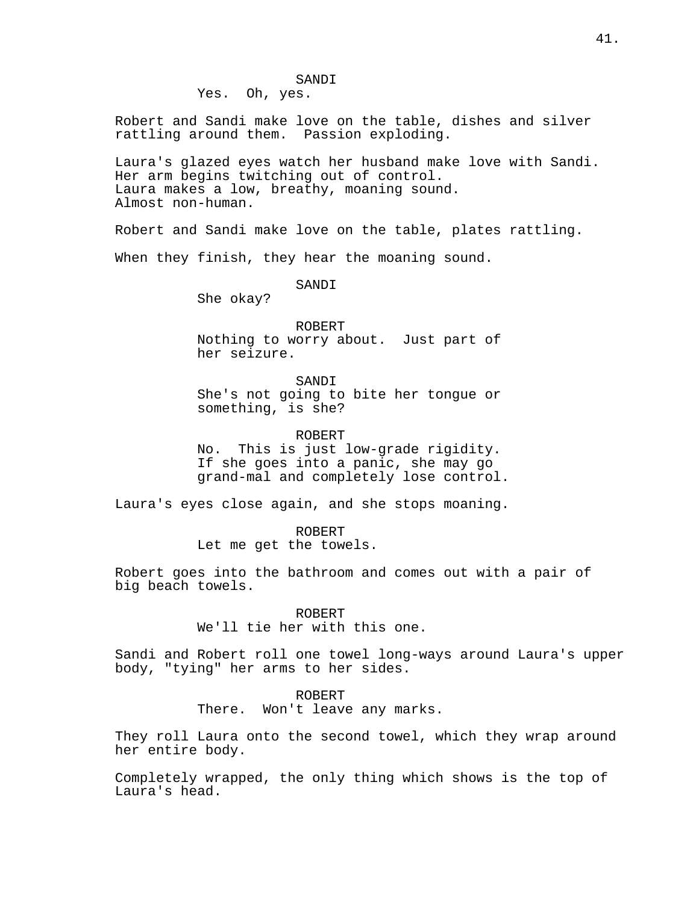#### SANDI

Yes. Oh, yes.

Robert and Sandi make love on the table, dishes and silver rattling around them. Passion exploding.

Laura's glazed eyes watch her husband make love with Sandi. Her arm begins twitching out of control. Laura makes a low, breathy, moaning sound. Almost non-human.

Robert and Sandi make love on the table, plates rattling.

When they finish, they hear the moaning sound.

SANDI

She okay?

ROBERT Nothing to worry about. Just part of her seizure.

SANDI She's not going to bite her tongue or something, is she?

ROBERT

No. This is just low-grade rigidity. If she goes into a panic, she may go grand-mal and completely lose control.

Laura's eyes close again, and she stops moaning.

ROBERT Let me get the towels.

Robert goes into the bathroom and comes out with a pair of big beach towels.

ROBERT

We'll tie her with this one.

Sandi and Robert roll one towel long-ways around Laura's upper body, "tying" her arms to her sides.

# ROBERT

There. Won't leave any marks.

They roll Laura onto the second towel, which they wrap around her entire body.

Completely wrapped, the only thing which shows is the top of Laura's head.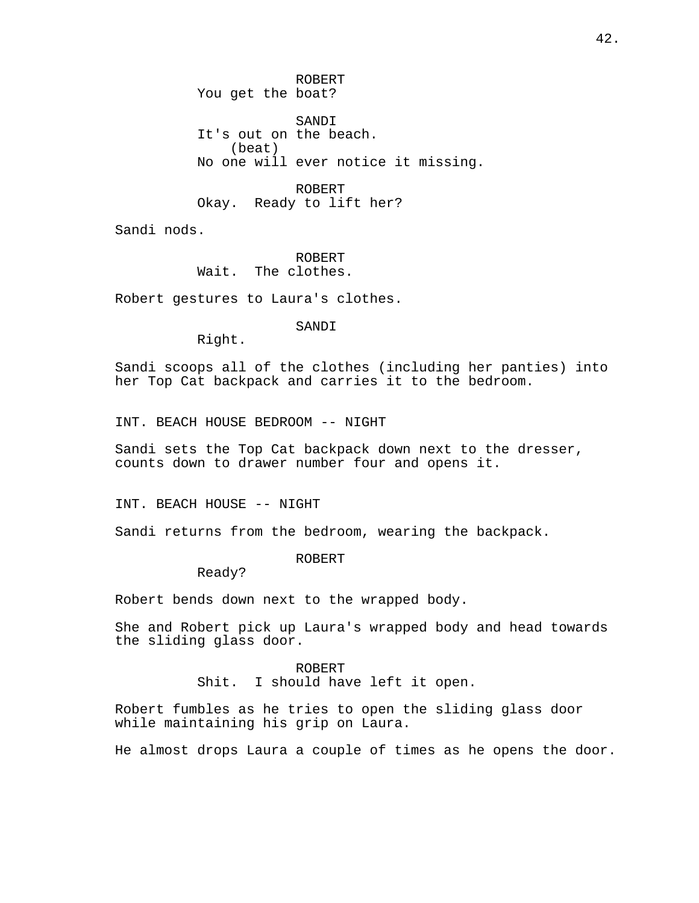ROBERT You get the boat? SANDI It's out on the beach. (beat) No one will ever notice it missing.

ROBERT Okay. Ready to lift her?

Sandi nods.

ROBERT Wait. The clothes.

Robert gestures to Laura's clothes.

SANDI

Right.

Sandi scoops all of the clothes (including her panties) into her Top Cat backpack and carries it to the bedroom.

INT. BEACH HOUSE BEDROOM -- NIGHT

Sandi sets the Top Cat backpack down next to the dresser, counts down to drawer number four and opens it.

INT. BEACH HOUSE -- NIGHT

Sandi returns from the bedroom, wearing the backpack.

ROBERT

Ready?

Robert bends down next to the wrapped body.

She and Robert pick up Laura's wrapped body and head towards the sliding glass door.

> ROBERT Shit. I should have left it open.

Robert fumbles as he tries to open the sliding glass door while maintaining his grip on Laura.

He almost drops Laura a couple of times as he opens the door.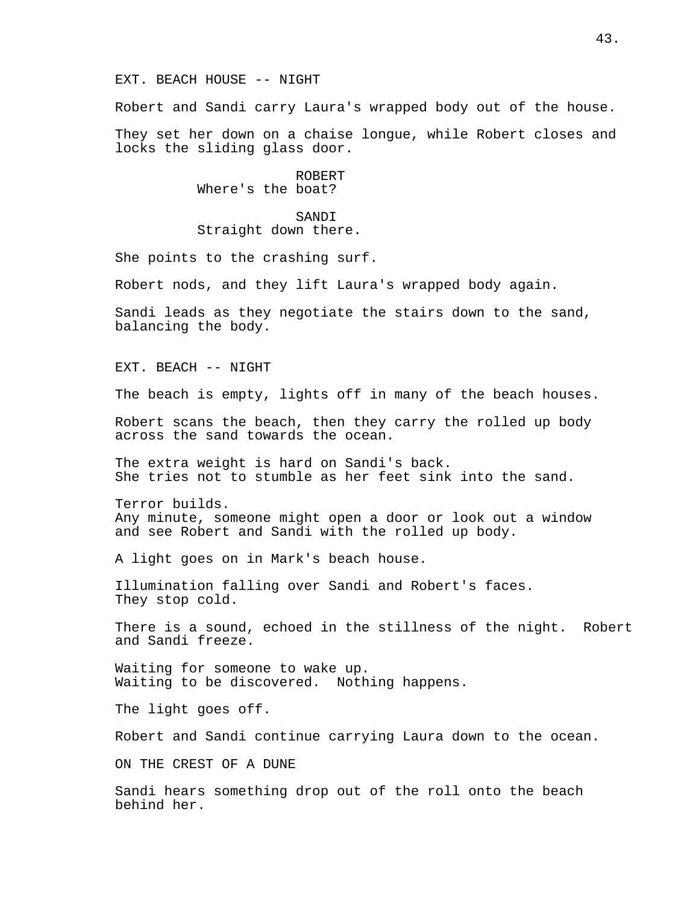#### EXT. BEACH HOUSE -- NIGHT

Robert and Sandi carry Laura's wrapped body out of the house.

They set her down on a chaise longue, while Robert closes and locks the sliding glass door.

> ROBERT Where's the boat?

SANDI Straight down there.

She points to the crashing surf.

Robert nods, and they lift Laura's wrapped body again.

Sandi leads as they negotiate the stairs down to the sand, balancing the body.

EXT. BEACH -- NIGHT

The beach is empty, lights off in many of the beach houses.

Robert scans the beach, then they carry the rolled up body across the sand towards the ocean.

The extra weight is hard on Sandi's back. She tries not to stumble as her feet sink into the sand.

Terror builds. Any minute, someone might open a door or look out a window and see Robert and Sandi with the rolled up body.

A light goes on in Mark's beach house.

Illumination falling over Sandi and Robert's faces. They stop cold.

There is a sound, echoed in the stillness of the night. Robert and Sandi freeze.

Waiting for someone to wake up. Waiting to be discovered. Nothing happens.

The light goes off.

Robert and Sandi continue carrying Laura down to the ocean.

ON THE CREST OF A DUNE

Sandi hears something drop out of the roll onto the beach behind her.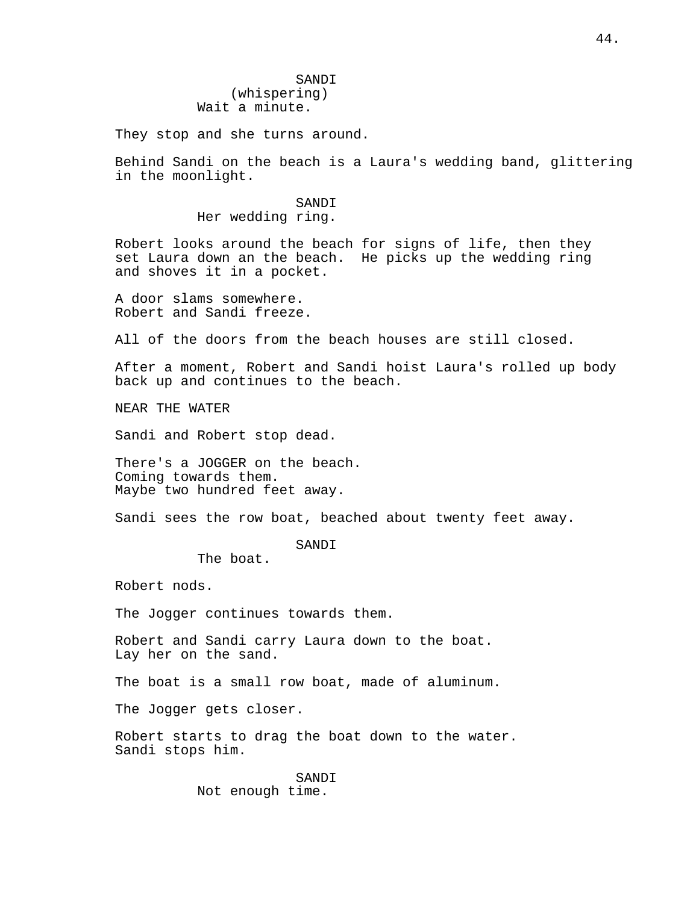They stop and she turns around.

Behind Sandi on the beach is a Laura's wedding band, glittering in the moonlight.

> SANDI Her wedding ring.

Robert looks around the beach for signs of life, then they set Laura down an the beach. He picks up the wedding ring and shoves it in a pocket.

A door slams somewhere. Robert and Sandi freeze.

All of the doors from the beach houses are still closed.

After a moment, Robert and Sandi hoist Laura's rolled up body back up and continues to the beach.

NEAR THE WATER

Sandi and Robert stop dead.

There's a JOGGER on the beach. Coming towards them. Maybe two hundred feet away.

Sandi sees the row boat, beached about twenty feet away.

SANDI

The boat.

Robert nods.

The Jogger continues towards them.

Robert and Sandi carry Laura down to the boat. Lay her on the sand.

The boat is a small row boat, made of aluminum.

The Jogger gets closer.

Robert starts to drag the boat down to the water. Sandi stops him.

> SANDI Not enough time.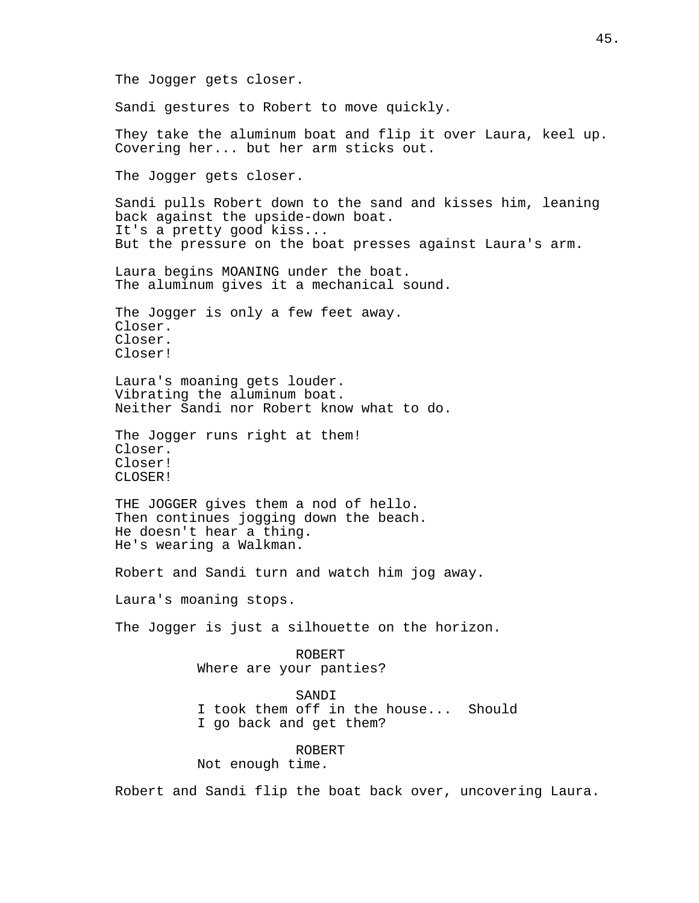The Jogger gets closer. Sandi gestures to Robert to move quickly. They take the aluminum boat and flip it over Laura, keel up. Covering her... but her arm sticks out. The Jogger gets closer. Sandi pulls Robert down to the sand and kisses him, leaning back against the upside-down boat. It's a pretty good kiss... But the pressure on the boat presses against Laura's arm. Laura begins MOANING under the boat. The aluminum gives it a mechanical sound. The Jogger is only a few feet away. Closer. Closer. Closer! Laura's moaning gets louder. Vibrating the aluminum boat. Neither Sandi nor Robert know what to do. The Jogger runs right at them! Closer. Closer! CLOSER! THE JOGGER gives them a nod of hello. Then continues jogging down the beach. He doesn't hear a thing. He's wearing a Walkman. Robert and Sandi turn and watch him jog away. Laura's moaning stops. The Jogger is just a silhouette on the horizon. ROBERT Where are your panties? SANDI I took them off in the house... Should I go back and get them? ROBERT Not enough time. Robert and Sandi flip the boat back over, uncovering Laura.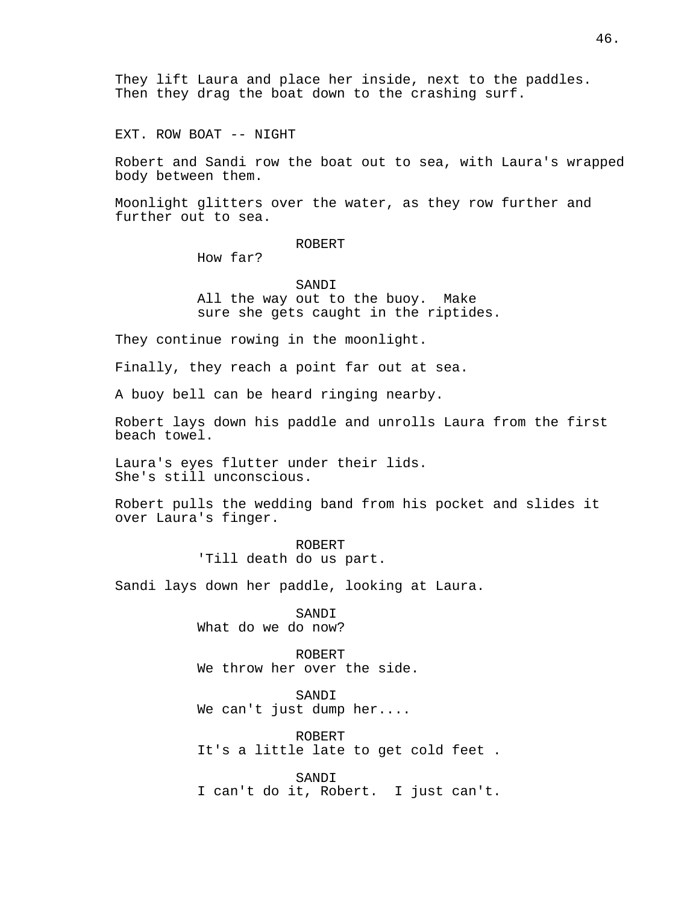They lift Laura and place her inside, next to the paddles. Then they drag the boat down to the crashing surf.

EXT. ROW BOAT -- NIGHT

Robert and Sandi row the boat out to sea, with Laura's wrapped body between them.

Moonlight glitters over the water, as they row further and further out to sea.

### ROBERT

How far?

SANDI All the way out to the buoy. Make sure she gets caught in the riptides.

They continue rowing in the moonlight.

Finally, they reach a point far out at sea.

A buoy bell can be heard ringing nearby.

Robert lays down his paddle and unrolls Laura from the first beach towel.

Laura's eyes flutter under their lids. She's still unconscious.

Robert pulls the wedding band from his pocket and slides it over Laura's finger.

> ROBERT 'Till death do us part.

Sandi lays down her paddle, looking at Laura.

SANDI What do we do now?

ROBERT We throw her over the side.

SANDI We can't just dump her....

ROBERT It's a little late to get cold feet .

SANDI I can't do it, Robert. I just can't.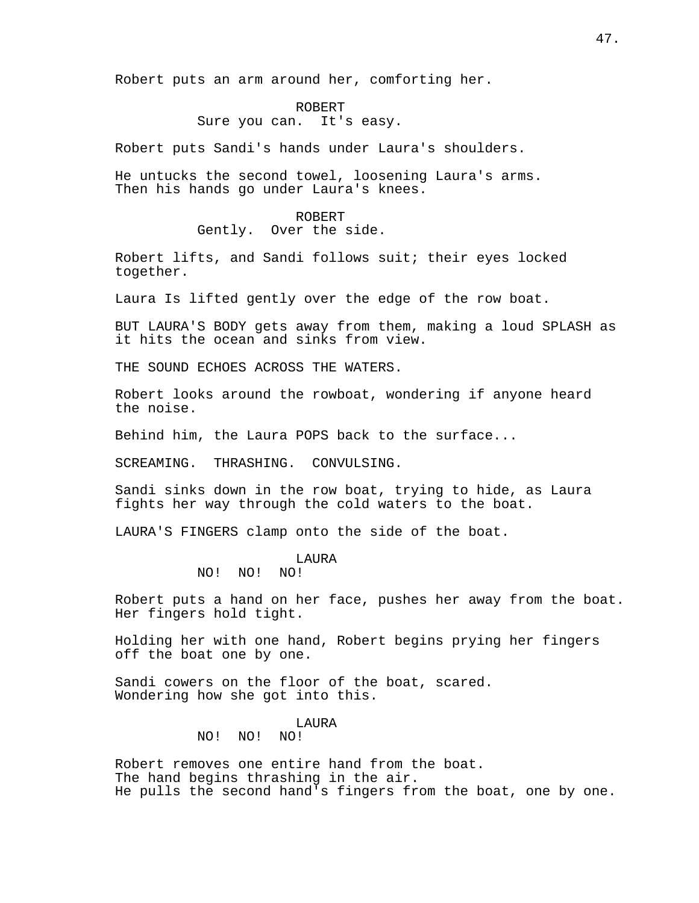Robert puts an arm around her, comforting her.

#### ROBERT

### Sure you can. It's easy.

Robert puts Sandi's hands under Laura's shoulders.

He untucks the second towel, loosening Laura's arms. Then his hands go under Laura's knees.

#### ROBERT

Gently. Over the side.

Robert lifts, and Sandi follows suit; their eyes locked together.

Laura Is lifted gently over the edge of the row boat.

BUT LAURA'S BODY gets away from them, making a loud SPLASH as it hits the ocean and sinks from view.

THE SOUND ECHOES ACROSS THE WATERS.

Robert looks around the rowboat, wondering if anyone heard the noise.

Behind him, the Laura POPS back to the surface...

SCREAMING. THRASHING. CONVULSING.

Sandi sinks down in the row boat, trying to hide, as Laura fights her way through the cold waters to the boat.

LAURA'S FINGERS clamp onto the side of the boat.

#### LAURA

NO! NO! NO!

Robert puts a hand on her face, pushes her away from the boat. Her fingers hold tight.

Holding her with one hand, Robert begins prying her fingers off the boat one by one.

Sandi cowers on the floor of the boat, scared. Wondering how she got into this.

### LAURA

### NO! NO! NO!

Robert removes one entire hand from the boat. The hand begins thrashing in the air. He pulls the second hand's fingers from the boat, one by one.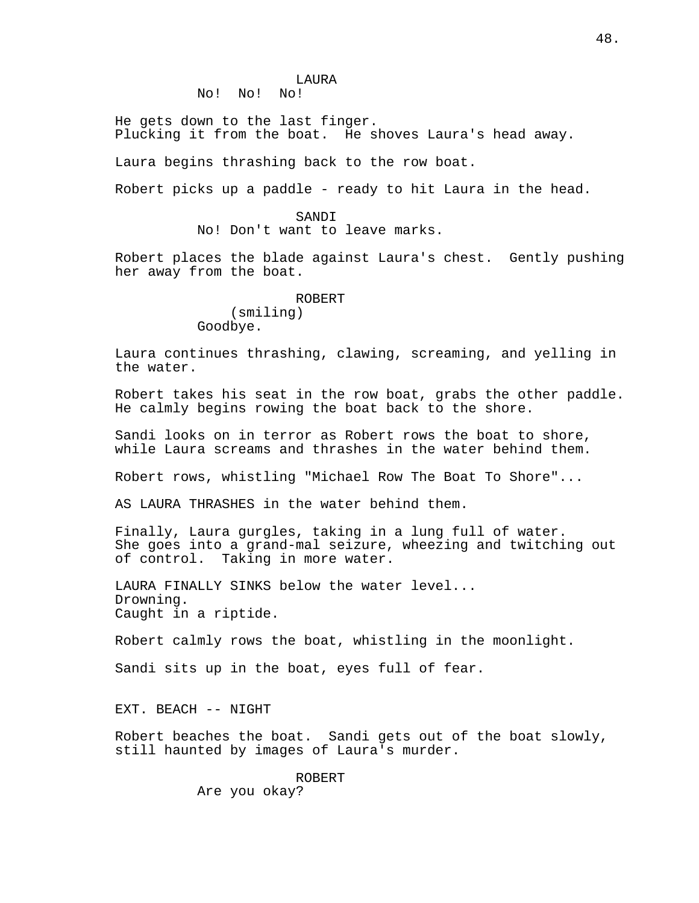No! No! No!

He gets down to the last finger. Plucking it from the boat. He shoves Laura's head away.

Laura begins thrashing back to the row boat.

Robert picks up a paddle - ready to hit Laura in the head.

#### SANDI

No! Don't want to leave marks.

Robert places the blade against Laura's chest. Gently pushing her away from the boat.

> ROBERT (smiling) Goodbye.

Laura continues thrashing, clawing, screaming, and yelling in the water.

Robert takes his seat in the row boat, grabs the other paddle. He calmly begins rowing the boat back to the shore.

Sandi looks on in terror as Robert rows the boat to shore, while Laura screams and thrashes in the water behind them.

Robert rows, whistling "Michael Row The Boat To Shore"...

AS LAURA THRASHES in the water behind them.

Finally, Laura gurgles, taking in a lung full of water. She goes into a grand-mal seizure, wheezing and twitching out of control. Taking in more water.

LAURA FINALLY SINKS below the water level... Drowning. Caught in a riptide.

Robert calmly rows the boat, whistling in the moonlight.

Sandi sits up in the boat, eyes full of fear.

EXT. BEACH -- NIGHT

Robert beaches the boat. Sandi gets out of the boat slowly, still haunted by images of Laura's murder.

> ROBERT Are you okay?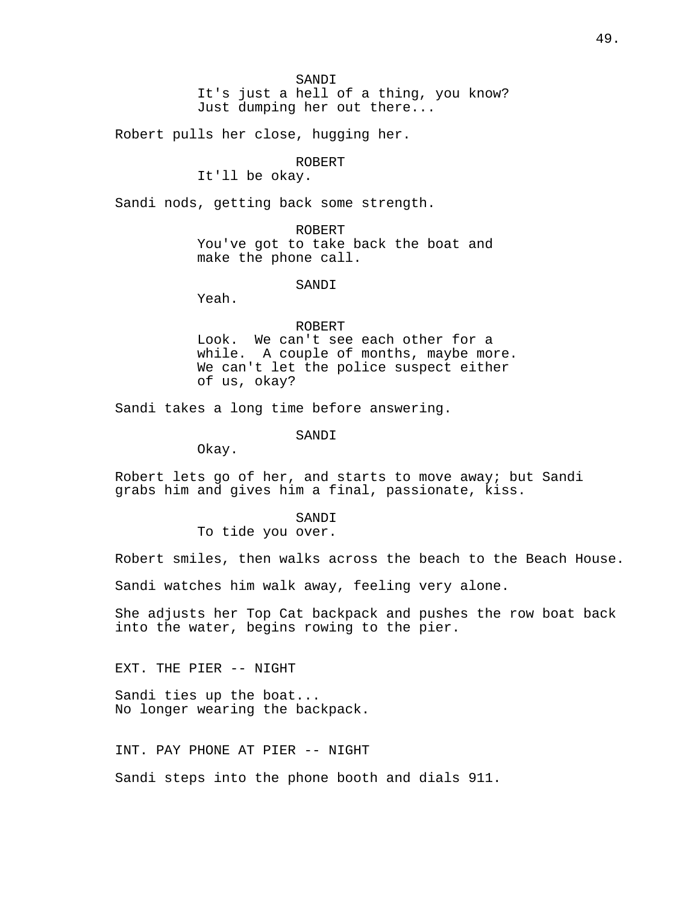It's just a hell of a thing, you know? Just dumping her out there...

Robert pulls her close, hugging her.

## ROBERT

It'll be okay.

Sandi nods, getting back some strength.

ROBERT You've got to take back the boat and make the phone call.

#### SANDI

Yeah.

### ROBERT

Look. We can't see each other for a while. A couple of months, maybe more. We can't let the police suspect either of us, okay?

Sandi takes a long time before answering.

SANDI

Okay.

Robert lets go of her, and starts to move away; but Sandi grabs him and gives him a final, passionate, kiss.

#### SANDI

To tide you over.

Robert smiles, then walks across the beach to the Beach House.

Sandi watches him walk away, feeling very alone.

She adjusts her Top Cat backpack and pushes the row boat back into the water, begins rowing to the pier.

EXT. THE PIER -- NIGHT

Sandi ties up the boat... No longer wearing the backpack.

INT. PAY PHONE AT PIER -- NIGHT

Sandi steps into the phone booth and dials 911.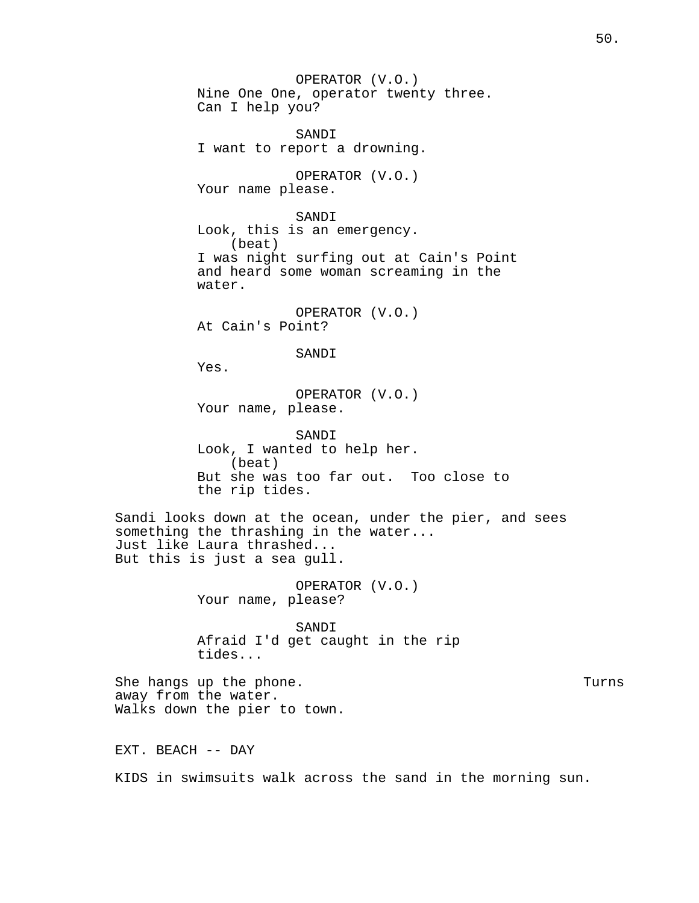OPERATOR (V.O.) Nine One One, operator twenty three. Can I help you? SANDI I want to report a drowning. OPERATOR (V.O.) Your name please. SANDI Look, this is an emergency. (beat) I was night surfing out at Cain's Point and heard some woman screaming in the water. OPERATOR (V.O.) At Cain's Point? SANDI Yes. OPERATOR (V.O.) Your name, please. SANDI Look, I wanted to help her. (beat) But she was too far out. Too close to the rip tides. Sandi looks down at the ocean, under the pier, and sees something the thrashing in the water... Just like Laura thrashed... But this is just a sea gull. OPERATOR (V.O.) Your name, please? SANDI Afraid I'd get caught in the rip tides... She hangs up the phone. The set of the state of the state of the state of the state of the state of the state o away from the water. Walks down the pier to town. EXT. BEACH -- DAY KIDS in swimsuits walk across the sand in the morning sun.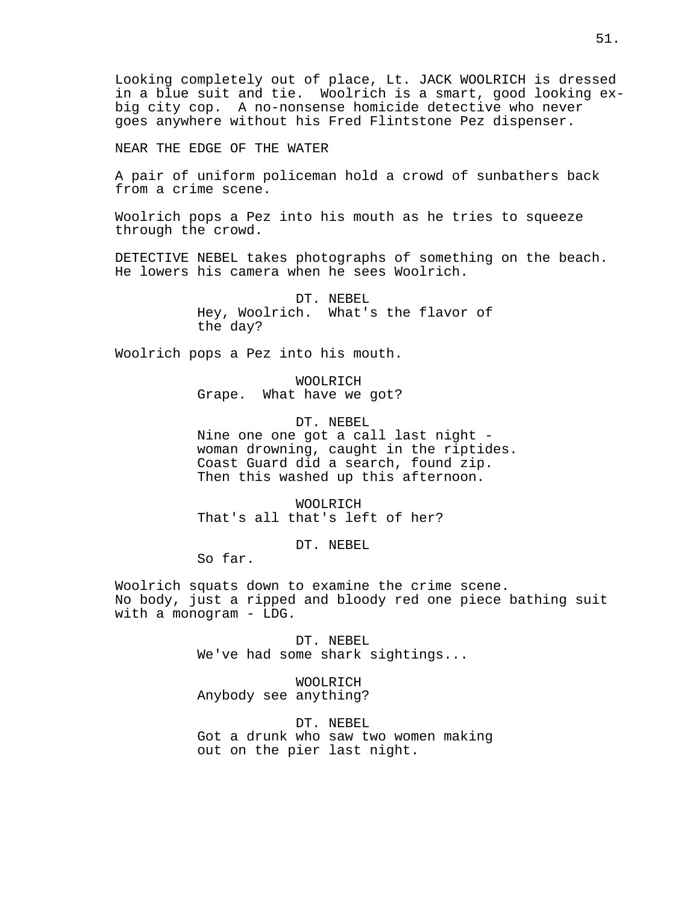Looking completely out of place, Lt. JACK WOOLRICH is dressed in a blue suit and tie. Woolrich is a smart, good looking exbig city cop. A no-nonsense homicide detective who never goes anywhere without his Fred Flintstone Pez dispenser.

NEAR THE EDGE OF THE WATER

A pair of uniform policeman hold a crowd of sunbathers back from a crime scene.

Woolrich pops a Pez into his mouth as he tries to squeeze through the crowd.

DETECTIVE NEBEL takes photographs of something on the beach. He lowers his camera when he sees Woolrich.

> DT. NEBEL Hey, Woolrich. What's the flavor of the day?

Woolrich pops a Pez into his mouth.

WOOLRICH Grape. What have we got?

DT. NEBEL Nine one one got a call last night woman drowning, caught in the riptides. Coast Guard did a search, found zip. Then this washed up this afternoon.

WOOLRICH That's all that's left of her?

DT. NEBEL

So far.

Woolrich squats down to examine the crime scene. No body, just a ripped and bloody red one piece bathing suit with a monogram - LDG.

> DT. NEBEL We've had some shark sightings...

WOOLRICH Anybody see anything?

DT. NEBEL Got a drunk who saw two women making out on the pier last night.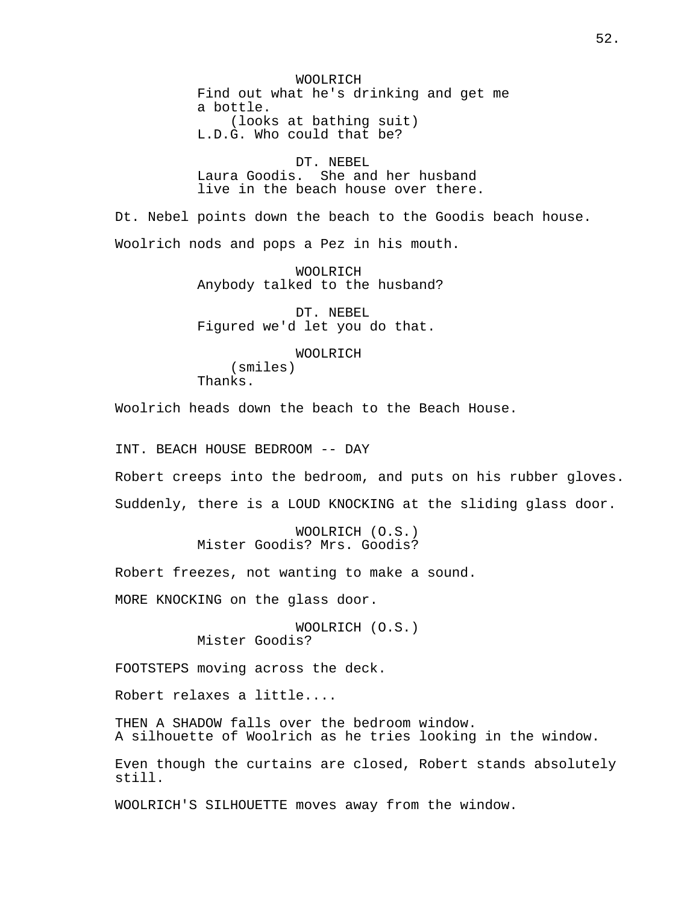WOOLRICH Find out what he's drinking and get me a bottle. (looks at bathing suit) L.D.G. Who could that be?

DT. NEBEL Laura Goodis. She and her husband live in the beach house over there.

Dt. Nebel points down the beach to the Goodis beach house. Woolrich nods and pops a Pez in his mouth.

> WOOLRICH Anybody talked to the husband?

DT. NEBEL Figured we'd let you do that.

WOOLRICH (smiles) Thanks.

Woolrich heads down the beach to the Beach House.

INT. BEACH HOUSE BEDROOM -- DAY

Robert creeps into the bedroom, and puts on his rubber gloves. Suddenly, there is a LOUD KNOCKING at the sliding glass door.

> WOOLRICH (O.S.) Mister Goodis? Mrs. Goodis?

Robert freezes, not wanting to make a sound.

MORE KNOCKING on the glass door.

WOOLRICH (O.S.) Mister Goodis?

FOOTSTEPS moving across the deck.

Robert relaxes a little....

THEN A SHADOW falls over the bedroom window. A silhouette of Woolrich as he tries looking in the window.

Even though the curtains are closed, Robert stands absolutely still.

WOOLRICH'S SILHOUETTE moves away from the window.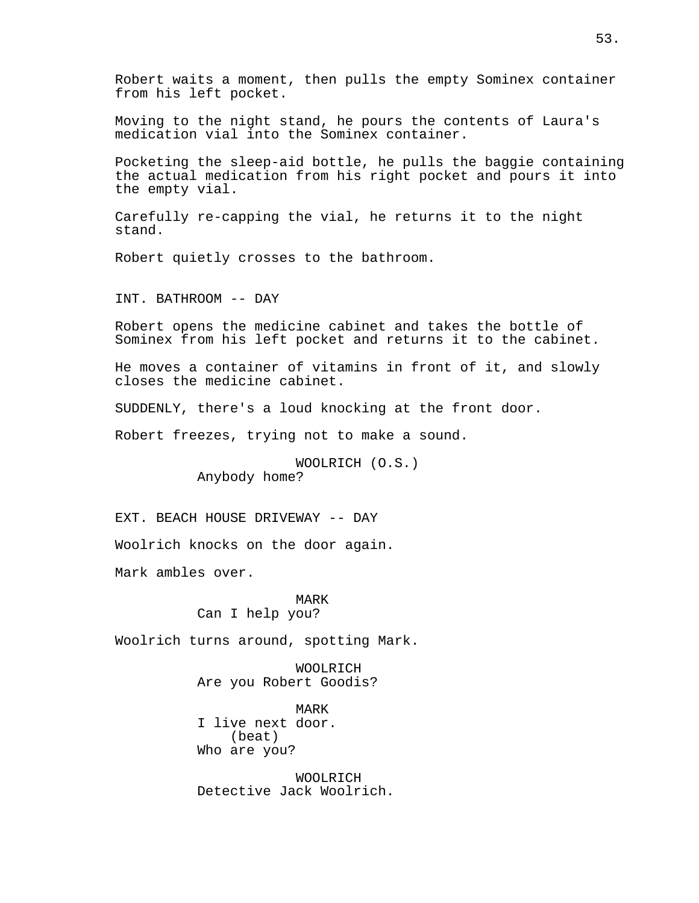Robert waits a moment, then pulls the empty Sominex container from his left pocket.

Moving to the night stand, he pours the contents of Laura's medication vial into the Sominex container.

Pocketing the sleep-aid bottle, he pulls the baggie containing the actual medication from his right pocket and pours it into the empty vial.

Carefully re-capping the vial, he returns it to the night stand.

Robert quietly crosses to the bathroom.

INT. BATHROOM -- DAY

Robert opens the medicine cabinet and takes the bottle of Sominex from his left pocket and returns it to the cabinet.

He moves a container of vitamins in front of it, and slowly closes the medicine cabinet.

SUDDENLY, there's a loud knocking at the front door.

Robert freezes, trying not to make a sound.

WOOLRICH (O.S.) Anybody home?

EXT. BEACH HOUSE DRIVEWAY -- DAY

Woolrich knocks on the door again.

Mark ambles over.

### MARK Can I help you?

Woolrich turns around, spotting Mark.

WOOLRICH Are you Robert Goodis?

MARK I live next door. (beat) Who are you?

WOOLRICH Detective Jack Woolrich.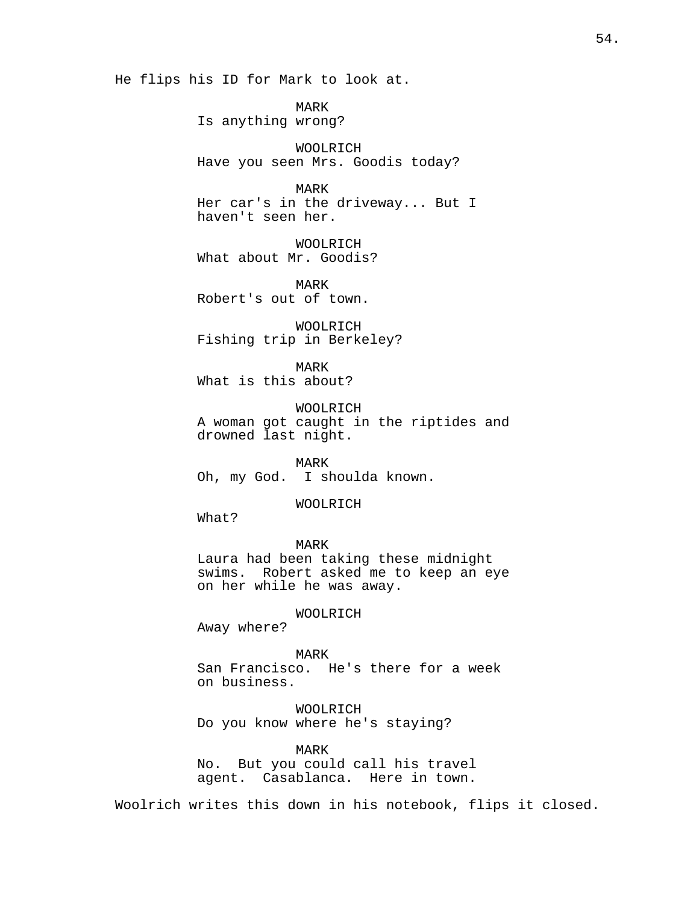He flips his ID for Mark to look at.

MARK Is anything wrong?

WOOLRICH Have you seen Mrs. Goodis today?

MARK Her car's in the driveway... But I haven't seen her.

WOOLRICH What about Mr. Goodis?

MARK Robert's out of town.

WOOLRICH Fishing trip in Berkeley?

MARK What is this about?

WOOLRICH A woman got caught in the riptides and drowned last night.

MARK Oh, my God. I shoulda known.

WOOLRICH

What?

MARK Laura had been taking these midnight swims. Robert asked me to keep an eye on her while he was away.

WOOLRICH

Away where?

MARK

San Francisco. He's there for a week on business.

WOOLRICH Do you know where he's staying?

MARK

No. But you could call his travel agent. Casablanca. Here in town.

Woolrich writes this down in his notebook, flips it closed.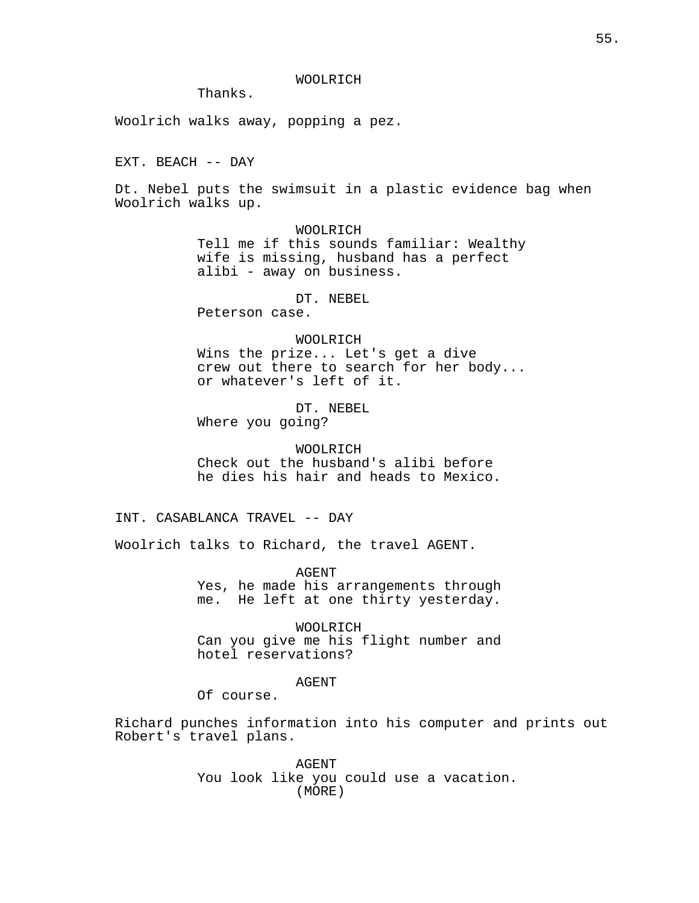WOOLRICH

Thanks.

Woolrich walks away, popping a pez.

EXT. BEACH -- DAY

Dt. Nebel puts the swimsuit in a plastic evidence bag when Woolrich walks up.

> WOOLRICH Tell me if this sounds familiar: Wealthy wife is missing, husband has a perfect alibi - away on business.

> > DT. NEBEL

Peterson case.

#### WOOLRICH

Wins the prize... Let's get a dive crew out there to search for her body... or whatever's left of it.

DT. NEBEL

Where you going?

WOOLRICH Check out the husband's alibi before he dies his hair and heads to Mexico.

INT. CASABLANCA TRAVEL -- DAY

Woolrich talks to Richard, the travel AGENT.

AGENT Yes, he made his arrangements through me. He left at one thirty yesterday.

WOOLRICH Can you give me his flight number and hotel reservations?

AGENT

Of course.

Richard punches information into his computer and prints out Robert's travel plans.

> AGENT You look like you could use a vacation. (MORE)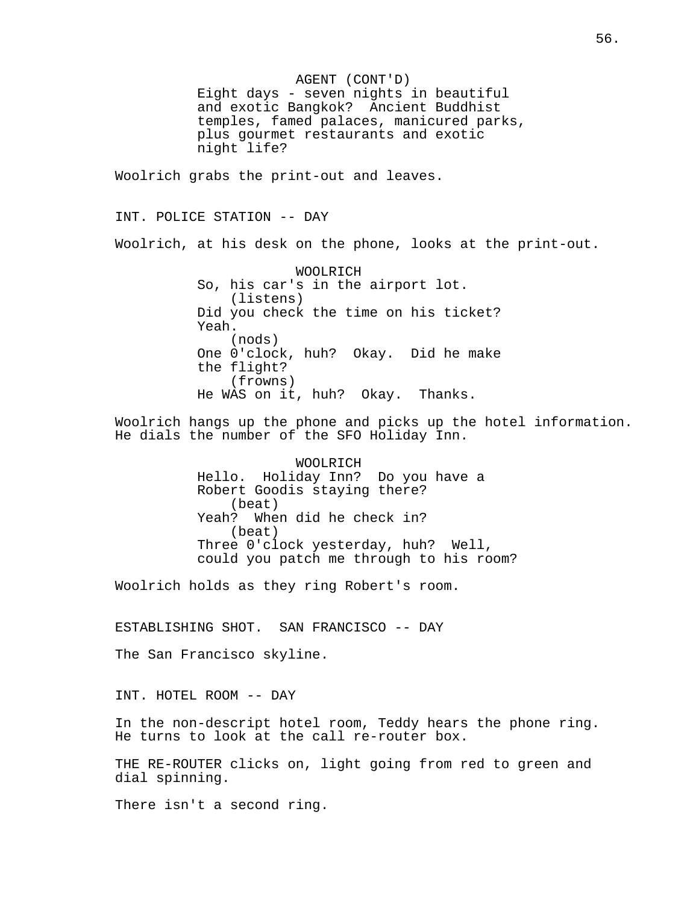AGENT (CONT'D) Eight days - seven nights in beautiful and exotic Bangkok? Ancient Buddhist temples, famed palaces, manicured parks, plus gourmet restaurants and exotic night life? Woolrich grabs the print-out and leaves. INT. POLICE STATION -- DAY Woolrich, at his desk on the phone, looks at the print-out. WOOLRICH So, his car's in the airport lot. (listens) Did you check the time on his ticket? Yeah. (nods) One 0'clock, huh? Okay. Did he make the flight? (frowns) He WAS on it, huh? Okay. Thanks. Woolrich hangs up the phone and picks up the hotel information. He dials the number of the SFO Holiday Inn. WOOLRICH Hello. Holiday Inn? Do you have a Robert Goodis staying there? (beat) Yeah? When did he check in?

(beat) Three 0'clock yesterday, huh? Well, could you patch me through to his room?

Woolrich holds as they ring Robert's room.

ESTABLISHING SHOT. SAN FRANCISCO -- DAY

The San Francisco skyline.

INT. HOTEL ROOM -- DAY

In the non-descript hotel room, Teddy hears the phone ring. He turns to look at the call re-router box.

THE RE-ROUTER clicks on, light going from red to green and dial spinning.

There isn't a second ring.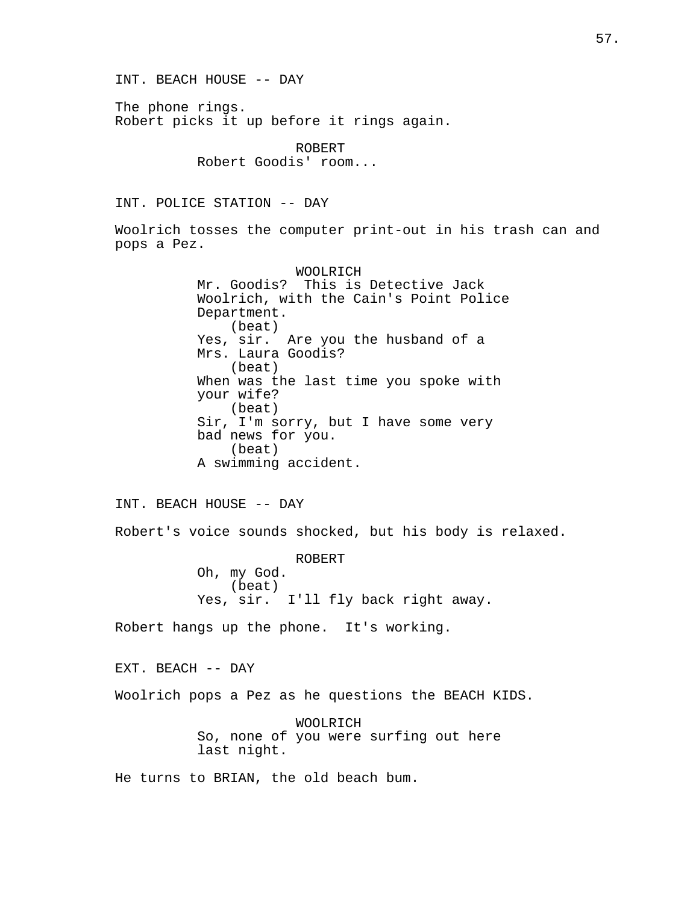INT. BEACH HOUSE -- DAY The phone rings. Robert picks it up before it rings again. ROBERT Robert Goodis' room... INT. POLICE STATION -- DAY Woolrich tosses the computer print-out in his trash can and pops a Pez. WOOLRICH Mr. Goodis? This is Detective Jack Woolrich, with the Cain's Point Police Department. (beat) Yes, sir. Are you the husband of a Mrs. Laura Goodis? (beat) When was the last time you spoke with your wife? (beat) Sir, I'm sorry, but I have some very bad news for you. (beat) A swimming accident. INT. BEACH HOUSE -- DAY Robert's voice sounds shocked, but his body is relaxed. ROBERT Oh, my God. (beat) Yes, sir. I'll fly back right away. Robert hangs up the phone. It's working. EXT. BEACH -- DAY Woolrich pops a Pez as he questions the BEACH KIDS. WOOLRICH So, none of you were surfing out here last night. He turns to BRIAN, the old beach bum.

57.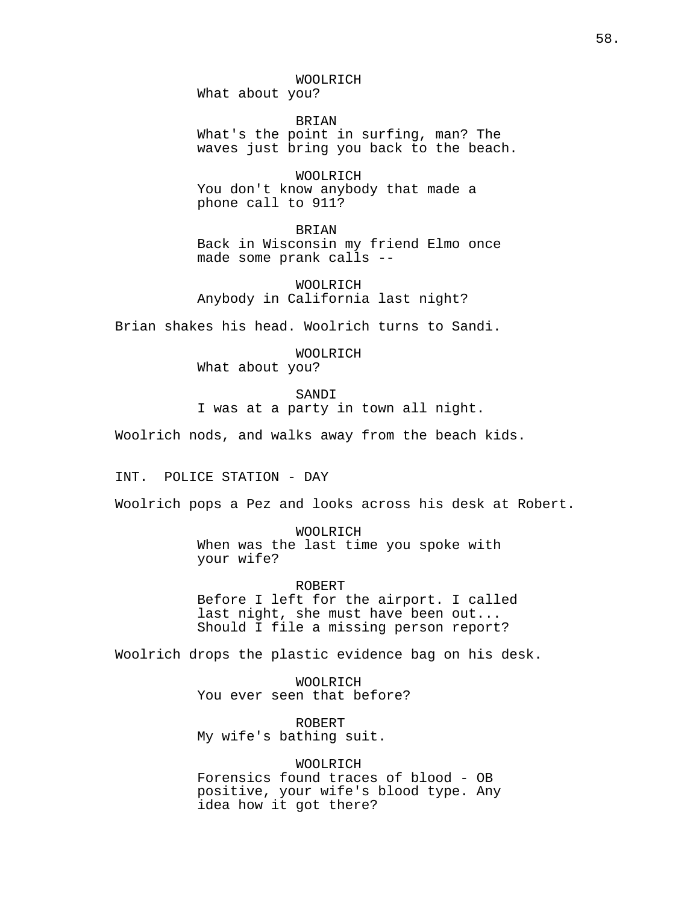WOOLRICH

What about you?

BRIAN What's the point in surfing, man? The waves just bring you back to the beach.

WOOLRICH You don't know anybody that made a phone call to 911?

BRIAN Back in Wisconsin my friend Elmo once made some prank calls --

WOOLRICH Anybody in California last night?

Brian shakes his head. Woolrich turns to Sandi.

WOOLRICH What about you?

SANDI I was at a party in town all night.

Woolrich nods, and walks away from the beach kids.

INT. POLICE STATION - DAY

Woolrich pops a Pez and looks across his desk at Robert.

WOOLRICH When was the last time you spoke with your wife?

ROBERT Before I left for the airport. I called last night, she must have been out... Should I file a missing person report?

Woolrich drops the plastic evidence bag on his desk.

WOOLRICH You ever seen that before?

ROBERT My wife's bathing suit.

WOOLRICH Forensics found traces of blood - OB positive, your wife's blood type. Any idea how it got there?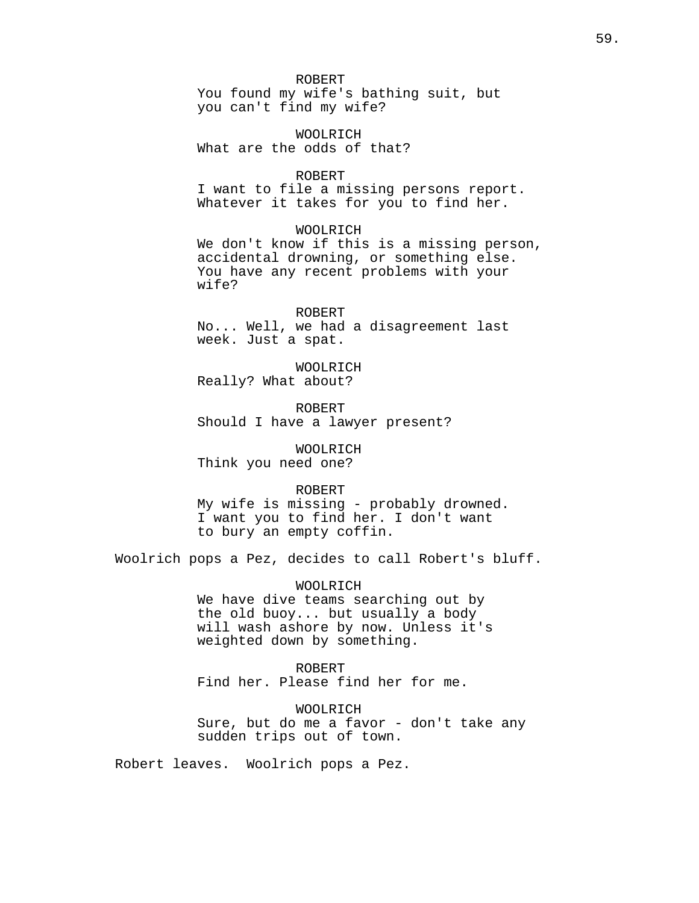#### ROBERT

You found my wife's bathing suit, but you can't find my wife?

WOOLRICH What are the odds of that?

### ROBERT

I want to file a missing persons report. Whatever it takes for you to find her.

## WOOLRICH

We don't know if this is a missing person, accidental drowning, or something else. You have any recent problems with your wife?

# ROBERT No... Well, we had a disagreement last week. Just a spat.

WOOLRICH Really? What about?

ROBERT Should I have a lawyer present?

WOOLRICH Think you need one?

#### ROBERT

My wife is missing - probably drowned. I want you to find her. I don't want to bury an empty coffin.

Woolrich pops a Pez, decides to call Robert's bluff.

WOOLRICH We have dive teams searching out by the old buoy... but usually a body will wash ashore by now. Unless it's weighted down by something.

### ROBERT

Find her. Please find her for me.

WOOLRICH Sure, but do me a favor - don't take any sudden trips out of town.

Robert leaves. Woolrich pops a Pez.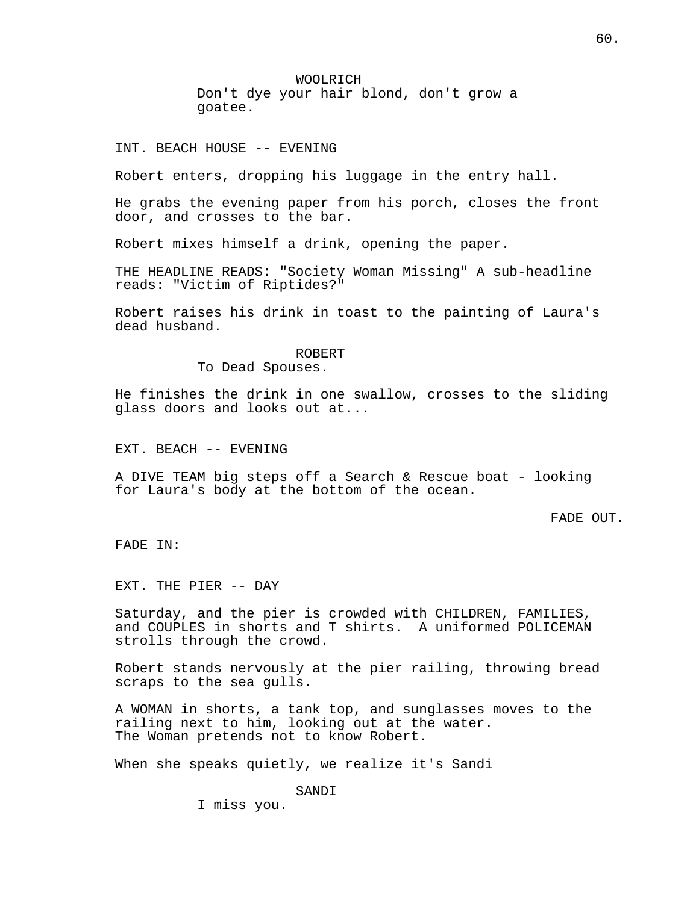WOOLRICH Don't dye your hair blond, don't grow a goatee.

INT. BEACH HOUSE -- EVENING

Robert enters, dropping his luggage in the entry hall.

He grabs the evening paper from his porch, closes the front door, and crosses to the bar.

Robert mixes himself a drink, opening the paper.

THE HEADLINE READS: "Society Woman Missing" A sub-headline reads: "Victim of Riptides?"

Robert raises his drink in toast to the painting of Laura's dead husband.

ROBERT

To Dead Spouses.

He finishes the drink in one swallow, crosses to the sliding glass doors and looks out at...

EXT. BEACH -- EVENING

A DIVE TEAM big steps off a Search & Rescue boat - looking for Laura's body at the bottom of the ocean.

FADE OUT.

FADE IN:

EXT. THE PIER -- DAY

Saturday, and the pier is crowded with CHILDREN, FAMILIES, and COUPLES in shorts and T shirts. A uniformed POLICEMAN strolls through the crowd.

Robert stands nervously at the pier railing, throwing bread scraps to the sea gulls.

A WOMAN in shorts, a tank top, and sunglasses moves to the railing next to him, looking out at the water. The Woman pretends not to know Robert.

When she speaks quietly, we realize it's Sandi

SANDI

I miss you.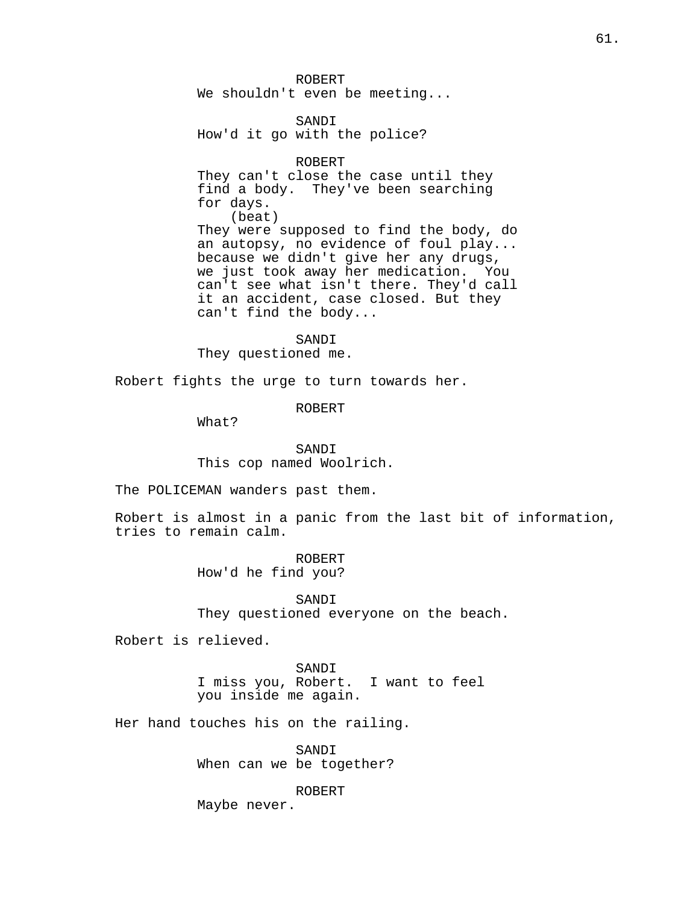ROBERT We shouldn't even be meeting...

SANDI How'd it go with the police?

### ROBERT

They can't close the case until they find a body. They've been searching for days. (beat) They were supposed to find the body, do an autopsy, no evidence of foul play... because we didn't give her any drugs, we just took away her medication. You can't see what isn't there. They'd call it an accident, case closed. But they can't find the body...

SANDI They questioned me.

Robert fights the urge to turn towards her.

ROBERT

What?

SANDI This cop named Woolrich.

The POLICEMAN wanders past them.

Robert is almost in a panic from the last bit of information, tries to remain calm.

> ROBERT How'd he find you?

SANDI They questioned everyone on the beach.

Robert is relieved.

SANDI I miss you, Robert. I want to feel you inside me again.

Her hand touches his on the railing.

SANDI When can we be together?

ROBERT

Maybe never.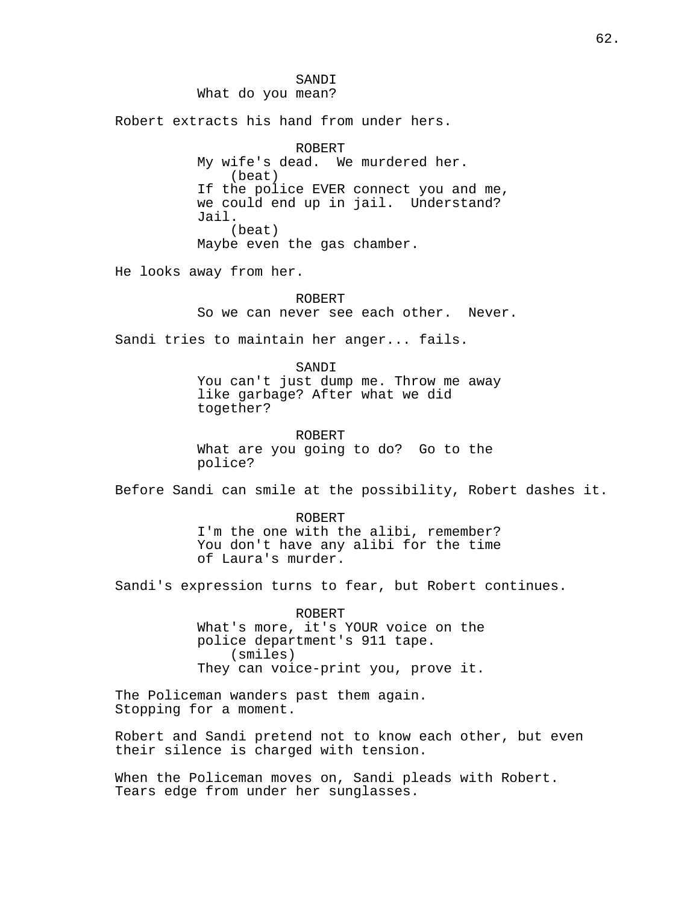SANDI What do you mean?

Robert extracts his hand from under hers.

ROBERT My wife's dead. We murdered her. (beat) If the police EVER connect you and me, we could end up in jail. Understand? Jail. (beat) Maybe even the gas chamber.

He looks away from her.

ROBERT So we can never see each other. Never.

Sandi tries to maintain her anger... fails.

SANDI You can't just dump me. Throw me away like garbage? After what we did together?

ROBERT What are you going to do? Go to the police?

Before Sandi can smile at the possibility, Robert dashes it.

ROBERT I'm the one with the alibi, remember? You don't have any alibi for the time of Laura's murder.

Sandi's expression turns to fear, but Robert continues.

ROBERT What's more, it's YOUR voice on the police department's 911 tape. (smiles) They can voice-print you, prove it.

The Policeman wanders past them again. Stopping for a moment.

Robert and Sandi pretend not to know each other, but even their silence is charged with tension.

When the Policeman moves on, Sandi pleads with Robert. Tears edge from under her sunglasses.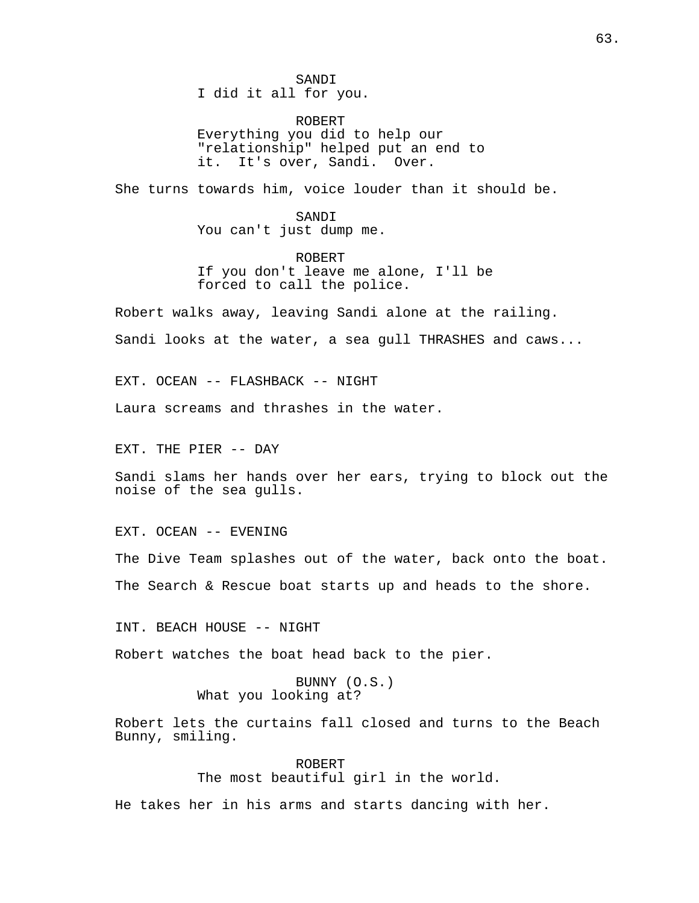SANDI

I did it all for you.

ROBERT Everything you did to help our "relationship" helped put an end to it. It's over, Sandi. Over.

She turns towards him, voice louder than it should be.

SANDI You can't just dump me.

ROBERT If you don't leave me alone, I'll be forced to call the police.

Robert walks away, leaving Sandi alone at the railing.

Sandi looks at the water, a sea gull THRASHES and caws...

EXT. OCEAN -- FLASHBACK -- NIGHT

Laura screams and thrashes in the water.

EXT. THE PIER -- DAY

Sandi slams her hands over her ears, trying to block out the noise of the sea gulls.

EXT. OCEAN -- EVENING

The Dive Team splashes out of the water, back onto the boat.

The Search & Rescue boat starts up and heads to the shore.

INT. BEACH HOUSE -- NIGHT

Robert watches the boat head back to the pier.

BUNNY (O.S.) What you looking at?

Robert lets the curtains fall closed and turns to the Beach Bunny, smiling.

> ROBERT The most beautiful girl in the world.

He takes her in his arms and starts dancing with her.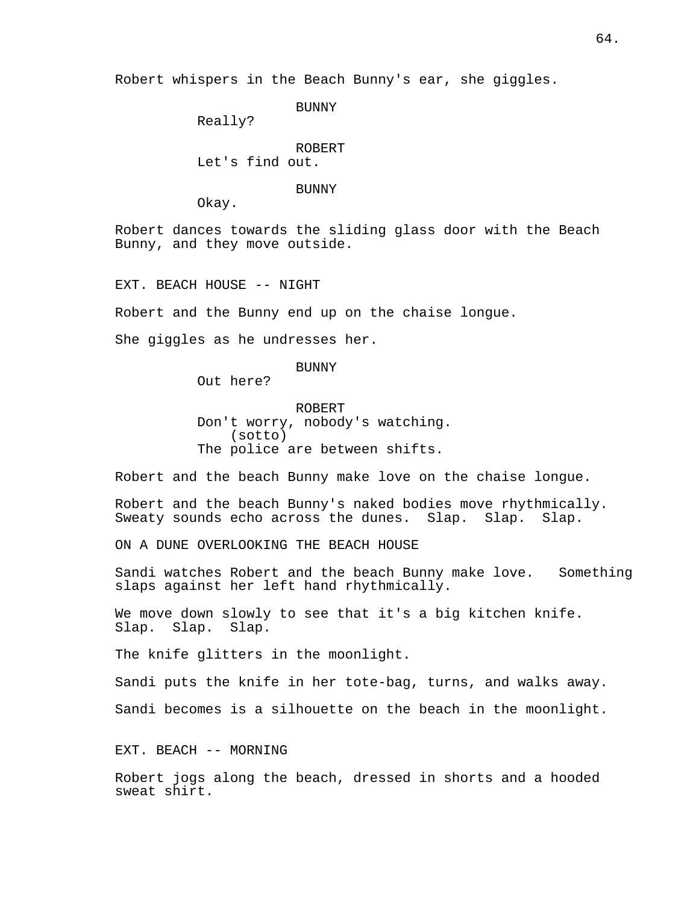Robert whispers in the Beach Bunny's ear, she giggles.

BUNNY

Really?

ROBERT Let's find out.

BUNNY

Okay.

Robert dances towards the sliding glass door with the Beach Bunny, and they move outside.

EXT. BEACH HOUSE -- NIGHT

Robert and the Bunny end up on the chaise longue.

She giggles as he undresses her.

BUNNY

Out here?

ROBERT Don't worry, nobody's watching. (sotto) The police are between shifts.

Robert and the beach Bunny make love on the chaise longue.

Robert and the beach Bunny's naked bodies move rhythmically. Sweaty sounds echo across the dunes. Slap. Slap. Slap.

ON A DUNE OVERLOOKING THE BEACH HOUSE

Sandi watches Robert and the beach Bunny make love. Something slaps against her left hand rhythmically.

We move down slowly to see that it's a big kitchen knife. Slap. Slap. Slap.

The knife glitters in the moonlight.

Sandi puts the knife in her tote-bag, turns, and walks away.

Sandi becomes is a silhouette on the beach in the moonlight.

EXT. BEACH -- MORNING

Robert jogs along the beach, dressed in shorts and a hooded sweat shirt.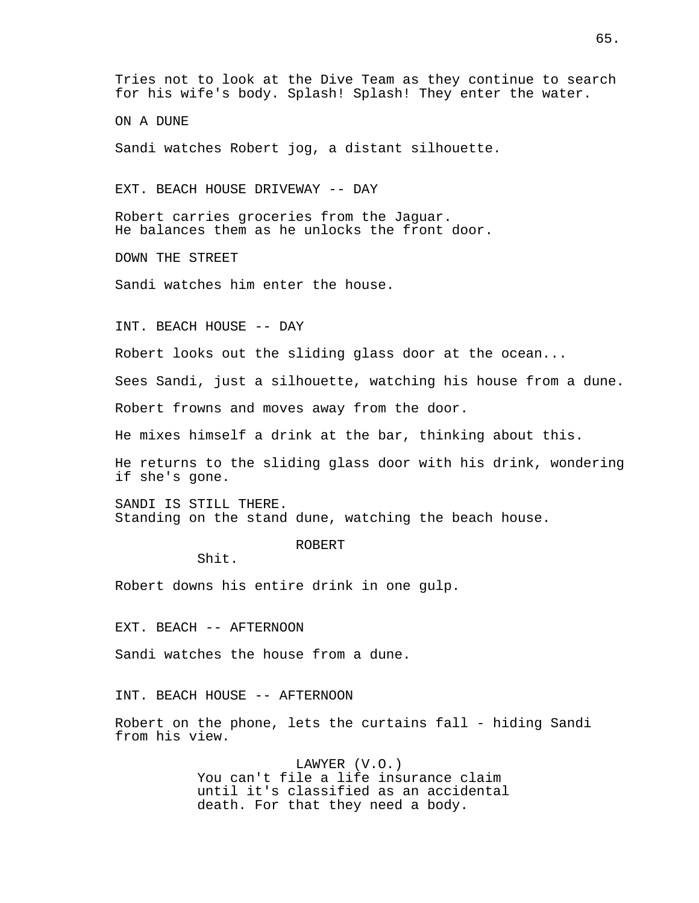ON A DUNE

Sandi watches Robert jog, a distant silhouette.

EXT. BEACH HOUSE DRIVEWAY -- DAY

Robert carries groceries from the Jaguar. He balances them as he unlocks the front door.

DOWN THE STREET

Sandi watches him enter the house.

INT. BEACH HOUSE -- DAY

Robert looks out the sliding glass door at the ocean...

Sees Sandi, just a silhouette, watching his house from a dune.

Robert frowns and moves away from the door.

He mixes himself a drink at the bar, thinking about this.

He returns to the sliding glass door with his drink, wondering if she's gone.

SANDI IS STILL THERE. Standing on the stand dune, watching the beach house.

# ROBERT

Shit.

Robert downs his entire drink in one gulp.

EXT. BEACH -- AFTERNOON

Sandi watches the house from a dune.

INT. BEACH HOUSE -- AFTERNOON

Robert on the phone, lets the curtains fall - hiding Sandi from his view.

> LAWYER (V.O.) You can't file a life insurance claim until it's classified as an accidental death. For that they need a body.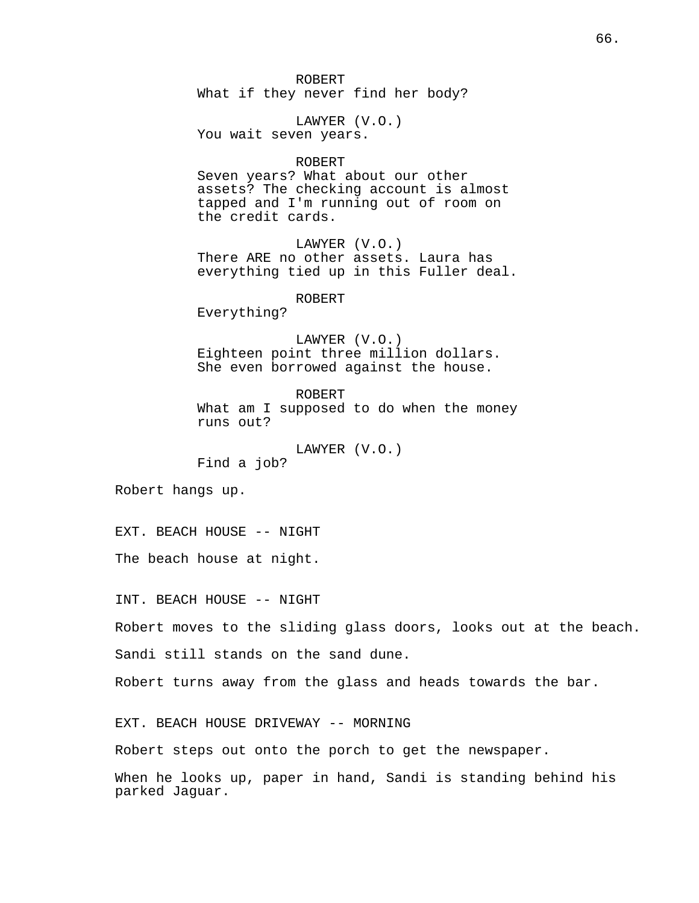ROBERT What if they never find her body?

LAWYER (V.O.) You wait seven years.

ROBERT

Seven years? What about our other assets? The checking account is almost tapped and I'm running out of room on the credit cards.

LAWYER (V.O.) There ARE no other assets. Laura has everything tied up in this Fuller deal.

ROBERT

Everything?

LAWYER (V.O.) Eighteen point three million dollars. She even borrowed against the house.

ROBERT What am I supposed to do when the money runs out?

LAWYER (V.O.)

Find a job?

Robert hangs up.

EXT. BEACH HOUSE -- NIGHT

The beach house at night.

INT. BEACH HOUSE -- NIGHT

Robert moves to the sliding glass doors, looks out at the beach. Sandi still stands on the sand dune.

Robert turns away from the glass and heads towards the bar.

EXT. BEACH HOUSE DRIVEWAY -- MORNING

Robert steps out onto the porch to get the newspaper.

When he looks up, paper in hand, Sandi is standing behind his parked Jaguar.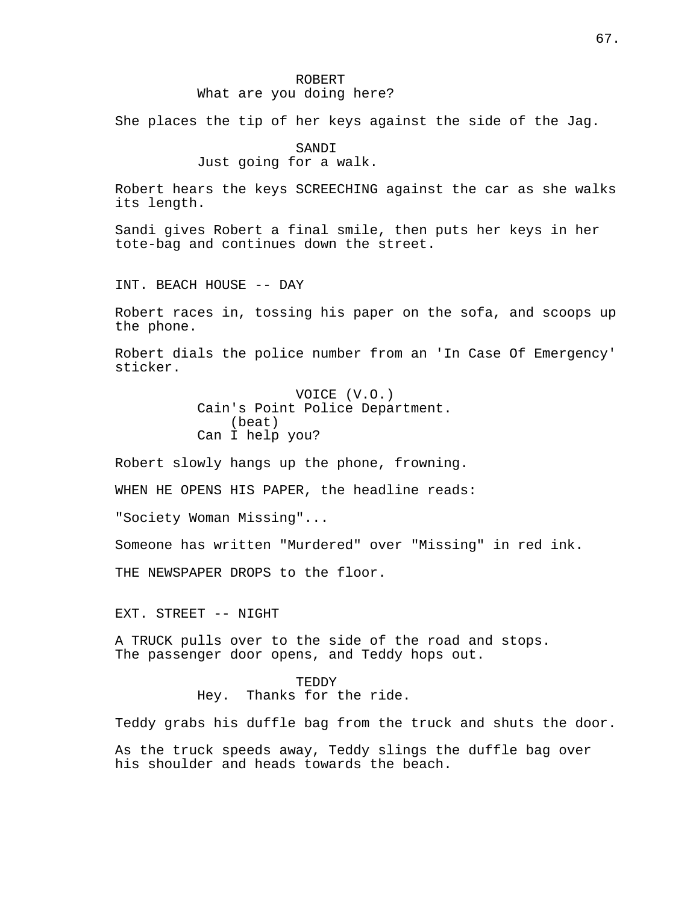She places the tip of her keys against the side of the Jag.

SANDI

Just going for a walk.

Robert hears the keys SCREECHING against the car as she walks its length.

Sandi gives Robert a final smile, then puts her keys in her tote-bag and continues down the street.

INT. BEACH HOUSE -- DAY

Robert races in, tossing his paper on the sofa, and scoops up the phone.

Robert dials the police number from an 'In Case Of Emergency' sticker.

> VOICE (V.O.) Cain's Point Police Department. (beat) Can I help you?

Robert slowly hangs up the phone, frowning.

WHEN HE OPENS HIS PAPER, the headline reads:

"Society Woman Missing"...

Someone has written "Murdered" over "Missing" in red ink.

THE NEWSPAPER DROPS to the floor.

EXT. STREET -- NIGHT

A TRUCK pulls over to the side of the road and stops. The passenger door opens, and Teddy hops out.

TEDDY

Hey. Thanks for the ride.

Teddy grabs his duffle bag from the truck and shuts the door.

As the truck speeds away, Teddy slings the duffle bag over his shoulder and heads towards the beach.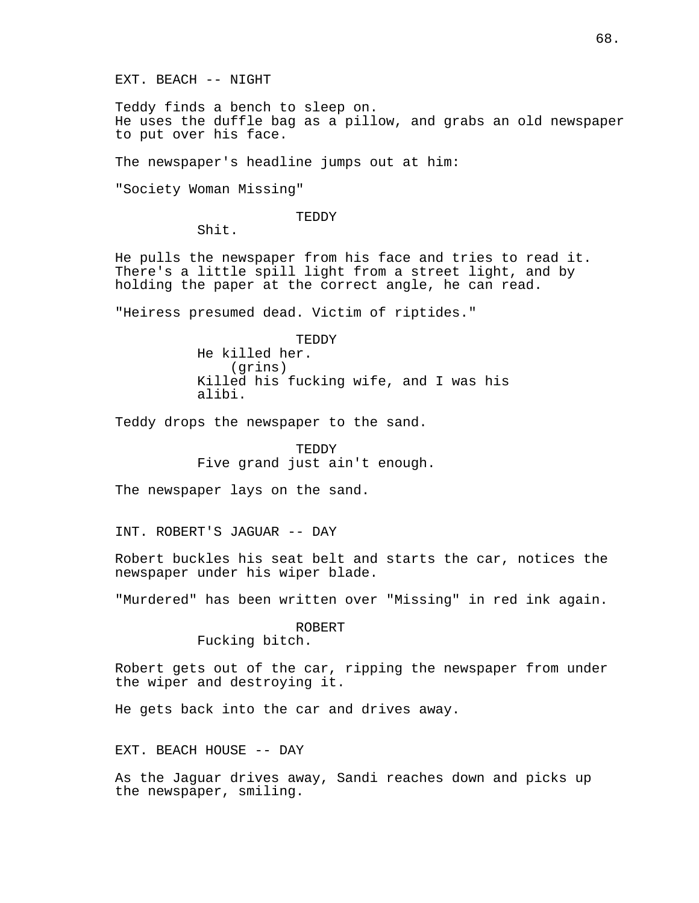EXT. BEACH -- NIGHT

Teddy finds a bench to sleep on. He uses the duffle bag as a pillow, and grabs an old newspaper to put over his face.

The newspaper's headline jumps out at him:

"Society Woman Missing"

TEDDY

Shit.

He pulls the newspaper from his face and tries to read it. There's a little spill light from a street light, and by holding the paper at the correct angle, he can read.

"Heiress presumed dead. Victim of riptides."

TEDDY He killed her. (grins) Killed his fucking wife, and I was his alibi.

Teddy drops the newspaper to the sand.

TEDDY Five grand just ain't enough.

The newspaper lays on the sand.

INT. ROBERT'S JAGUAR -- DAY

Robert buckles his seat belt and starts the car, notices the newspaper under his wiper blade.

"Murdered" has been written over "Missing" in red ink again.

ROBERT

Fucking bitch.

Robert gets out of the car, ripping the newspaper from under the wiper and destroying it.

He gets back into the car and drives away.

EXT. BEACH HOUSE -- DAY

As the Jaguar drives away, Sandi reaches down and picks up the newspaper, smiling.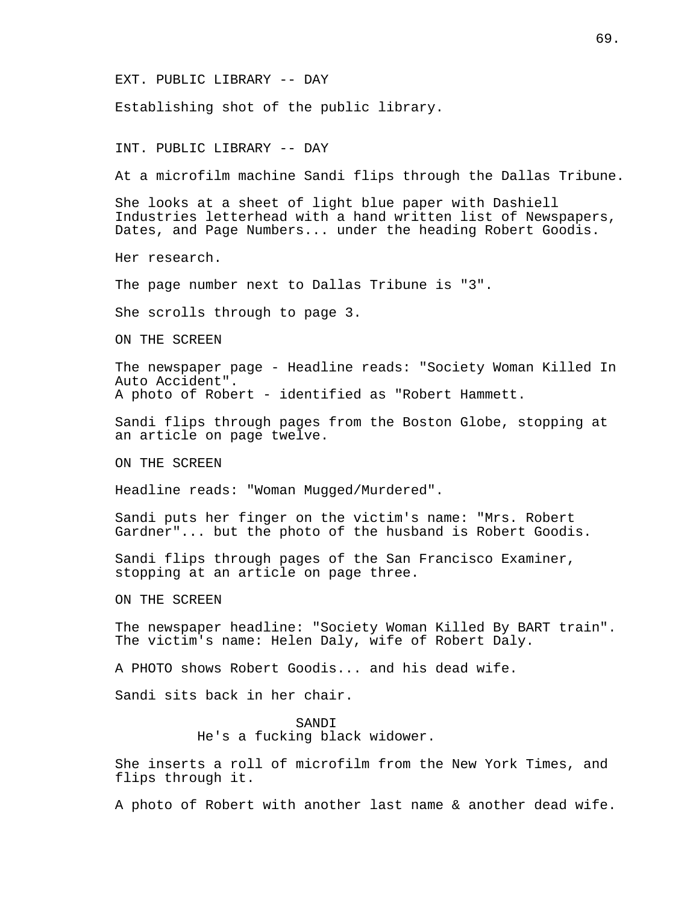EXT. PUBLIC LIBRARY -- DAY

Establishing shot of the public library.

INT. PUBLIC LIBRARY -- DAY

At a microfilm machine Sandi flips through the Dallas Tribune.

She looks at a sheet of light blue paper with Dashiell Industries letterhead with a hand written list of Newspapers, Dates, and Page Numbers... under the heading Robert Goodis.

Her research.

The page number next to Dallas Tribune is "3".

She scrolls through to page 3.

ON THE SCREEN

The newspaper page - Headline reads: "Society Woman Killed In Auto Accident". A photo of Robert - identified as "Robert Hammett.

Sandi flips through pages from the Boston Globe, stopping at an article on page twelve.

ON THE SCREEN

Headline reads: "Woman Mugged/Murdered".

Sandi puts her finger on the victim's name: "Mrs. Robert Gardner"... but the photo of the husband is Robert Goodis.

Sandi flips through pages of the San Francisco Examiner, stopping at an article on page three.

ON THE SCREEN

The newspaper headline: "Society Woman Killed By BART train". The victim's name: Helen Daly, wife of Robert Daly.

A PHOTO shows Robert Goodis... and his dead wife.

Sandi sits back in her chair.

#### SANDI

He's a fucking black widower.

She inserts a roll of microfilm from the New York Times, and flips through it.

A photo of Robert with another last name & another dead wife.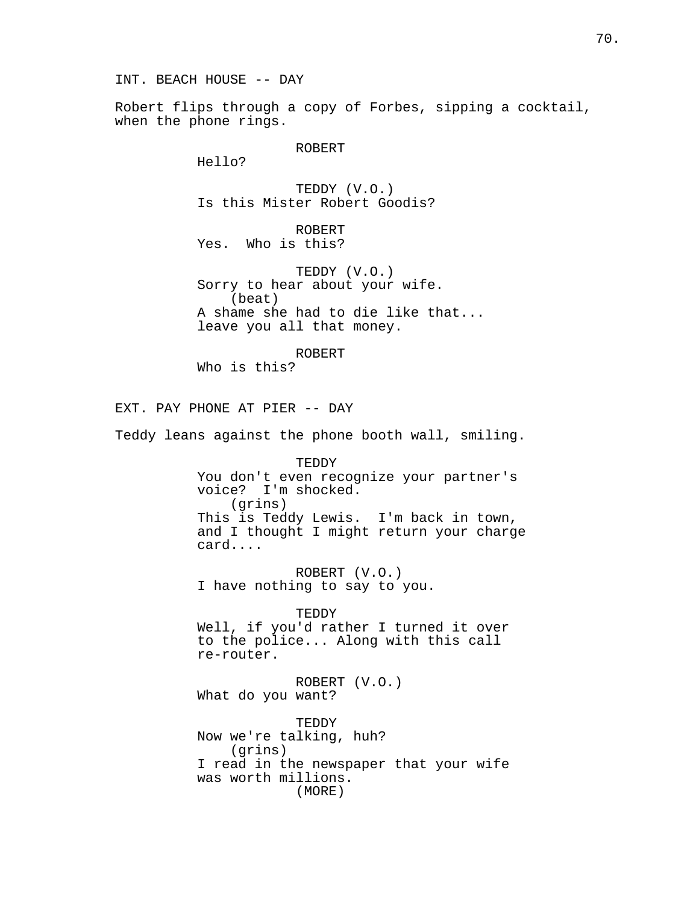INT. BEACH HOUSE -- DAY

Robert flips through a copy of Forbes, sipping a cocktail, when the phone rings.

ROBERT

Hello?

TEDDY (V.O.) Is this Mister Robert Goodis?

ROBERT Yes. Who is this?

TEDDY (V.O.) Sorry to hear about your wife. (beat) A shame she had to die like that... leave you all that money.

ROBERT Who is this?

EXT. PAY PHONE AT PIER -- DAY

Teddy leans against the phone booth wall, smiling.

TEDDY You don't even recognize your partner's voice? I'm shocked. (grins) This is Teddy Lewis. I'm back in town, and I thought I might return your charge card....

ROBERT (V.O.) I have nothing to say to you.

TEDDY Well, if you'd rather I turned it over to the police... Along with this call re-router.

ROBERT (V.O.) What do you want?

TEDDY Now we're talking, huh? (grins) I read in the newspaper that your wife was worth millions. (MORE)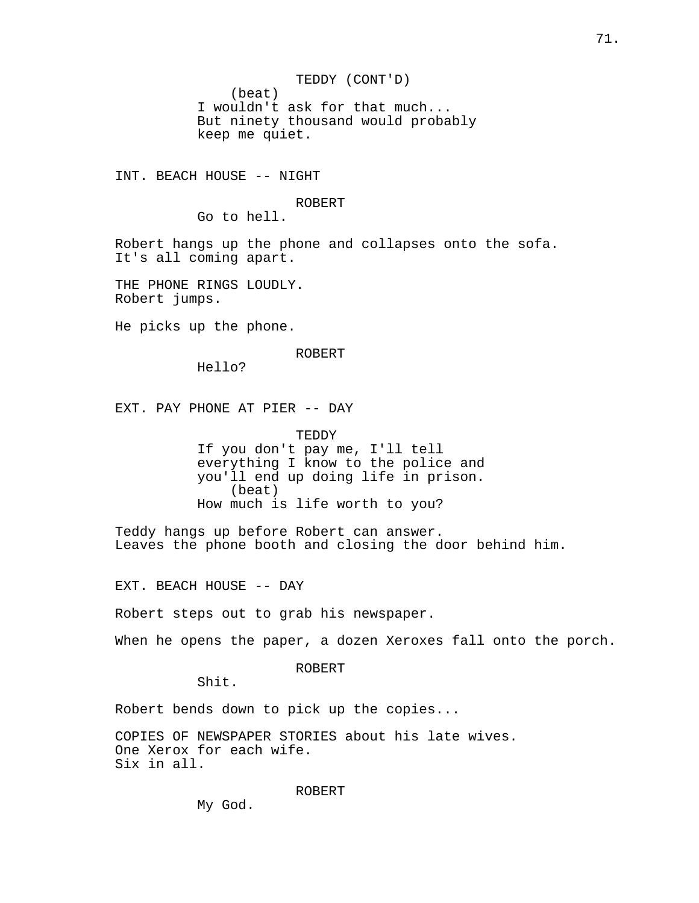TEDDY (CONT'D) (beat) I wouldn't ask for that much... But ninety thousand would probably keep me quiet.

INT. BEACH HOUSE -- NIGHT

### ROBERT

Go to hell.

Robert hangs up the phone and collapses onto the sofa. It's all coming apart.

THE PHONE RINGS LOUDLY. Robert jumps.

He picks up the phone.

### ROBERT

Hello?

EXT. PAY PHONE AT PIER -- DAY

TEDDY If you don't pay me, I'll tell everything I know to the police and you'll end up doing life in prison. (beat) How much is life worth to you?

Teddy hangs up before Robert can answer. Leaves the phone booth and closing the door behind him.

EXT. BEACH HOUSE -- DAY

Robert steps out to grab his newspaper.

When he opens the paper, a dozen Xeroxes fall onto the porch.

ROBERT

Shit.

Robert bends down to pick up the copies...

COPIES OF NEWSPAPER STORIES about his late wives. One Xerox for each wife. Six in all.

ROBERT

My God.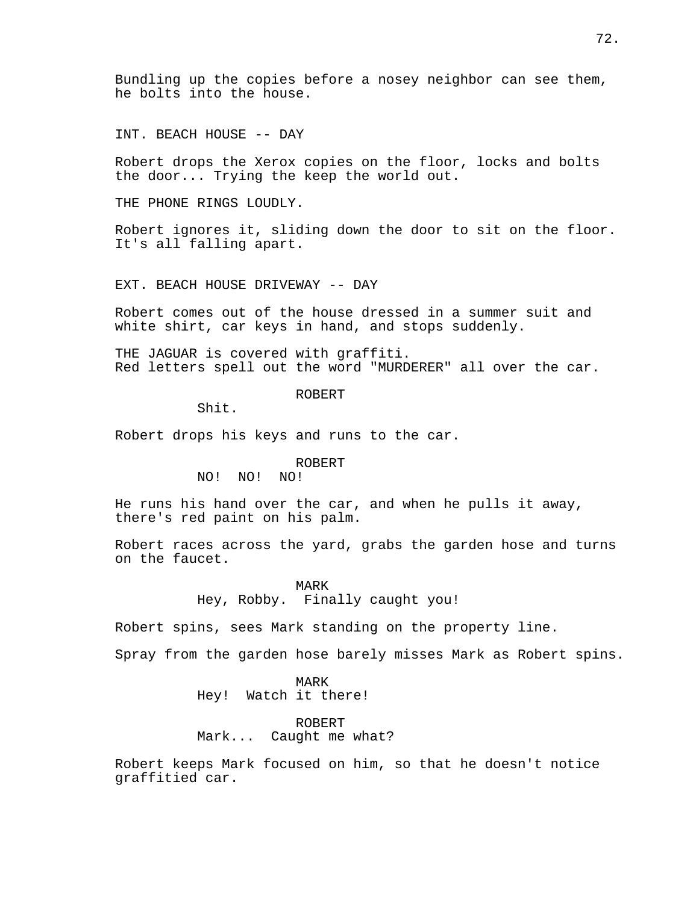Bundling up the copies before a nosey neighbor can see them, he bolts into the house.

INT. BEACH HOUSE -- DAY

Robert drops the Xerox copies on the floor, locks and bolts the door... Trying the keep the world out.

THE PHONE RINGS LOUDLY.

Robert ignores it, sliding down the door to sit on the floor. It's all falling apart.

EXT. BEACH HOUSE DRIVEWAY -- DAY

Robert comes out of the house dressed in a summer suit and white shirt, car keys in hand, and stops suddenly.

THE JAGUAR is covered with graffiti. Red letters spell out the word "MURDERER" all over the car.

## ROBERT

Shit.

Robert drops his keys and runs to the car.

## ROBERT

NO! NO! NO!

He runs his hand over the car, and when he pulls it away, there's red paint on his palm.

Robert races across the yard, grabs the garden hose and turns on the faucet.

> MARK Hey, Robby. Finally caught you!

Robert spins, sees Mark standing on the property line.

Spray from the garden hose barely misses Mark as Robert spins.

MARK Hey! Watch it there!

ROBERT Mark... Caught me what?

Robert keeps Mark focused on him, so that he doesn't notice graffitied car.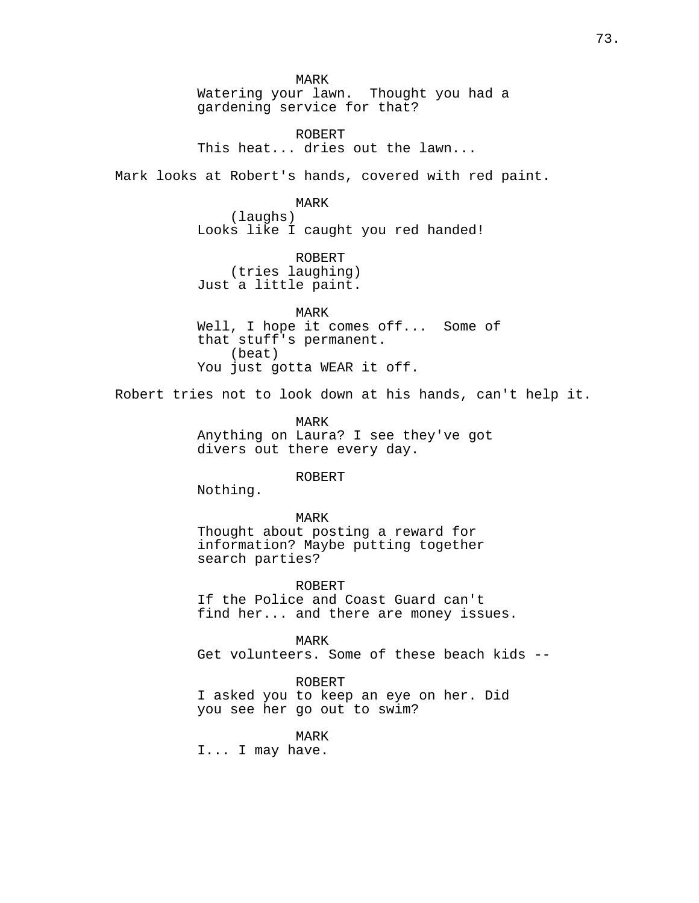MARK Watering your lawn. Thought you had a gardening service for that?

ROBERT This heat... dries out the lawn...

Mark looks at Robert's hands, covered with red paint.

MARK

(laughs) Looks like I caught you red handed!

ROBERT (tries laughing) Just a little paint.

MARK Well, I hope it comes off... Some of that stuff's permanent. (beat) You just gotta WEAR it off.

Robert tries not to look down at his hands, can't help it.

MARK Anything on Laura? I see they've got divers out there every day.

ROBERT

Nothing.

MARK Thought about posting a reward for information? Maybe putting together search parties?

ROBERT If the Police and Coast Guard can't find her... and there are money issues.

MARK Get volunteers. Some of these beach kids --

ROBERT I asked you to keep an eye on her. Did you see her go out to swim?

MARK

I... I may have.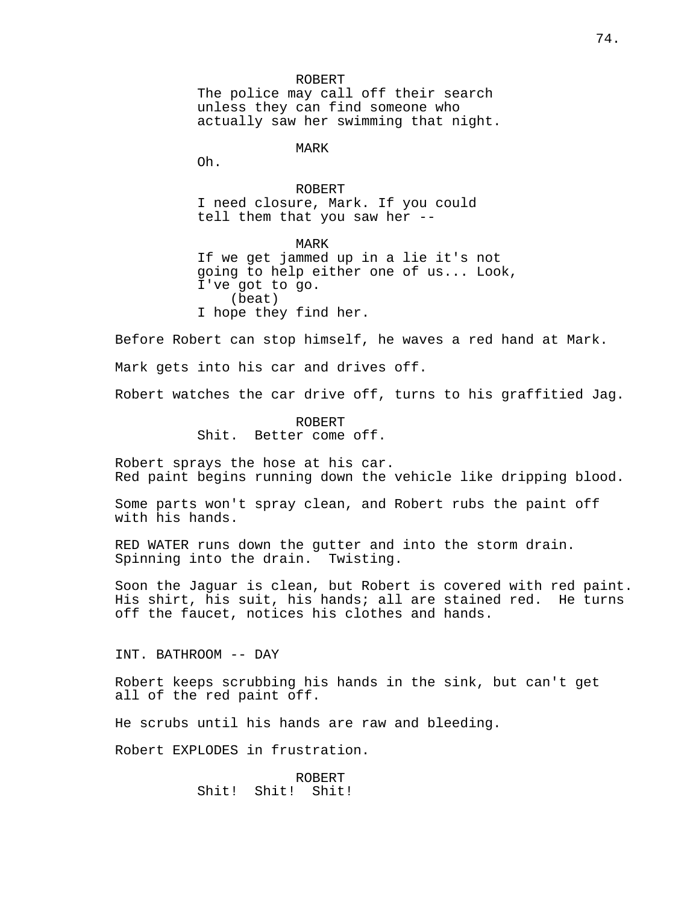ROBERT The police may call off their search unless they can find someone who actually saw her swimming that night.

MARK

Oh.

ROBERT I need closure, Mark. If you could tell them that you saw her --

MARK If we get jammed up in a lie it's not going to help either one of us... Look, I've got to go. (beat) I hope they find her.

Before Robert can stop himself, he waves a red hand at Mark. Mark gets into his car and drives off.

Robert watches the car drive off, turns to his graffitied Jag.

ROBERT Shit. Better come off.

Robert sprays the hose at his car. Red paint begins running down the vehicle like dripping blood.

Some parts won't spray clean, and Robert rubs the paint off with his hands.

RED WATER runs down the gutter and into the storm drain. Spinning into the drain. Twisting.

Soon the Jaguar is clean, but Robert is covered with red paint. His shirt, his suit, his hands; all are stained red. He turns off the faucet, notices his clothes and hands.

INT. BATHROOM -- DAY

Robert keeps scrubbing his hands in the sink, but can't get all of the red paint off.

He scrubs until his hands are raw and bleeding.

Robert EXPLODES in frustration.

ROBERT Shit! Shit! Shit!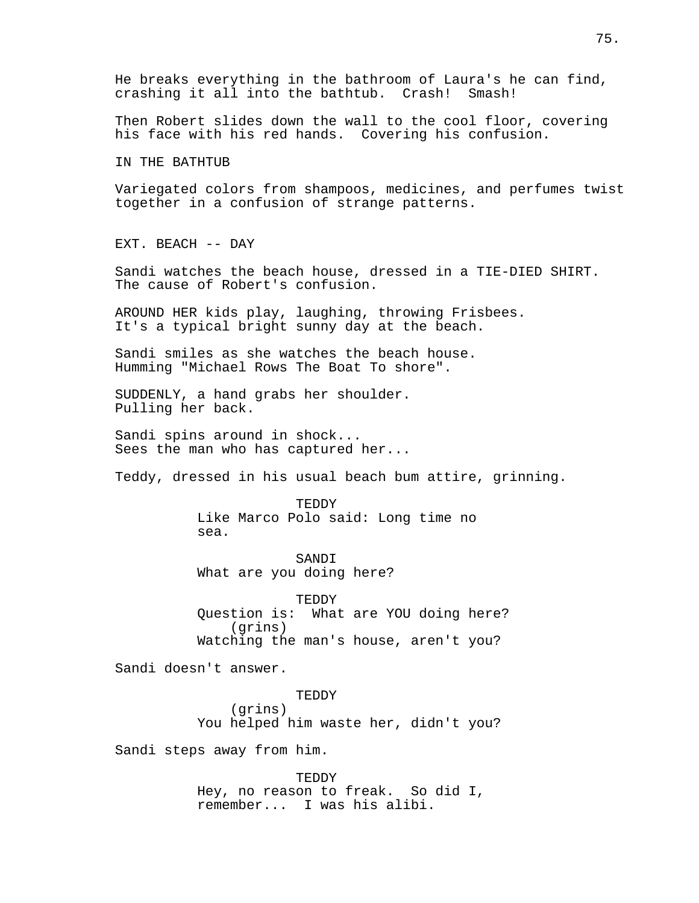He breaks everything in the bathroom of Laura's he can find, crashing it all into the bathtub. Crash! Smash!

Then Robert slides down the wall to the cool floor, covering his face with his red hands. Covering his confusion.

IN THE BATHTUB

Variegated colors from shampoos, medicines, and perfumes twist together in a confusion of strange patterns.

EXT. BEACH -- DAY

Sandi watches the beach house, dressed in a TIE-DIED SHIRT. The cause of Robert's confusion.

AROUND HER kids play, laughing, throwing Frisbees. It's a typical bright sunny day at the beach.

Sandi smiles as she watches the beach house. Humming "Michael Rows The Boat To shore".

SUDDENLY, a hand grabs her shoulder. Pulling her back.

Sandi spins around in shock... Sees the man who has captured her...

Teddy, dressed in his usual beach bum attire, grinning.

TEDDY Like Marco Polo said: Long time no sea.

SANDI What are you doing here?

TEDDY Question is: What are YOU doing here? (grins) Watching the man's house, aren't you?

Sandi doesn't answer.

TEDDY

(grins) You helped him waste her, didn't you?

Sandi steps away from him.

TEDDY Hey, no reason to freak. So did I, remember... I was his alibi.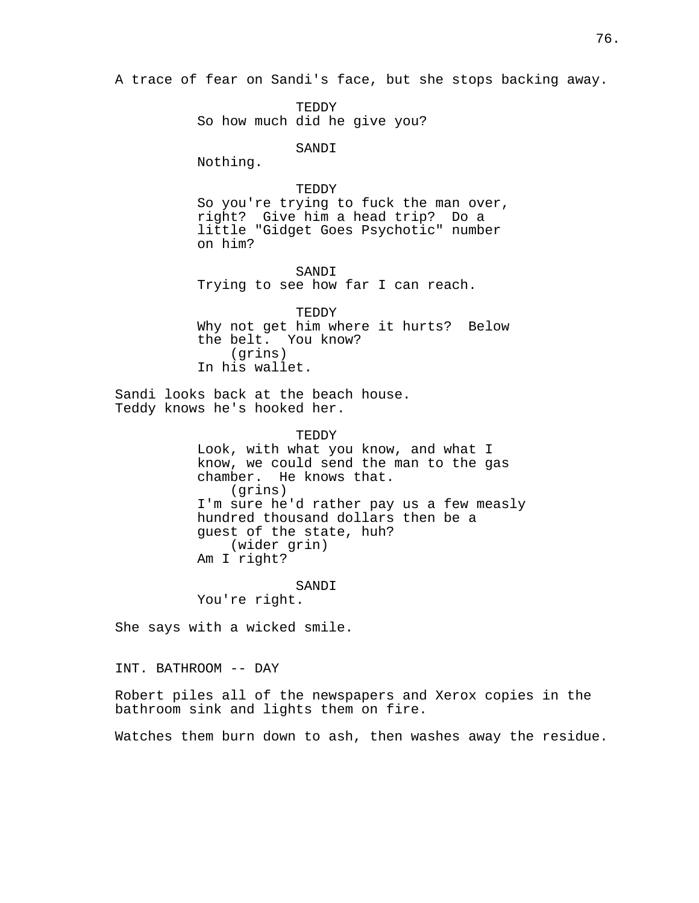A trace of fear on Sandi's face, but she stops backing away.

TEDDY So how much did he give you?

SANDI

Nothing.

## TEDDY

So you're trying to fuck the man over, right? Give him a head trip? Do a little "Gidget Goes Psychotic" number on him?

SANDI Trying to see how far I can reach.

TEDDY Why not get him where it hurts? Below the belt. You know? (grins) In his wallet.

Sandi looks back at the beach house. Teddy knows he's hooked her.

> TEDDY Look, with what you know, and what I know, we could send the man to the gas chamber. He knows that. (grins) I'm sure he'd rather pay us a few measly hundred thousand dollars then be a guest of the state, huh? (wider grin) Am I right?

SANDI You're right.

She says with a wicked smile.

INT. BATHROOM -- DAY

Robert piles all of the newspapers and Xerox copies in the bathroom sink and lights them on fire.

Watches them burn down to ash, then washes away the residue.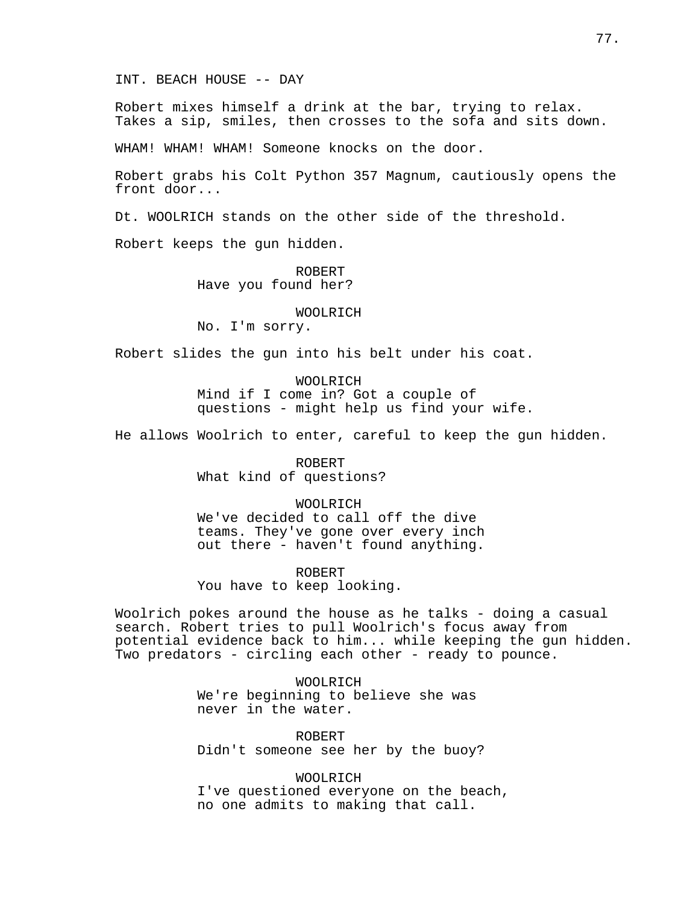#### INT. BEACH HOUSE -- DAY

Robert mixes himself a drink at the bar, trying to relax. Takes a sip, smiles, then crosses to the sofa and sits down.

WHAM! WHAM! WHAM! Someone knocks on the door.

Robert grabs his Colt Python 357 Magnum, cautiously opens the front door...

Dt. WOOLRICH stands on the other side of the threshold.

Robert keeps the gun hidden.

ROBERT Have you found her?

## WOOLRICH

No. I'm sorry.

Robert slides the gun into his belt under his coat.

WOOLRICH Mind if I come in? Got a couple of questions - might help us find your wife.

He allows Woolrich to enter, careful to keep the gun hidden.

ROBERT What kind of questions?

## WOOLRICH

We've decided to call off the dive teams. They've gone over every inch out there - haven't found anything.

#### ROBERT

You have to keep looking.

Woolrich pokes around the house as he talks - doing a casual search. Robert tries to pull Woolrich's focus away from potential evidence back to him... while keeping the gun hidden. Two predators - circling each other - ready to pounce.

> WOOLRICH We're beginning to believe she was never in the water.

ROBERT Didn't someone see her by the buoy?

WOOLRICH I've questioned everyone on the beach, no one admits to making that call.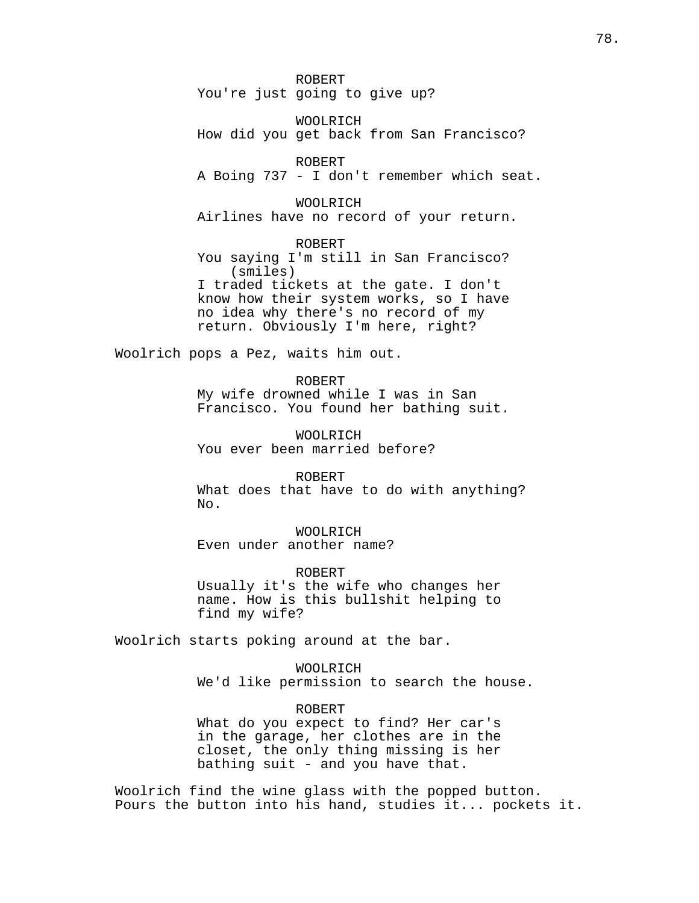ROBERT You're just going to give up?

WOOLRICH How did you get back from San Francisco?

ROBERT A Boing 737 - I don't remember which seat.

WOOLRICH Airlines have no record of your return.

ROBERT You saying I'm still in San Francisco? (smiles) I traded tickets at the gate. I don't know how their system works, so I have no idea why there's no record of my return. Obviously I'm here, right?

Woolrich pops a Pez, waits him out.

ROBERT My wife drowned while I was in San Francisco. You found her bathing suit.

WOOLRICH You ever been married before?

ROBERT What does that have to do with anything? No.

WOOLRICH Even under another name?

ROBERT Usually it's the wife who changes her name. How is this bullshit helping to find my wife?

Woolrich starts poking around at the bar.

WOOLRICH We'd like permission to search the house.

ROBERT What do you expect to find? Her car's in the garage, her clothes are in the closet, the only thing missing is her bathing suit - and you have that.

Woolrich find the wine glass with the popped button. Pours the button into his hand, studies it... pockets it.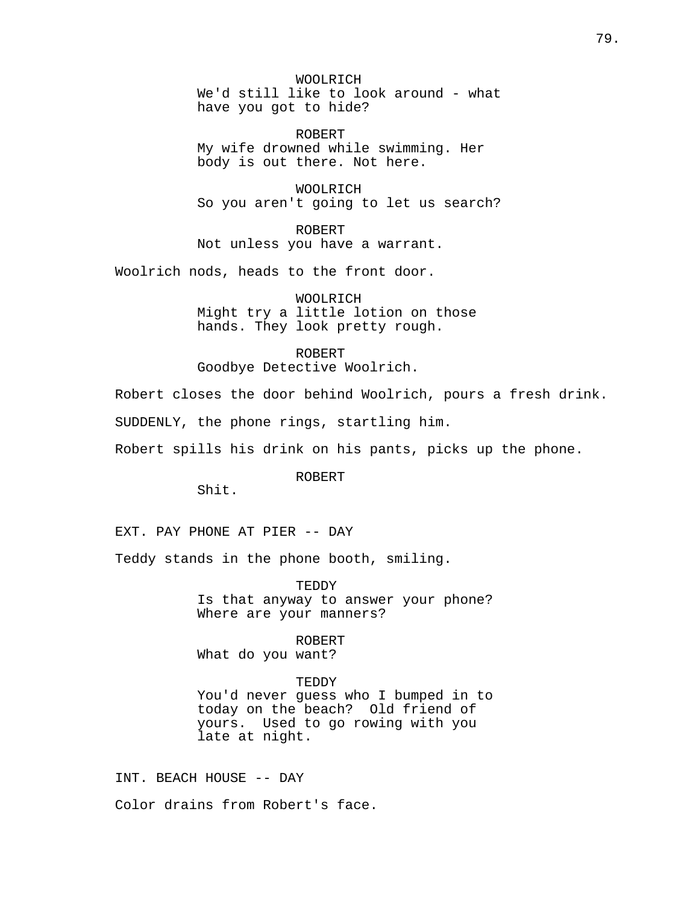WOOLRICH We'd still like to look around - what have you got to hide?

ROBERT My wife drowned while swimming. Her body is out there. Not here.

WOOLRICH So you aren't going to let us search?

ROBERT Not unless you have a warrant.

Woolrich nods, heads to the front door.

WOOLRICH Might try a little lotion on those hands. They look pretty rough.

ROBERT Goodbye Detective Woolrich.

Robert closes the door behind Woolrich, pours a fresh drink.

SUDDENLY, the phone rings, startling him.

Robert spills his drink on his pants, picks up the phone.

ROBERT

Shit.

EXT. PAY PHONE AT PIER -- DAY

Teddy stands in the phone booth, smiling.

TEDDY Is that anyway to answer your phone? Where are your manners?

ROBERT What do you want?

TEDDY You'd never guess who I bumped in to today on the beach? Old friend of yours. Used to go rowing with you late at night.

INT. BEACH HOUSE -- DAY Color drains from Robert's face.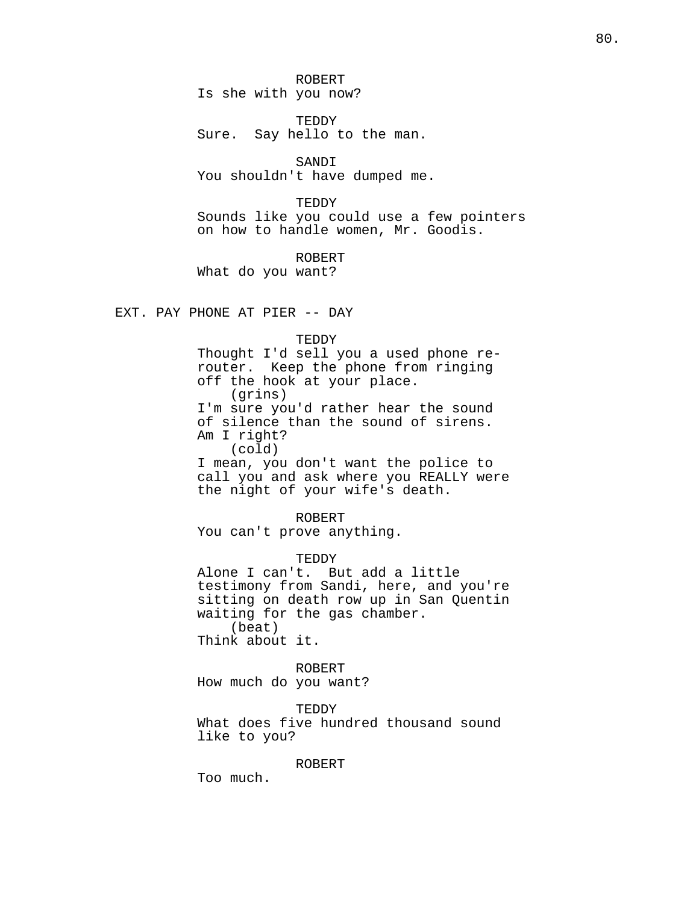ROBERT Is she with you now?

TEDDY Sure. Say hello to the man.

SANDI You shouldn't have dumped me.

TEDDY

Sounds like you could use a few pointers on how to handle women, Mr. Goodis.

ROBERT

What do you want?

EXT. PAY PHONE AT PIER -- DAY

TEDDY

Thought I'd sell you a used phone rerouter. Keep the phone from ringing off the hook at your place. (grins) I'm sure you'd rather hear the sound of silence than the sound of sirens. Am I right? (cold) I mean, you don't want the police to call you and ask where you REALLY were

the night of your wife's death.

ROBERT

You can't prove anything.

TEDDY

Alone I can't. But add a little testimony from Sandi, here, and you're sitting on death row up in San Quentin waiting for the gas chamber. (beat) Think about it.

ROBERT

How much do you want?

TEDDY

What does five hundred thousand sound like to you?

ROBERT

Too much.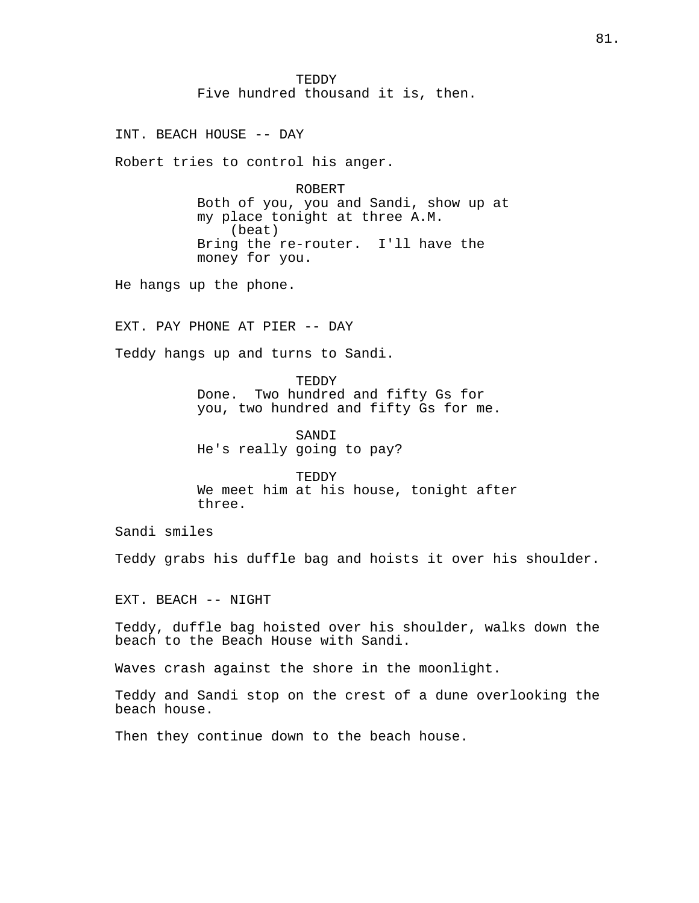TEDDY Five hundred thousand it is, then.

INT. BEACH HOUSE -- DAY

Robert tries to control his anger.

ROBERT Both of you, you and Sandi, show up at my place tonight at three A.M. (beat) Bring the re-router. I'll have the money for you.

He hangs up the phone.

EXT. PAY PHONE AT PIER -- DAY

Teddy hangs up and turns to Sandi.

TEDDY Done. Two hundred and fifty Gs for you, two hundred and fifty Gs for me.

SANDI He's really going to pay?

TEDDY We meet him at his house, tonight after three.

Sandi smiles

Teddy grabs his duffle bag and hoists it over his shoulder.

EXT. BEACH -- NIGHT

Teddy, duffle bag hoisted over his shoulder, walks down the beach to the Beach House with Sandi.

Waves crash against the shore in the moonlight.

Teddy and Sandi stop on the crest of a dune overlooking the beach house.

Then they continue down to the beach house.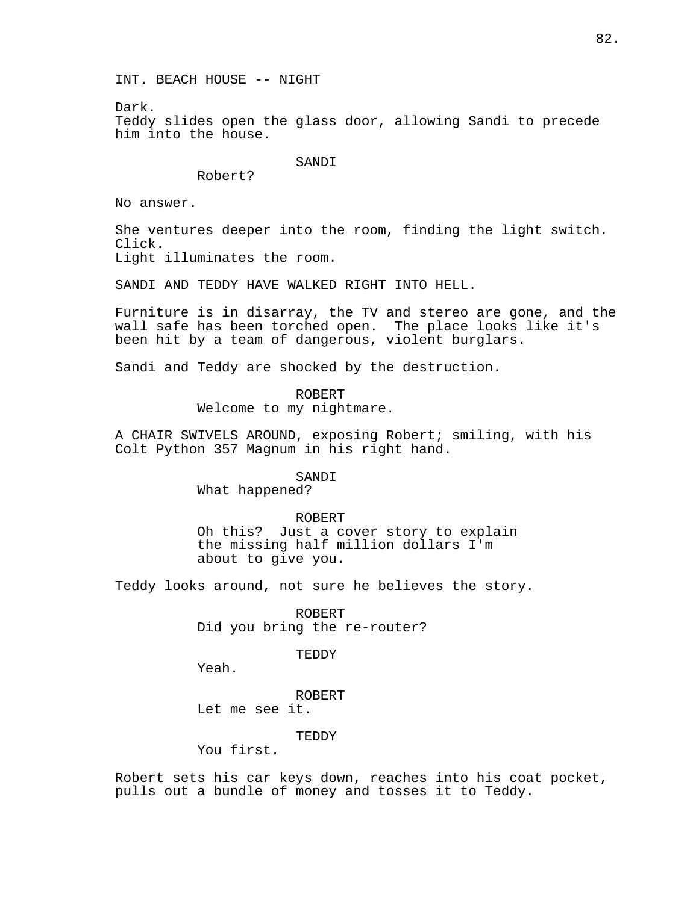INT. BEACH HOUSE -- NIGHT

Dark. Teddy slides open the glass door, allowing Sandi to precede him into the house.

SANDI

Robert?

No answer.

She ventures deeper into the room, finding the light switch. Click. Light illuminates the room.

SANDI AND TEDDY HAVE WALKED RIGHT INTO HELL.

Furniture is in disarray, the TV and stereo are gone, and the wall safe has been torched open. The place looks like it's been hit by a team of dangerous, violent burglars.

Sandi and Teddy are shocked by the destruction.

ROBERT Welcome to my nightmare.

A CHAIR SWIVELS AROUND, exposing Robert; smiling, with his Colt Python 357 Magnum in his right hand.

SANDI

What happened?

ROBERT Oh this? Just a cover story to explain the missing half million dollars I'm about to give you.

Teddy looks around, not sure he believes the story.

ROBERT Did you bring the re-router?

TEDDY

Yeah.

ROBERT Let me see it.

TEDDY

You first.

Robert sets his car keys down, reaches into his coat pocket, pulls out a bundle of money and tosses it to Teddy.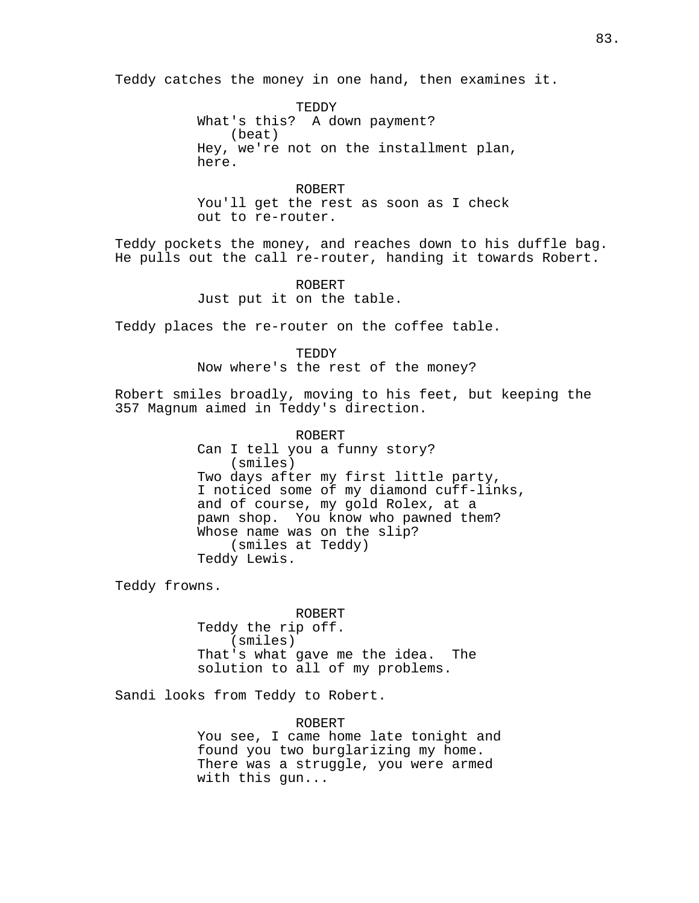Teddy catches the money in one hand, then examines it.

TEDDY What's this? A down payment? (beat) Hey, we're not on the installment plan, here.

ROBERT You'll get the rest as soon as I check out to re-router.

Teddy pockets the money, and reaches down to his duffle bag. He pulls out the call re-router, handing it towards Robert.

> ROBERT Just put it on the table.

Teddy places the re-router on the coffee table.

TEDDY Now where's the rest of the money?

Robert smiles broadly, moving to his feet, but keeping the 357 Magnum aimed in Teddy's direction.

> ROBERT Can I tell you a funny story? (smiles) Two days after my first little party, I noticed some of my diamond cuff-links, and of course, my gold Rolex, at a pawn shop. You know who pawned them? Whose name was on the slip? (smiles at Teddy) Teddy Lewis.

Teddy frowns.

ROBERT Teddy the rip off. (smiles) That's what gave me the idea. The solution to all of my problems.

Sandi looks from Teddy to Robert.

## ROBERT

You see, I came home late tonight and found you two burglarizing my home. There was a struggle, you were armed with this gun...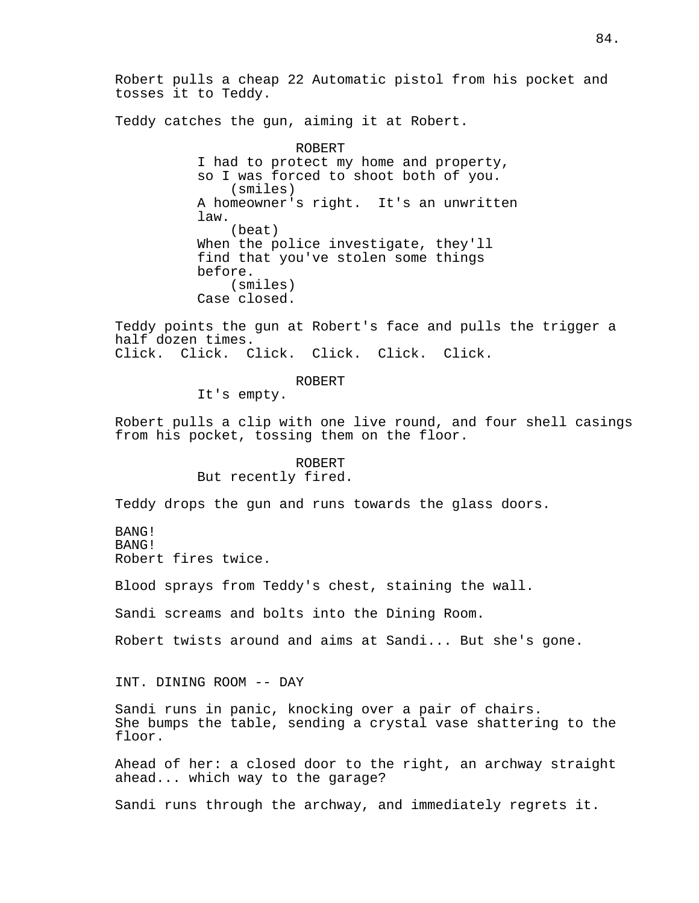Robert pulls a cheap 22 Automatic pistol from his pocket and tosses it to Teddy.

Teddy catches the gun, aiming it at Robert.

ROBERT I had to protect my home and property, so I was forced to shoot both of you. (smiles) A homeowner's right. It's an unwritten law. (beat) When the police investigate, they'll find that you've stolen some things before. (smiles) Case closed.

Teddy points the gun at Robert's face and pulls the trigger a half dozen times. Click. Click. Click. Click. Click. Click.

#### ROBERT

It's empty.

Robert pulls a clip with one live round, and four shell casings from his pocket, tossing them on the floor.

# ROBERT But recently fired.

Teddy drops the gun and runs towards the glass doors.

BANG! BANG! Robert fires twice.

Blood sprays from Teddy's chest, staining the wall.

Sandi screams and bolts into the Dining Room.

Robert twists around and aims at Sandi... But she's gone.

INT. DINING ROOM -- DAY

Sandi runs in panic, knocking over a pair of chairs. She bumps the table, sending a crystal vase shattering to the floor.

Ahead of her: a closed door to the right, an archway straight ahead... which way to the garage?

Sandi runs through the archway, and immediately regrets it.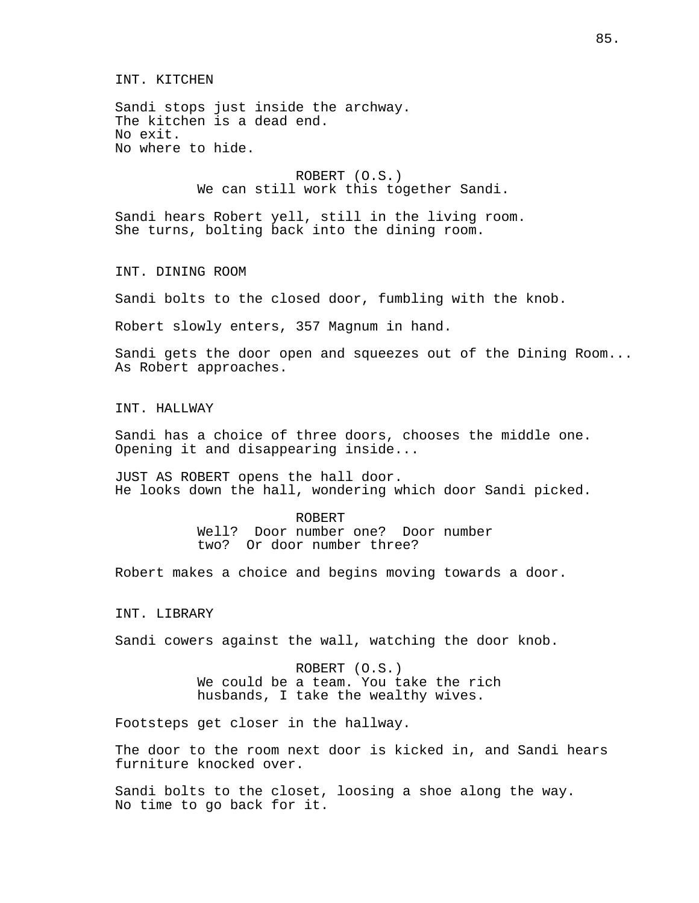INT. KITCHEN

Sandi stops just inside the archway. The kitchen is a dead end. No exit. No where to hide.

> ROBERT (O.S.) We can still work this together Sandi.

Sandi hears Robert yell, still in the living room. She turns, bolting back into the dining room.

INT. DINING ROOM

Sandi bolts to the closed door, fumbling with the knob.

Robert slowly enters, 357 Magnum in hand.

Sandi gets the door open and squeezes out of the Dining Room... As Robert approaches.

INT. HALLWAY

Sandi has a choice of three doors, chooses the middle one. Opening it and disappearing inside...

JUST AS ROBERT opens the hall door. He looks down the hall, wondering which door Sandi picked.

> ROBERT Well? Door number one? Door number two? Or door number three?

Robert makes a choice and begins moving towards a door.

INT. LIBRARY

Sandi cowers against the wall, watching the door knob.

ROBERT (O.S.) We could be a team. You take the rich husbands, I take the wealthy wives.

Footsteps get closer in the hallway.

The door to the room next door is kicked in, and Sandi hears furniture knocked over.

Sandi bolts to the closet, loosing a shoe along the way. No time to go back for it.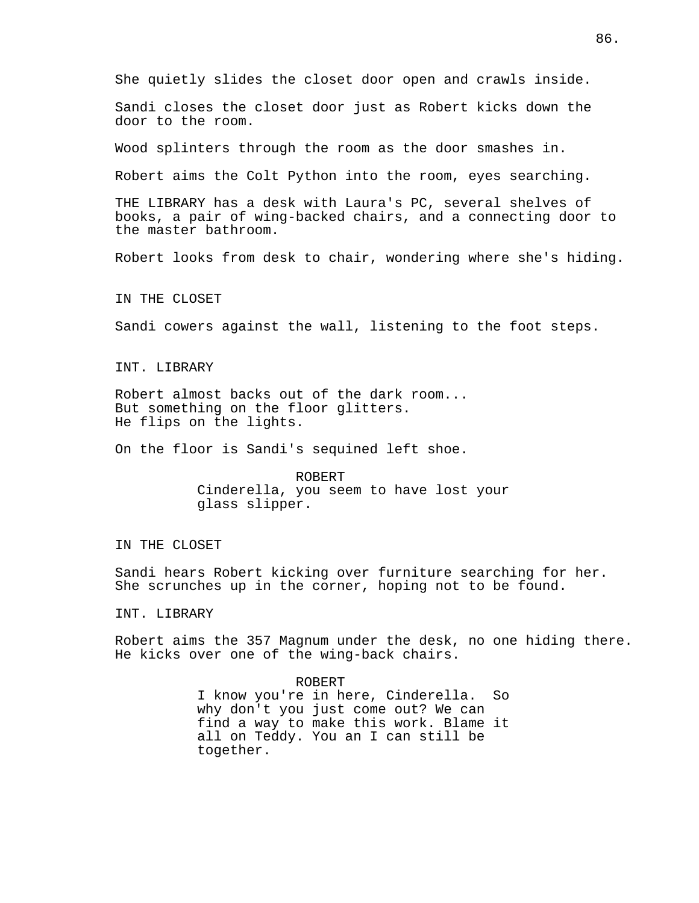She quietly slides the closet door open and crawls inside.

Sandi closes the closet door just as Robert kicks down the door to the room.

Wood splinters through the room as the door smashes in.

Robert aims the Colt Python into the room, eyes searching.

THE LIBRARY has a desk with Laura's PC, several shelves of books, a pair of wing-backed chairs, and a connecting door to the master bathroom.

Robert looks from desk to chair, wondering where she's hiding.

IN THE CLOSET

Sandi cowers against the wall, listening to the foot steps.

INT. LIBRARY

Robert almost backs out of the dark room... But something on the floor glitters. He flips on the lights.

On the floor is Sandi's sequined left shoe.

ROBERT Cinderella, you seem to have lost your glass slipper.

IN THE CLOSET

Sandi hears Robert kicking over furniture searching for her. She scrunches up in the corner, hoping not to be found.

INT. LIBRARY

Robert aims the 357 Magnum under the desk, no one hiding there. He kicks over one of the wing-back chairs.

> ROBERT I know you're in here, Cinderella. So why don't you just come out? We can find a way to make this work. Blame it all on Teddy. You an I can still be together.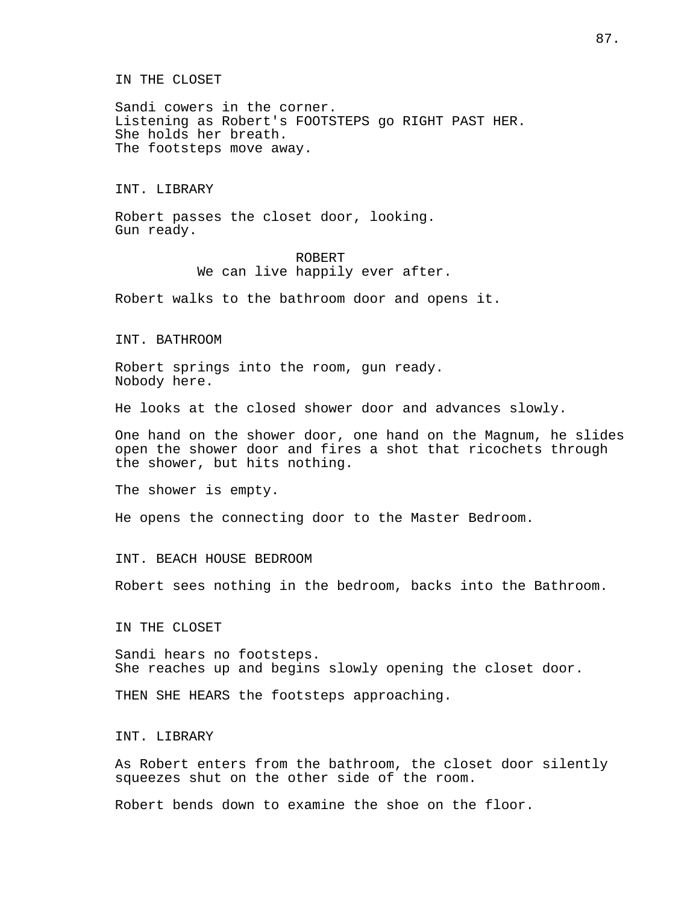#### IN THE CLOSET

Sandi cowers in the corner. Listening as Robert's FOOTSTEPS go RIGHT PAST HER. She holds her breath. The footsteps move away.

## INT. LIBRARY

Robert passes the closet door, looking. Gun ready.

> ROBERT We can live happily ever after.

Robert walks to the bathroom door and opens it.

#### INT. BATHROOM

Robert springs into the room, gun ready. Nobody here.

He looks at the closed shower door and advances slowly.

One hand on the shower door, one hand on the Magnum, he slides open the shower door and fires a shot that ricochets through the shower, but hits nothing.

The shower is empty.

He opens the connecting door to the Master Bedroom.

## INT. BEACH HOUSE BEDROOM

Robert sees nothing in the bedroom, backs into the Bathroom.

IN THE CLOSET

Sandi hears no footsteps. She reaches up and begins slowly opening the closet door.

THEN SHE HEARS the footsteps approaching.

## INT. LIBRARY

As Robert enters from the bathroom, the closet door silently squeezes shut on the other side of the room.

Robert bends down to examine the shoe on the floor.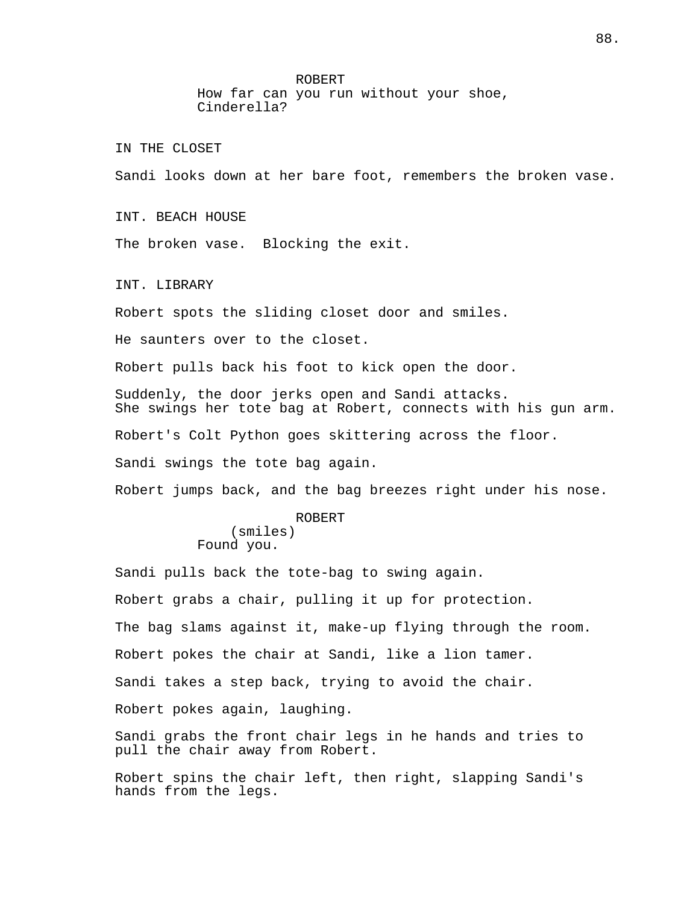ROBERT

How far can you run without your shoe, Cinderella?

IN THE CLOSET

Sandi looks down at her bare foot, remembers the broken vase.

INT. BEACH HOUSE

The broken vase. Blocking the exit.

INT. LIBRARY

Robert spots the sliding closet door and smiles.

He saunters over to the closet.

Robert pulls back his foot to kick open the door.

Suddenly, the door jerks open and Sandi attacks. She swings her tote bag at Robert, connects with his gun arm.

Robert's Colt Python goes skittering across the floor.

Sandi swings the tote bag again.

Robert jumps back, and the bag breezes right under his nose.

#### ROBERT

(smiles) Found you.

Sandi pulls back the tote-bag to swing again. Robert grabs a chair, pulling it up for protection. The bag slams against it, make-up flying through the room. Robert pokes the chair at Sandi, like a lion tamer. Sandi takes a step back, trying to avoid the chair. Robert pokes again, laughing. Sandi grabs the front chair legs in he hands and tries to

pull the chair away from Robert.

Robert spins the chair left, then right, slapping Sandi's hands from the legs.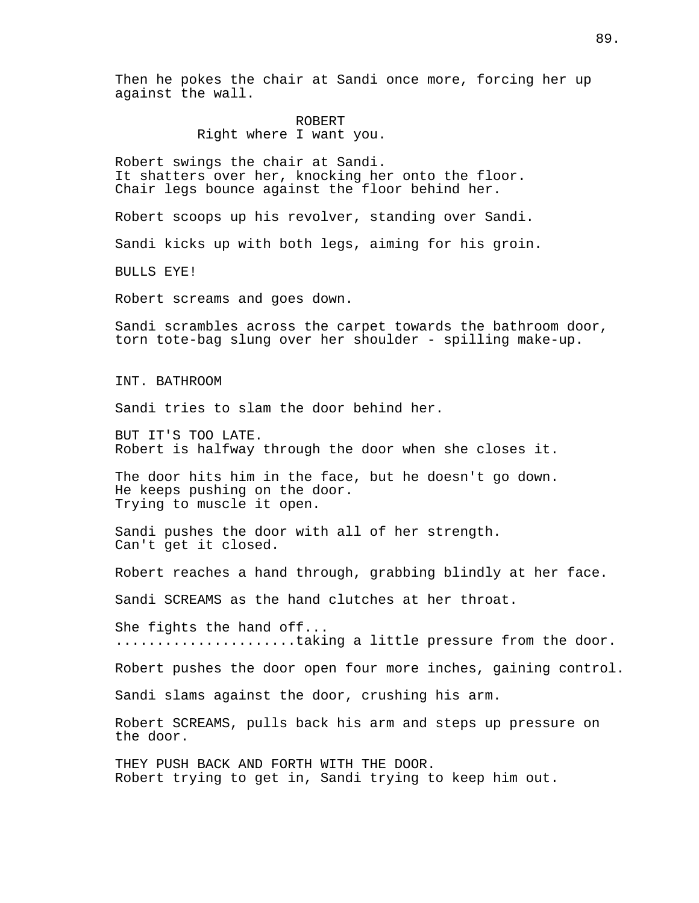Then he pokes the chair at Sandi once more, forcing her up against the wall.

# ROBERT Right where I want you.

Robert swings the chair at Sandi. It shatters over her, knocking her onto the floor. Chair legs bounce against the floor behind her.

Robert scoops up his revolver, standing over Sandi.

Sandi kicks up with both legs, aiming for his groin.

BULLS EYE!

Robert screams and goes down.

Sandi scrambles across the carpet towards the bathroom door, torn tote-bag slung over her shoulder - spilling make-up.

INT. BATHROOM

Sandi tries to slam the door behind her.

BUT IT'S TOO LATE. Robert is halfway through the door when she closes it.

The door hits him in the face, but he doesn't go down. He keeps pushing on the door. Trying to muscle it open.

Sandi pushes the door with all of her strength. Can't get it closed.

Robert reaches a hand through, grabbing blindly at her face.

Sandi SCREAMS as the hand clutches at her throat.

She fights the hand off... .....................taking a little pressure from the door.

Robert pushes the door open four more inches, gaining control.

Sandi slams against the door, crushing his arm.

Robert SCREAMS, pulls back his arm and steps up pressure on the door.

THEY PUSH BACK AND FORTH WITH THE DOOR. Robert trying to get in, Sandi trying to keep him out.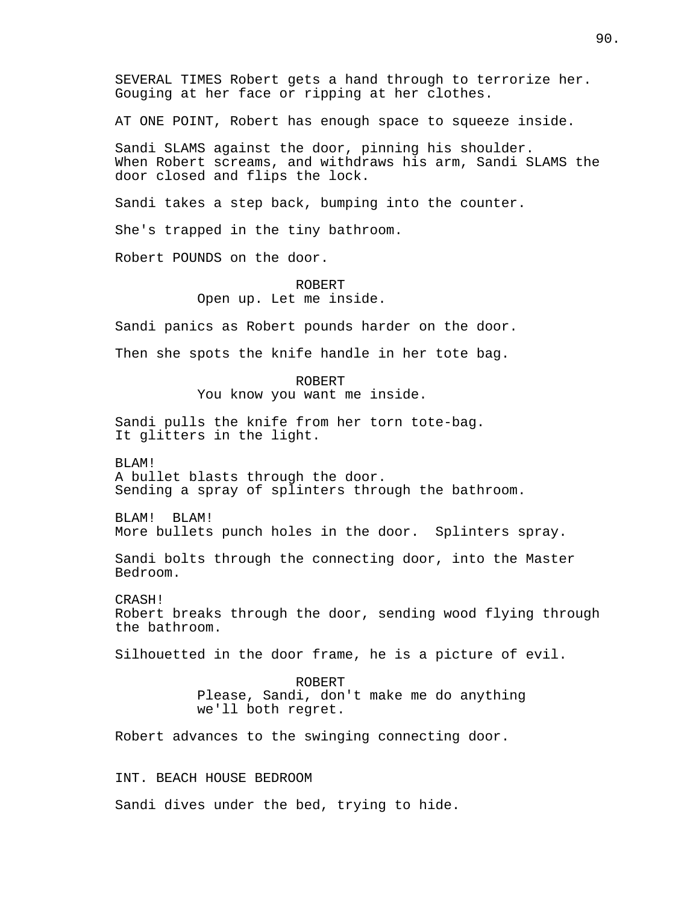SEVERAL TIMES Robert gets a hand through to terrorize her. Gouging at her face or ripping at her clothes.

AT ONE POINT, Robert has enough space to squeeze inside.

Sandi SLAMS against the door, pinning his shoulder. When Robert screams, and withdraws his arm, Sandi SLAMS the door closed and flips the lock.

Sandi takes a step back, bumping into the counter.

She's trapped in the tiny bathroom.

Robert POUNDS on the door.

ROBERT Open up. Let me inside.

Sandi panics as Robert pounds harder on the door.

Then she spots the knife handle in her tote bag.

ROBERT You know you want me inside.

Sandi pulls the knife from her torn tote-bag. It glitters in the light.

BLAM! A bullet blasts through the door. Sending a spray of splinters through the bathroom.

BLAM! BLAM! More bullets punch holes in the door. Splinters spray.

Sandi bolts through the connecting door, into the Master Bedroom.

CRASH! Robert breaks through the door, sending wood flying through the bathroom.

Silhouetted in the door frame, he is a picture of evil.

ROBERT Please, Sandi, don't make me do anything we'll both regret.

Robert advances to the swinging connecting door.

INT. BEACH HOUSE BEDROOM

Sandi dives under the bed, trying to hide.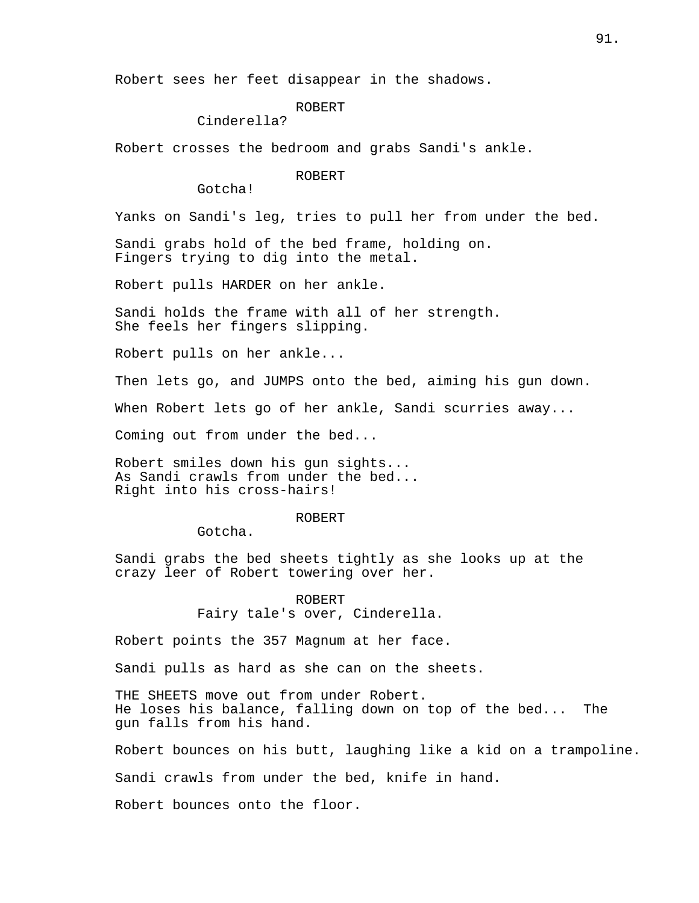Robert sees her feet disappear in the shadows.

ROBERT

Cinderella?

Robert crosses the bedroom and grabs Sandi's ankle.

ROBERT

Gotcha!

Yanks on Sandi's leg, tries to pull her from under the bed.

Sandi grabs hold of the bed frame, holding on. Fingers trying to dig into the metal.

Robert pulls HARDER on her ankle.

Sandi holds the frame with all of her strength. She feels her fingers slipping.

Robert pulls on her ankle...

Then lets go, and JUMPS onto the bed, aiming his gun down.

When Robert lets go of her ankle, Sandi scurries away...

Coming out from under the bed...

Robert smiles down his gun sights... As Sandi crawls from under the bed... Right into his cross-hairs!

#### ROBERT

Gotcha.

Sandi grabs the bed sheets tightly as she looks up at the crazy leer of Robert towering over her.

> ROBERT Fairy tale's over, Cinderella.

Robert points the 357 Magnum at her face.

Sandi pulls as hard as she can on the sheets.

THE SHEETS move out from under Robert. He loses his balance, falling down on top of the bed... The gun falls from his hand.

Robert bounces on his butt, laughing like a kid on a trampoline.

Sandi crawls from under the bed, knife in hand.

Robert bounces onto the floor.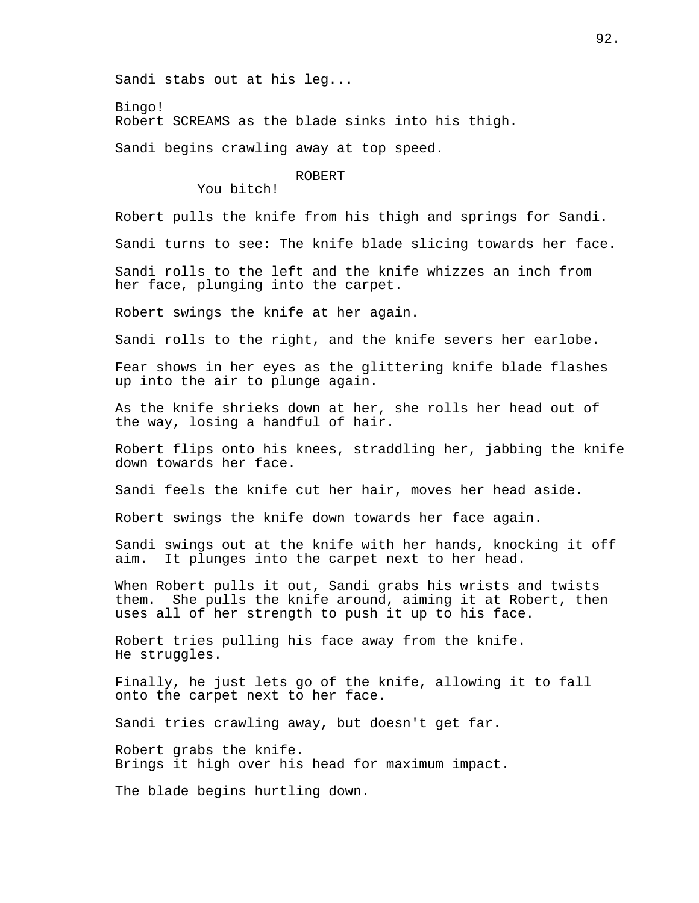Sandi stabs out at his leg...

Bingo!

Robert SCREAMS as the blade sinks into his thigh.

Sandi begins crawling away at top speed.

ROBERT

You bitch!

Robert pulls the knife from his thigh and springs for Sandi.

Sandi turns to see: The knife blade slicing towards her face.

Sandi rolls to the left and the knife whizzes an inch from her face, plunging into the carpet.

Robert swings the knife at her again.

Sandi rolls to the right, and the knife severs her earlobe.

Fear shows in her eyes as the glittering knife blade flashes up into the air to plunge again.

As the knife shrieks down at her, she rolls her head out of the way, losing a handful of hair.

Robert flips onto his knees, straddling her, jabbing the knife down towards her face.

Sandi feels the knife cut her hair, moves her head aside.

Robert swings the knife down towards her face again.

Sandi swings out at the knife with her hands, knocking it off aim. It plunges into the carpet next to her head.

When Robert pulls it out, Sandi grabs his wrists and twists them. She pulls the knife around, aiming it at Robert, then uses all of her strength to push it up to his face.

Robert tries pulling his face away from the knife. He struggles.

Finally, he just lets go of the knife, allowing it to fall onto the carpet next to her face.

Sandi tries crawling away, but doesn't get far.

Robert grabs the knife. Brings it high over his head for maximum impact.

The blade begins hurtling down.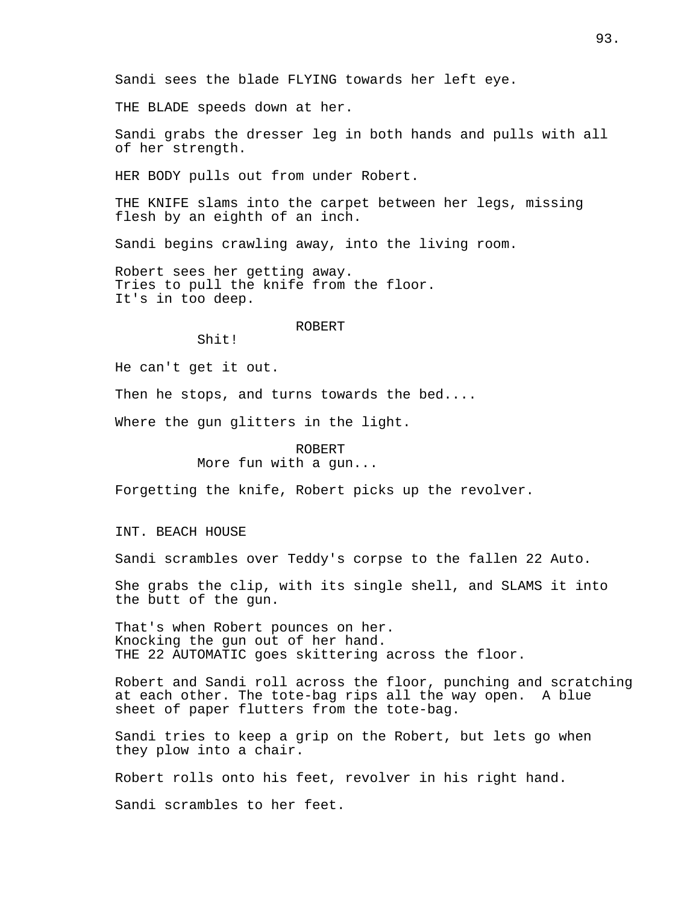THE BLADE speeds down at her.

Sandi grabs the dresser leg in both hands and pulls with all of her strength.

HER BODY pulls out from under Robert.

THE KNIFE slams into the carpet between her legs, missing flesh by an eighth of an inch.

Sandi begins crawling away, into the living room.

Robert sees her getting away. Tries to pull the knife from the floor. It's in too deep.

#### ROBERT

Shit!

He can't get it out.

Then he stops, and turns towards the bed....

Where the gun glitters in the light.

# ROBERT

More fun with a gun...

Forgetting the knife, Robert picks up the revolver.

INT. BEACH HOUSE

Sandi scrambles over Teddy's corpse to the fallen 22 Auto.

She grabs the clip, with its single shell, and SLAMS it into the butt of the gun.

That's when Robert pounces on her. Knocking the gun out of her hand. THE 22 AUTOMATIC goes skittering across the floor.

Robert and Sandi roll across the floor, punching and scratching at each other. The tote-bag rips all the way open. A blue sheet of paper flutters from the tote-bag.

Sandi tries to keep a grip on the Robert, but lets go when they plow into a chair.

Robert rolls onto his feet, revolver in his right hand.

Sandi scrambles to her feet.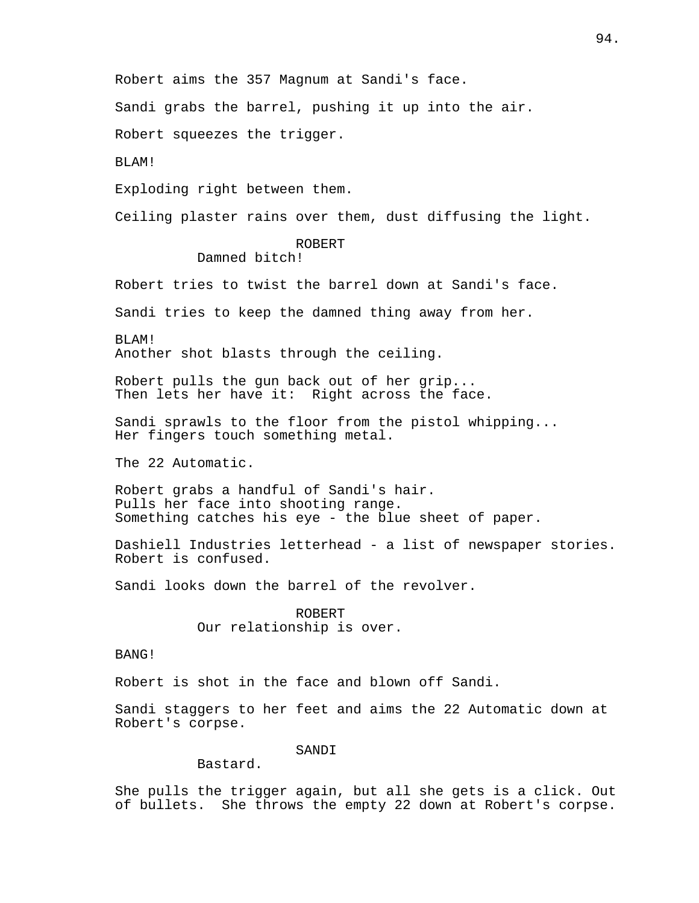Robert aims the 357 Magnum at Sandi's face.

Sandi grabs the barrel, pushing it up into the air.

Robert squeezes the trigger.

BLAM!

Exploding right between them.

Ceiling plaster rains over them, dust diffusing the light.

# ROBERT

Damned bitch!

Robert tries to twist the barrel down at Sandi's face.

Sandi tries to keep the damned thing away from her.

BLAM! Another shot blasts through the ceiling.

Robert pulls the gun back out of her grip... Then lets her have it: Right across the face.

Sandi sprawls to the floor from the pistol whipping... Her fingers touch something metal.

The 22 Automatic.

Robert grabs a handful of Sandi's hair. Pulls her face into shooting range. Something catches his eye - the blue sheet of paper.

Dashiell Industries letterhead - a list of newspaper stories. Robert is confused.

Sandi looks down the barrel of the revolver.

ROBERT Our relationship is over.

BANG!

Robert is shot in the face and blown off Sandi.

Sandi staggers to her feet and aims the 22 Automatic down at Robert's corpse.

SANDI

Bastard.

She pulls the trigger again, but all she gets is a click. Out of bullets. She throws the empty 22 down at Robert's corpse.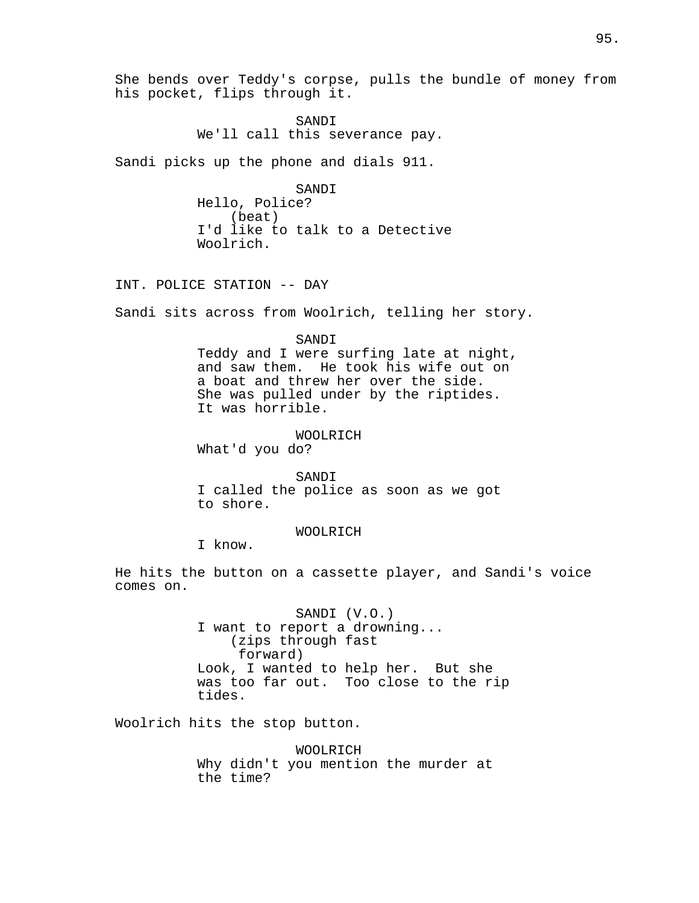She bends over Teddy's corpse, pulls the bundle of money from his pocket, flips through it.

> SANDI We'll call this severance pay.

Sandi picks up the phone and dials 911.

SANDI Hello, Police? (beat) I'd like to talk to a Detective Woolrich.

INT. POLICE STATION -- DAY

Sandi sits across from Woolrich, telling her story.

SANDI Teddy and I were surfing late at night, and saw them. He took his wife out on a boat and threw her over the side. She was pulled under by the riptides. It was horrible.

WOOLRICH

What'd you do?

SANDI I called the police as soon as we got to shore.

WOOLRICH

I know.

He hits the button on a cassette player, and Sandi's voice comes on.

> SANDI (V.O.) I want to report a drowning... (zips through fast forward) Look, I wanted to help her. But she was too far out. Too close to the rip tides.

Woolrich hits the stop button.

WOOLRICH Why didn't you mention the murder at the time?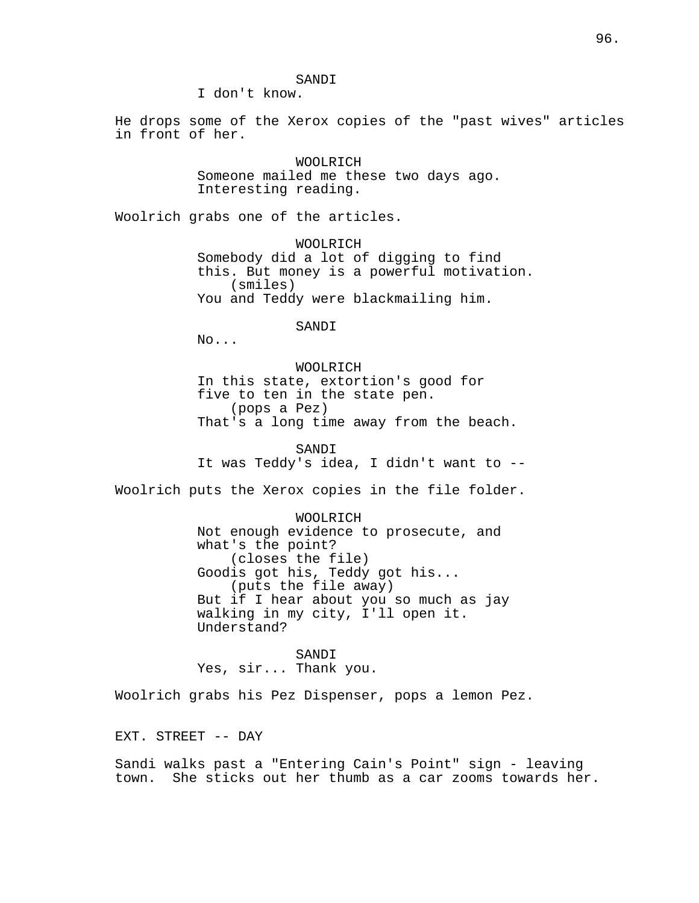SANDI

I don't know.

He drops some of the Xerox copies of the "past wives" articles in front of her.

> WOOLRICH Someone mailed me these two days ago. Interesting reading.

Woolrich grabs one of the articles.

WOOLRICH Somebody did a lot of digging to find this. But money is a powerful motivation. (smiles) You and Teddy were blackmailing him.

SANDI

No...

WOOLRICH In this state, extortion's good for five to ten in the state pen. (pops a Pez) That's a long time away from the beach.

SANDI It was Teddy's idea, I didn't want to --

Woolrich puts the Xerox copies in the file folder.

WOOLRICH Not enough evidence to prosecute, and what's the point? (closes the file) Goodis got his, Teddy got his... (puts the file away) But if I hear about you so much as jay walking in my city, I'll open it. Understand?

SANDI Yes, sir... Thank you.

Woolrich grabs his Pez Dispenser, pops a lemon Pez.

EXT. STREET -- DAY

Sandi walks past a "Entering Cain's Point" sign - leaving town. She sticks out her thumb as a car zooms towards her.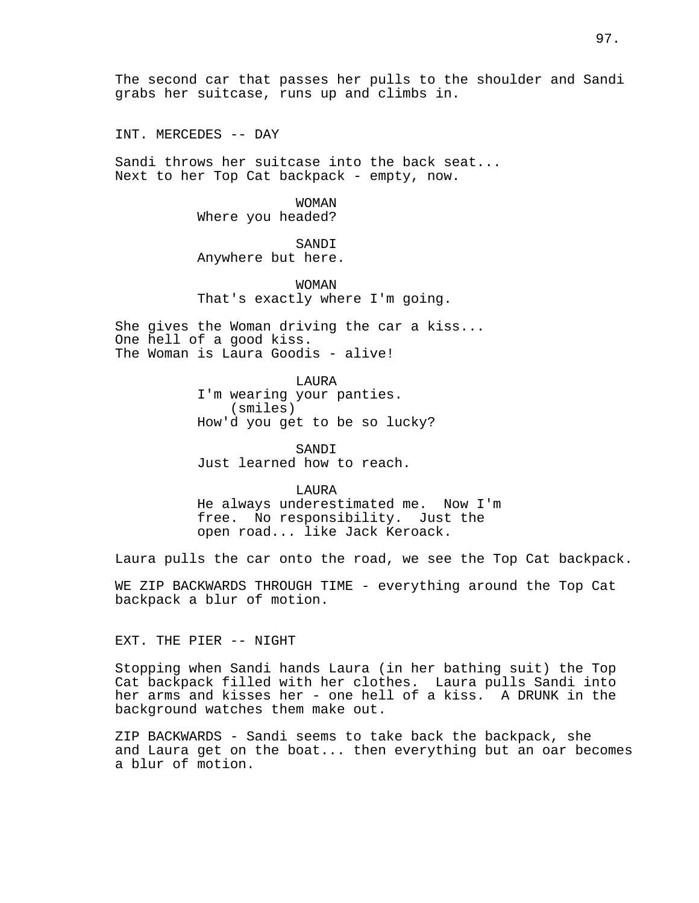INT. MERCEDES -- DAY

Sandi throws her suitcase into the back seat... Next to her Top Cat backpack - empty, now.

> WOMAN Where you headed?

## SANDI

Anywhere but here.

WOMAN That's exactly where I'm going.

She gives the Woman driving the car a kiss... One hell of a good kiss. The Woman is Laura Goodis - alive!

> LAURA I'm wearing your panties. (smiles) How'd you get to be so lucky?

SANDI Just learned how to reach.

LAURA He always underestimated me. Now I'm free. No responsibility. Just the open road... like Jack Keroack.

Laura pulls the car onto the road, we see the Top Cat backpack.

WE ZIP BACKWARDS THROUGH TIME - everything around the Top Cat backpack a blur of motion.

EXT. THE PIER -- NIGHT

Stopping when Sandi hands Laura (in her bathing suit) the Top Cat backpack filled with her clothes. Laura pulls Sandi into her arms and kisses her - one hell of a kiss. A DRUNK in the background watches them make out.

ZIP BACKWARDS - Sandi seems to take back the backpack, she and Laura get on the boat... then everything but an oar becomes a blur of motion.